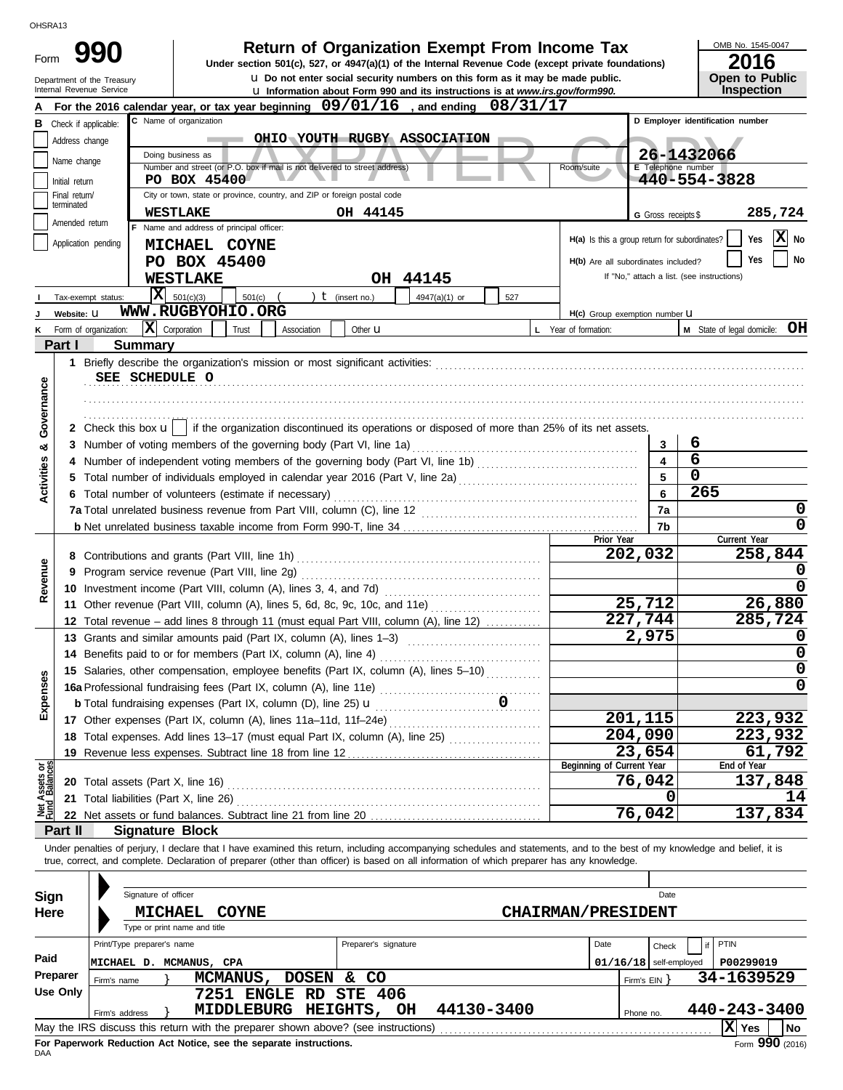| טוראוטווט<br>Form              |                                 |                                                        |                                                                                                                                            |             |                      | <b>Return of Organization Exempt From Income Tax</b><br>Under section 501(c), 527, or 4947(a)(1) of the Internal Revenue Code (except private foundations)                  |                                                   |                                               |                          | OMB No. 1545-0047<br>2016                                                                                                                                                  |  |  |  |
|--------------------------------|---------------------------------|--------------------------------------------------------|--------------------------------------------------------------------------------------------------------------------------------------------|-------------|----------------------|-----------------------------------------------------------------------------------------------------------------------------------------------------------------------------|---------------------------------------------------|-----------------------------------------------|--------------------------|----------------------------------------------------------------------------------------------------------------------------------------------------------------------------|--|--|--|
|                                |                                 | Department of the Treasury<br>Internal Revenue Service |                                                                                                                                            |             |                      | <b>u</b> Do not enter social security numbers on this form as it may be made public.<br><b>u</b> Information about Form 990 and its instructions is at www.irs.gov/form990. |                                                   |                                               |                          | Open to Public<br>Inspection                                                                                                                                               |  |  |  |
|                                |                                 |                                                        | For the 2016 calendar year, or tax year beginning 09/01/16, and ending 08/31/17                                                            |             |                      |                                                                                                                                                                             |                                                   |                                               |                          |                                                                                                                                                                            |  |  |  |
| В                              |                                 | Check if applicable:                                   | C Name of organization                                                                                                                     |             |                      |                                                                                                                                                                             |                                                   |                                               |                          | D Employer identification number                                                                                                                                           |  |  |  |
|                                | Address change                  |                                                        |                                                                                                                                            |             |                      | OHIO YOUTH RUGBY ASSOCIATION                                                                                                                                                |                                                   |                                               |                          |                                                                                                                                                                            |  |  |  |
|                                | Name change                     |                                                        | Doing business as                                                                                                                          |             |                      |                                                                                                                                                                             |                                                   |                                               | 26-1432066               |                                                                                                                                                                            |  |  |  |
|                                |                                 |                                                        | Number and street (or P.O. box if mail is not delivered to street address)                                                                 |             |                      |                                                                                                                                                                             |                                                   | Room/suite                                    | E Telephone number       | 440-554-3828                                                                                                                                                               |  |  |  |
|                                | Initial return<br>Final return/ |                                                        | PO BOX 45400<br>City or town, state or province, country, and ZIP or foreign postal code                                                   |             |                      |                                                                                                                                                                             |                                                   |                                               |                          |                                                                                                                                                                            |  |  |  |
|                                | terminated                      |                                                        | <b>WESTLAKE</b>                                                                                                                            |             | OH 44145             |                                                                                                                                                                             |                                                   |                                               |                          |                                                                                                                                                                            |  |  |  |
|                                | Amended return                  |                                                        | F Name and address of principal officer:                                                                                                   |             |                      |                                                                                                                                                                             |                                                   |                                               | G Gross receipts \$      | 285,724                                                                                                                                                                    |  |  |  |
|                                |                                 | Application pending                                    | <b>MICHAEL COYNE</b>                                                                                                                       |             |                      |                                                                                                                                                                             |                                                   | H(a) Is this a group return for subordinates? |                          | $ \mathbf{x} $<br>Yes<br>No                                                                                                                                                |  |  |  |
|                                |                                 |                                                        | PO BOX 45400                                                                                                                               |             |                      |                                                                                                                                                                             |                                                   | H(b) Are all subordinates included?           |                          | Yes<br>No                                                                                                                                                                  |  |  |  |
|                                |                                 |                                                        | <b>WESTLAKE</b>                                                                                                                            |             |                      | OH 44145                                                                                                                                                                    |                                                   |                                               |                          | If "No," attach a list. (see instructions)                                                                                                                                 |  |  |  |
|                                |                                 | ΙXΙ<br>Tax-exempt status:                              | 501(c)(3)<br>501(c)                                                                                                                        |             | $t$ (insert no.)     | 4947(a)(1) or                                                                                                                                                               | 527                                               |                                               |                          |                                                                                                                                                                            |  |  |  |
|                                | Website: U                      |                                                        | WWW.RUGBYOHIO.ORG                                                                                                                          |             |                      |                                                                                                                                                                             |                                                   | H(c) Group exemption number U                 |                          |                                                                                                                                                                            |  |  |  |
|                                |                                 | Form of organization:                                  | X Corporation<br>Trust                                                                                                                     | Association | Other <b>u</b>       |                                                                                                                                                                             |                                                   | L Year of formation:                          |                          | OН<br>M State of legal domicile:                                                                                                                                           |  |  |  |
|                                | Part I                          | <b>Summary</b>                                         |                                                                                                                                            |             |                      |                                                                                                                                                                             |                                                   |                                               |                          |                                                                                                                                                                            |  |  |  |
|                                |                                 |                                                        |                                                                                                                                            |             |                      |                                                                                                                                                                             |                                                   |                                               |                          |                                                                                                                                                                            |  |  |  |
|                                |                                 |                                                        |                                                                                                                                            |             |                      |                                                                                                                                                                             |                                                   |                                               |                          |                                                                                                                                                                            |  |  |  |
| Governance                     |                                 | SEE SCHEDULE O                                         |                                                                                                                                            |             |                      |                                                                                                                                                                             |                                                   |                                               |                          |                                                                                                                                                                            |  |  |  |
|                                |                                 |                                                        |                                                                                                                                            |             |                      |                                                                                                                                                                             |                                                   |                                               |                          |                                                                                                                                                                            |  |  |  |
|                                |                                 |                                                        |                                                                                                                                            |             |                      |                                                                                                                                                                             |                                                   |                                               |                          |                                                                                                                                                                            |  |  |  |
|                                |                                 |                                                        | 2 Check this box $\mathbf{u}$   if the organization discontinued its operations or disposed of more than 25% of its net assets.            |             |                      |                                                                                                                                                                             |                                                   |                                               |                          |                                                                                                                                                                            |  |  |  |
| ಯ                              |                                 |                                                        | 3 Number of voting members of the governing body (Part VI, line 1a)                                                                        |             |                      |                                                                                                                                                                             |                                                   |                                               | 3                        | 6                                                                                                                                                                          |  |  |  |
|                                |                                 |                                                        |                                                                                                                                            |             |                      |                                                                                                                                                                             |                                                   |                                               | 4                        | $6\phantom{1}6$                                                                                                                                                            |  |  |  |
| Activities                     |                                 |                                                        |                                                                                                                                            |             |                      |                                                                                                                                                                             |                                                   |                                               | 5                        | 0                                                                                                                                                                          |  |  |  |
|                                |                                 |                                                        | 6 Total number of volunteers (estimate if necessary)                                                                                       |             |                      |                                                                                                                                                                             |                                                   |                                               | 6                        | 265                                                                                                                                                                        |  |  |  |
|                                |                                 |                                                        |                                                                                                                                            |             |                      |                                                                                                                                                                             |                                                   |                                               | 7a                       | $\mathbf 0$                                                                                                                                                                |  |  |  |
|                                |                                 |                                                        |                                                                                                                                            |             |                      |                                                                                                                                                                             |                                                   |                                               | 7b                       | 0                                                                                                                                                                          |  |  |  |
|                                |                                 |                                                        |                                                                                                                                            |             |                      |                                                                                                                                                                             |                                                   | Prior Year                                    |                          | Current Year                                                                                                                                                               |  |  |  |
|                                |                                 |                                                        |                                                                                                                                            |             |                      |                                                                                                                                                                             |                                                   |                                               | 202,032                  | 258,844                                                                                                                                                                    |  |  |  |
| Revenue                        |                                 |                                                        | 9 Program service revenue (Part VIII, line 2g)                                                                                             |             |                      |                                                                                                                                                                             |                                                   |                                               |                          | 0                                                                                                                                                                          |  |  |  |
|                                |                                 |                                                        | 10 Investment income (Part VIII, column (A), lines 3, 4, and 7d)                                                                           |             |                      |                                                                                                                                                                             |                                                   |                                               |                          | 0                                                                                                                                                                          |  |  |  |
|                                |                                 |                                                        | 11 Other revenue (Part VIII, column (A), lines 5, 6d, 8c, 9c, 10c, and 11e)                                                                |             |                      |                                                                                                                                                                             | <u> 1966 - Johann Stoff, Amerikaansk kanton (</u> |                                               | 25,712                   | 26,880                                                                                                                                                                     |  |  |  |
|                                |                                 |                                                        | 12 Total revenue - add lines 8 through 11 (must equal Part VIII, column (A), line 12)                                                      |             |                      |                                                                                                                                                                             |                                                   |                                               | 227,744                  | 285,724                                                                                                                                                                    |  |  |  |
|                                |                                 |                                                        | 13 Grants and similar amounts paid (Part IX, column (A), lines 1-3)                                                                        |             |                      |                                                                                                                                                                             |                                                   |                                               | 2,975                    | 0                                                                                                                                                                          |  |  |  |
|                                |                                 |                                                        | 14 Benefits paid to or for members (Part IX, column (A), line 4)                                                                           |             |                      |                                                                                                                                                                             |                                                   |                                               |                          | $\mathbf 0$                                                                                                                                                                |  |  |  |
|                                |                                 |                                                        | 15 Salaries, other compensation, employee benefits (Part IX, column (A), lines 5-10)                                                       |             |                      |                                                                                                                                                                             |                                                   |                                               |                          | $\mathbf 0$                                                                                                                                                                |  |  |  |
| Expenses                       |                                 |                                                        |                                                                                                                                            |             |                      |                                                                                                                                                                             |                                                   |                                               |                          | $\mathbf 0$                                                                                                                                                                |  |  |  |
|                                |                                 |                                                        | <b>b</b> Total fundraising expenses (Part IX, column (D), line 25) <b>u</b>                                                                |             |                      |                                                                                                                                                                             |                                                   |                                               |                          |                                                                                                                                                                            |  |  |  |
|                                |                                 |                                                        | 17 Other expenses (Part IX, column (A), lines 11a-11d, 11f-24e)                                                                            |             |                      |                                                                                                                                                                             |                                                   |                                               | 201,115                  | 223,932                                                                                                                                                                    |  |  |  |
|                                |                                 |                                                        | 18 Total expenses. Add lines 13-17 (must equal Part IX, column (A), line 25) [                                                             |             |                      |                                                                                                                                                                             |                                                   |                                               | 204,090                  | 223,932                                                                                                                                                                    |  |  |  |
|                                |                                 |                                                        |                                                                                                                                            |             |                      |                                                                                                                                                                             |                                                   | Beginning of Current Year                     | 23,654                   | 61,792                                                                                                                                                                     |  |  |  |
| Net Assets or<br>Fund Balances |                                 |                                                        |                                                                                                                                            |             |                      |                                                                                                                                                                             |                                                   |                                               | 76,042                   | End of Year<br>137,848                                                                                                                                                     |  |  |  |
|                                |                                 |                                                        | 20 Total assets (Part X, line 16) <b>CONVERTING THE CONVERTING TO THE ACT ACT</b>                                                          |             |                      |                                                                                                                                                                             |                                                   |                                               | 0                        | 14                                                                                                                                                                         |  |  |  |
|                                |                                 |                                                        |                                                                                                                                            |             |                      |                                                                                                                                                                             |                                                   |                                               | 76,042                   | 137,834                                                                                                                                                                    |  |  |  |
|                                |                                 |                                                        |                                                                                                                                            |             |                      |                                                                                                                                                                             |                                                   |                                               |                          |                                                                                                                                                                            |  |  |  |
|                                | Part II                         | <b>Signature Block</b>                                 |                                                                                                                                            |             |                      |                                                                                                                                                                             |                                                   |                                               |                          |                                                                                                                                                                            |  |  |  |
|                                |                                 |                                                        | true, correct, and complete. Declaration of preparer (other than officer) is based on all information of which preparer has any knowledge. |             |                      |                                                                                                                                                                             |                                                   |                                               |                          | Under penalties of perjury, I declare that I have examined this return, including accompanying schedules and statements, and to the best of my knowledge and belief, it is |  |  |  |
|                                |                                 |                                                        |                                                                                                                                            |             |                      |                                                                                                                                                                             |                                                   |                                               |                          |                                                                                                                                                                            |  |  |  |
|                                |                                 | Signature of officer                                   |                                                                                                                                            |             |                      |                                                                                                                                                                             |                                                   |                                               |                          |                                                                                                                                                                            |  |  |  |
| Sign                           |                                 |                                                        |                                                                                                                                            |             |                      |                                                                                                                                                                             |                                                   |                                               | Date                     |                                                                                                                                                                            |  |  |  |
| Here                           |                                 | <b>MICHAEL</b>                                         | <b>COYNE</b>                                                                                                                               |             |                      |                                                                                                                                                                             |                                                   | <b>CHAIRMAN/PRESIDENT</b>                     |                          |                                                                                                                                                                            |  |  |  |
|                                |                                 |                                                        | Type or print name and title                                                                                                               |             |                      |                                                                                                                                                                             |                                                   |                                               |                          |                                                                                                                                                                            |  |  |  |
|                                |                                 | Print/Type preparer's name                             |                                                                                                                                            |             | Preparer's signature |                                                                                                                                                                             |                                                   | Date                                          | Check                    | PTIN                                                                                                                                                                       |  |  |  |
| Paid                           |                                 | MICHAEL D. MCMANUS, CPA                                |                                                                                                                                            |             |                      |                                                                                                                                                                             |                                                   |                                               | $01/16/18$ self-employed | P00299019                                                                                                                                                                  |  |  |  |
|                                | Preparer                        | Firm's name                                            | MCMANUS, DOSEN & CO                                                                                                                        |             |                      |                                                                                                                                                                             |                                                   |                                               | Firm's $EIN$ }           | 34-1639529                                                                                                                                                                 |  |  |  |
|                                | <b>Use Only</b>                 |                                                        | 7251 ENGLE RD STE 406                                                                                                                      |             |                      |                                                                                                                                                                             |                                                   |                                               |                          |                                                                                                                                                                            |  |  |  |
|                                |                                 | Firm's address                                         | MIDDLEBURG HEIGHTS, OH                                                                                                                     |             |                      | 44130-3400                                                                                                                                                                  |                                                   |                                               | Phone no.                | 440-243-3400                                                                                                                                                               |  |  |  |
|                                |                                 |                                                        | May the IRS discuss this return with the preparer shown above? (see instructions)                                                          |             |                      |                                                                                                                                                                             |                                                   |                                               |                          | $ \mathbf{X} $ Yes<br>No                                                                                                                                                   |  |  |  |

| Sign     | Signature of officer                                                              |                                            | Date                                  |  |  |  |  |  |  |  |
|----------|-----------------------------------------------------------------------------------|--------------------------------------------|---------------------------------------|--|--|--|--|--|--|--|
| Here     | <b>COYNE</b><br><b>MICHAEL</b><br>Type or print name and title                    | <b>CHAIRMAN/PRESIDENT</b>                  |                                       |  |  |  |  |  |  |  |
|          | Print/Type preparer's name                                                        | Preparer's signature                       | Date<br>PTIN<br>Check                 |  |  |  |  |  |  |  |
| Paid     | MCMANUS, CPA<br>MICHAEL D.                                                        |                                            | $01/16/18$ self-employed<br>P00299019 |  |  |  |  |  |  |  |
| Preparer | DOSEN &<br>MCMANUS,<br>Firm's name                                                | CO                                         | 34-1639529<br>Firm's $EIN$            |  |  |  |  |  |  |  |
| Use Only | <b>ENGLE</b><br>7251<br>RD.                                                       | STE 406                                    |                                       |  |  |  |  |  |  |  |
|          | MIDDLEBURG<br>Firm's address                                                      | 44130-3400<br><b>HEIGHTS,</b><br><b>OH</b> | 440-243-3400<br>Phone no.             |  |  |  |  |  |  |  |
|          | May the IRS discuss this return with the preparer shown above? (see instructions) |                                            | $ {\bf X} $ Yes<br>  No               |  |  |  |  |  |  |  |
|          | Fee Denomicals Deduction, Act Notice, one the concrete inctrustions               |                                            | 000                                   |  |  |  |  |  |  |  |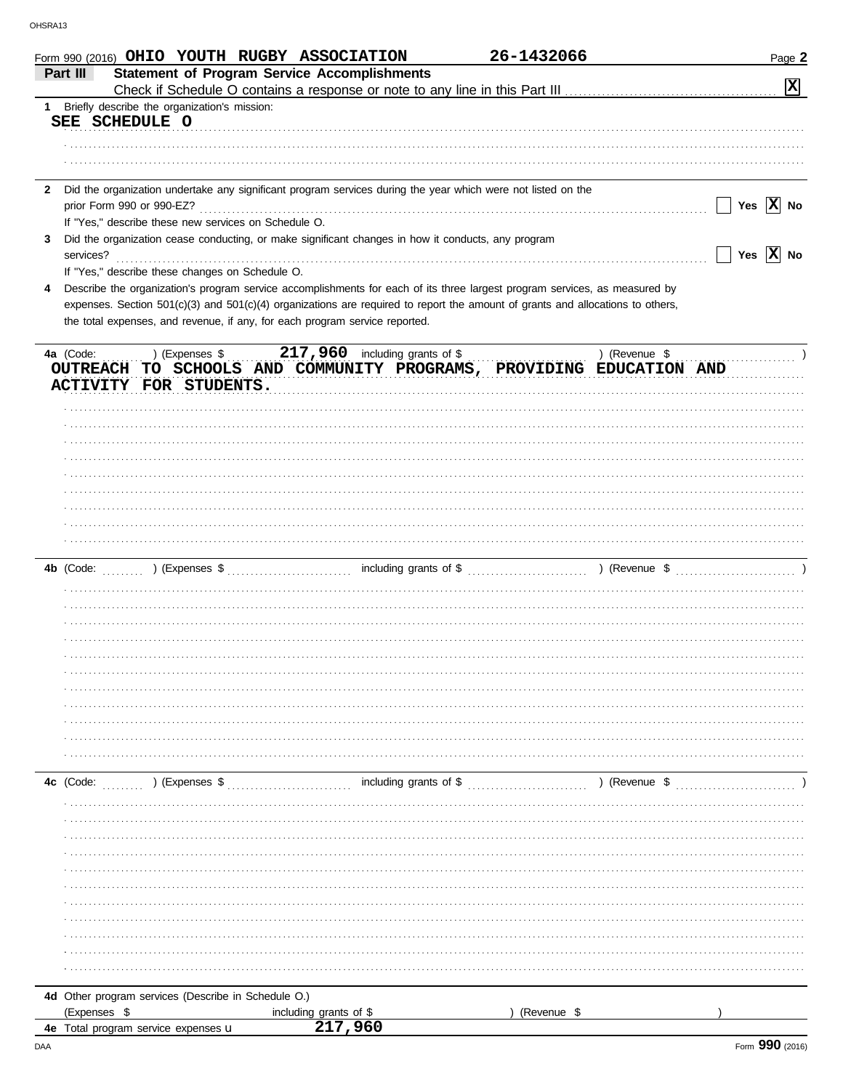|              | Form 990 (2016) OHIO YOUTH RUGBY ASSOCIATION                                                                                   |                                                     | 26-1432066  | Page 2                |
|--------------|--------------------------------------------------------------------------------------------------------------------------------|-----------------------------------------------------|-------------|-----------------------|
|              | Part III                                                                                                                       | <b>Statement of Program Service Accomplishments</b> |             |                       |
|              |                                                                                                                                |                                                     |             | $\mathbf{x}$          |
| $\mathbf 1$  | Briefly describe the organization's mission:                                                                                   |                                                     |             |                       |
|              | SEE SCHEDULE O                                                                                                                 |                                                     |             |                       |
|              |                                                                                                                                |                                                     |             |                       |
|              |                                                                                                                                |                                                     |             |                       |
|              |                                                                                                                                |                                                     |             |                       |
| $\mathbf{2}$ | Did the organization undertake any significant program services during the year which were not listed on the                   |                                                     |             |                       |
|              | prior Form 990 or 990-EZ?                                                                                                      |                                                     |             | Yes $X$ No            |
|              | If "Yes," describe these new services on Schedule O.                                                                           |                                                     |             |                       |
| 3            | Did the organization cease conducting, or make significant changes in how it conducts, any program                             |                                                     |             |                       |
|              | services?                                                                                                                      |                                                     |             | Yes $\overline{X}$ No |
|              | If "Yes," describe these changes on Schedule O.                                                                                |                                                     |             |                       |
| 4            | Describe the organization's program service accomplishments for each of its three largest program services, as measured by     |                                                     |             |                       |
|              | expenses. Section 501(c)(3) and 501(c)(4) organizations are required to report the amount of grants and allocations to others, |                                                     |             |                       |
|              | the total expenses, and revenue, if any, for each program service reported.                                                    |                                                     |             |                       |
|              |                                                                                                                                |                                                     |             |                       |
|              | ) (Expenses \$<br>4a (Code:                                                                                                    | 217,960 including grants of \$                      |             | ) (Revenue \$         |
|              | OUTREACH TO SCHOOLS AND COMMUNITY PROGRAMS, PROVIDING EDUCATION AND                                                            |                                                     |             |                       |
|              | ACTIVITY FOR STUDENTS.                                                                                                         |                                                     |             |                       |
|              |                                                                                                                                |                                                     |             |                       |
|              |                                                                                                                                |                                                     |             |                       |
|              |                                                                                                                                |                                                     |             |                       |
|              |                                                                                                                                |                                                     |             |                       |
|              |                                                                                                                                |                                                     |             |                       |
|              |                                                                                                                                |                                                     |             |                       |
|              |                                                                                                                                |                                                     |             |                       |
|              |                                                                                                                                |                                                     |             |                       |
|              |                                                                                                                                |                                                     |             |                       |
|              |                                                                                                                                |                                                     |             |                       |
|              |                                                                                                                                |                                                     |             |                       |
|              |                                                                                                                                |                                                     |             |                       |
|              |                                                                                                                                |                                                     |             |                       |
|              |                                                                                                                                |                                                     |             |                       |
|              |                                                                                                                                |                                                     |             |                       |
|              |                                                                                                                                |                                                     |             |                       |
|              |                                                                                                                                |                                                     |             |                       |
|              |                                                                                                                                |                                                     |             |                       |
|              |                                                                                                                                |                                                     |             |                       |
|              |                                                                                                                                |                                                     |             |                       |
|              |                                                                                                                                |                                                     |             |                       |
|              |                                                                                                                                |                                                     |             |                       |
|              |                                                                                                                                |                                                     |             |                       |
|              |                                                                                                                                |                                                     |             |                       |
|              |                                                                                                                                |                                                     |             |                       |
|              |                                                                                                                                |                                                     |             |                       |
|              |                                                                                                                                |                                                     |             |                       |
|              |                                                                                                                                |                                                     |             |                       |
|              |                                                                                                                                |                                                     |             |                       |
|              |                                                                                                                                |                                                     |             |                       |
|              |                                                                                                                                |                                                     |             |                       |
|              |                                                                                                                                |                                                     |             |                       |
|              |                                                                                                                                |                                                     |             |                       |
|              |                                                                                                                                |                                                     |             |                       |
|              |                                                                                                                                |                                                     |             |                       |
|              |                                                                                                                                |                                                     |             |                       |
|              |                                                                                                                                |                                                     |             |                       |
|              | 4d Other program services (Describe in Schedule O.)                                                                            |                                                     |             |                       |
|              | (Expenses \$                                                                                                                   | including grants of \$                              | (Revenue \$ |                       |
|              | 4e Total program service expenses u                                                                                            | 217,960                                             |             |                       |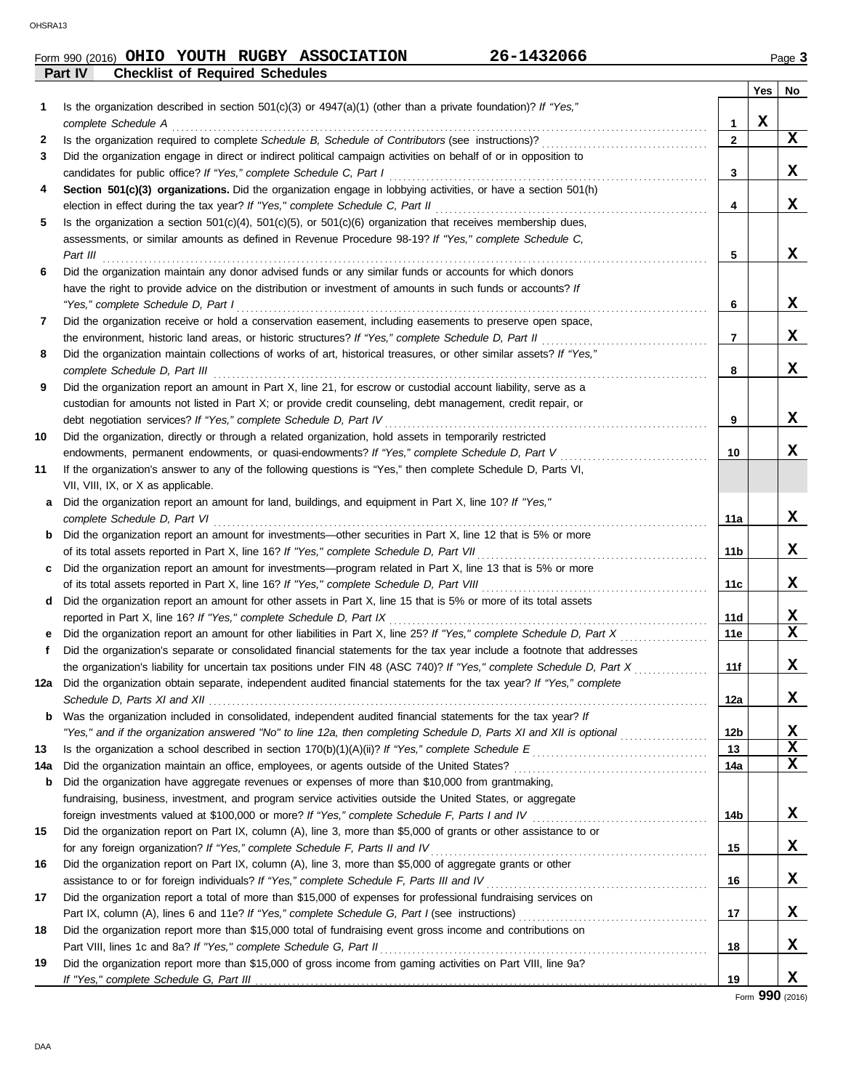# Form 990 (2016) Page **3 OHIO YOUTH RUGBY ASSOCIATION 26-1432066**

**Part IV Checklist of Required Schedules**

|     | succione of troquired conculation                                                                                                                  |                 | Yes | No |
|-----|----------------------------------------------------------------------------------------------------------------------------------------------------|-----------------|-----|----|
| 1   | Is the organization described in section $501(c)(3)$ or $4947(a)(1)$ (other than a private foundation)? If "Yes,"<br>complete Schedule A           | 1               | х   |    |
| 2   |                                                                                                                                                    | $\mathbf{2}$    |     | x  |
| 3   | Did the organization engage in direct or indirect political campaign activities on behalf of or in opposition to                                   |                 |     |    |
|     | candidates for public office? If "Yes," complete Schedule C, Part I                                                                                | 3               |     | x  |
| 4   | Section 501(c)(3) organizations. Did the organization engage in lobbying activities, or have a section 501(h)                                      |                 |     |    |
|     |                                                                                                                                                    | 4               |     | X  |
| 5   | Is the organization a section $501(c)(4)$ , $501(c)(5)$ , or $501(c)(6)$ organization that receives membership dues,                               |                 |     |    |
|     | assessments, or similar amounts as defined in Revenue Procedure 98-19? If "Yes," complete Schedule C,<br>Part III                                  | 5               |     | x  |
| 6   | Did the organization maintain any donor advised funds or any similar funds or accounts for which donors                                            |                 |     |    |
|     | have the right to provide advice on the distribution or investment of amounts in such funds or accounts? If                                        |                 |     |    |
|     | "Yes," complete Schedule D, Part I                                                                                                                 | 6               |     | x  |
| 7   | Did the organization receive or hold a conservation easement, including easements to preserve open space,                                          |                 |     |    |
|     | the environment, historic land areas, or historic structures? If "Yes," complete Schedule D, Part II                                               | $\overline{7}$  |     | x  |
| 8   | Did the organization maintain collections of works of art, historical treasures, or other similar assets? If "Yes,"                                |                 |     |    |
|     |                                                                                                                                                    | 8               |     | x  |
| 9   | Did the organization report an amount in Part X, line 21, for escrow or custodial account liability, serve as a                                    |                 |     |    |
|     | custodian for amounts not listed in Part X; or provide credit counseling, debt management, credit repair, or                                       |                 |     |    |
|     | debt negotiation services? If "Yes," complete Schedule D, Part IV                                                                                  | 9               |     | x  |
| 10  | Did the organization, directly or through a related organization, hold assets in temporarily restricted                                            |                 |     |    |
|     | endowments, permanent endowments, or quasi-endowments? If "Yes," complete Schedule D, Part V                                                       | 10              |     | x  |
| 11  | If the organization's answer to any of the following questions is "Yes," then complete Schedule D, Parts VI,<br>VII, VIII, IX, or X as applicable. |                 |     |    |
| a   | Did the organization report an amount for land, buildings, and equipment in Part X, line 10? If "Yes,"                                             |                 |     |    |
|     |                                                                                                                                                    | 11a             |     | x  |
| b   | Did the organization report an amount for investments—other securities in Part X, line 12 that is 5% or more                                       |                 |     |    |
|     |                                                                                                                                                    | 11b             |     | x  |
| c   | Did the organization report an amount for investments—program related in Part X, line 13 that is 5% or more                                        |                 |     |    |
|     |                                                                                                                                                    | 11c             |     | X  |
| d   | Did the organization report an amount for other assets in Part X, line 15 that is 5% or more of its total assets                                   |                 |     |    |
|     | reported in Part X, line 16? If "Yes," complete Schedule D, Part IX                                                                                | 11d             |     | х  |
|     | Did the organization report an amount for other liabilities in Part X, line 25? If "Yes," complete Schedule D, Part X                              | 11e             |     | X  |
| f   | Did the organization's separate or consolidated financial statements for the tax year include a footnote that addresses                            |                 |     |    |
|     |                                                                                                                                                    | 11f             |     | X  |
|     | 12a Did the organization obtain separate, independent audited financial statements for the tax year? If "Yes," complete                            |                 |     |    |
|     |                                                                                                                                                    | 12a             |     | X, |
|     | <b>b</b> Was the organization included in consolidated, independent audited financial statements for the tax year? If                              |                 |     |    |
|     | "Yes," and if the organization answered "No" to line 12a, then completing Schedule D, Parts XI and XII is optional                                 | 12 <sub>b</sub> |     | х  |
| 13  |                                                                                                                                                    | 13              |     | X  |
| 14a |                                                                                                                                                    | 14a             |     | X  |
| b   | Did the organization have aggregate revenues or expenses of more than \$10,000 from grantmaking,                                                   |                 |     |    |
|     | fundraising, business, investment, and program service activities outside the United States, or aggregate                                          |                 |     |    |
|     |                                                                                                                                                    | 14b             |     | x  |
| 15  | Did the organization report on Part IX, column (A), line 3, more than \$5,000 of grants or other assistance to or                                  |                 |     |    |
|     | for any foreign organization? If "Yes," complete Schedule F, Parts II and IV [[[[[[[[[[[[[[[[[[[[[[[[[[[[[[[[[                                     | 15              |     | х  |
| 16  | Did the organization report on Part IX, column (A), line 3, more than \$5,000 of aggregate grants or other                                         |                 |     |    |
|     | assistance to or for foreign individuals? If "Yes," complete Schedule F, Parts III and IV [[[[[[[[[[[[[[[[[[[                                      | 16              |     | x  |
| 17  | Did the organization report a total of more than \$15,000 of expenses for professional fundraising services on                                     |                 |     |    |
|     |                                                                                                                                                    | 17              |     | x  |
| 18  | Did the organization report more than \$15,000 total of fundraising event gross income and contributions on                                        | 18              |     | X  |
| 19  | Did the organization report more than \$15,000 of gross income from gaming activities on Part VIII, line 9a?                                       |                 |     |    |
|     |                                                                                                                                                    | 19              |     | X  |

Form **990** (2016)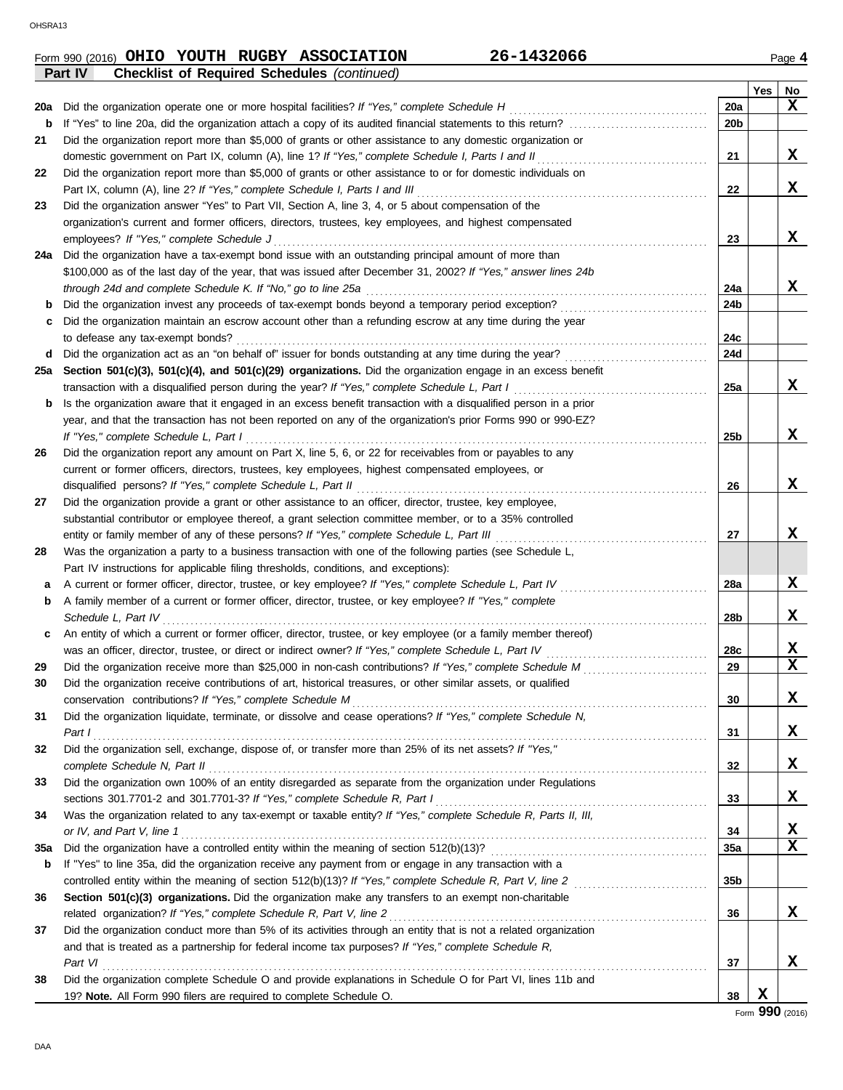|     | <b>Checklist of Required Schedules (continued)</b><br><b>Part IV</b>                                              |                 |     |              |
|-----|-------------------------------------------------------------------------------------------------------------------|-----------------|-----|--------------|
|     |                                                                                                                   |                 | Yes | <b>No</b>    |
| 20a | Did the organization operate one or more hospital facilities? If "Yes," complete Schedule H                       | 20a             |     | X            |
| b   |                                                                                                                   | 20 <sub>b</sub> |     |              |
| 21  | Did the organization report more than \$5,000 of grants or other assistance to any domestic organization or       |                 |     |              |
|     | domestic government on Part IX, column (A), line 1? If "Yes," complete Schedule I, Parts I and II                 | 21              |     | x            |
| 22  | Did the organization report more than \$5,000 of grants or other assistance to or for domestic individuals on     |                 |     |              |
|     | Part IX, column (A), line 2? If "Yes," complete Schedule I, Parts I and III                                       | 22              |     | X            |
| 23  | Did the organization answer "Yes" to Part VII, Section A, line 3, 4, or 5 about compensation of the               |                 |     |              |
|     | organization's current and former officers, directors, trustees, key employees, and highest compensated           |                 |     |              |
|     | employees? If "Yes," complete Schedule J                                                                          | 23              |     | X            |
| 24a | Did the organization have a tax-exempt bond issue with an outstanding principal amount of more than               |                 |     |              |
|     | \$100,000 as of the last day of the year, that was issued after December 31, 2002? If "Yes," answer lines 24b     |                 |     |              |
|     | through 24d and complete Schedule K. If "No," go to line 25a                                                      | 24a             |     | x            |
| b   |                                                                                                                   | 24b             |     |              |
| c   | Did the organization maintain an escrow account other than a refunding escrow at any time during the year         |                 |     |              |
|     | to defease any tax-exempt bonds?                                                                                  | 24c             |     |              |
| d   |                                                                                                                   | 24d             |     |              |
| 25a | Section 501(c)(3), 501(c)(4), and 501(c)(29) organizations. Did the organization engage in an excess benefit      |                 |     |              |
|     | transaction with a disqualified person during the year? If "Yes," complete Schedule L, Part I                     | 25a             |     | X            |
| b   | Is the organization aware that it engaged in an excess benefit transaction with a disqualified person in a prior  |                 |     |              |
|     | year, and that the transaction has not been reported on any of the organization's prior Forms 990 or 990-EZ?      |                 |     |              |
|     | If "Yes," complete Schedule L, Part I                                                                             | 25 <sub>b</sub> |     | X            |
| 26  | Did the organization report any amount on Part X, line 5, 6, or 22 for receivables from or payables to any        |                 |     |              |
|     | current or former officers, directors, trustees, key employees, highest compensated employees, or                 |                 |     |              |
|     | disqualified persons? If "Yes," complete Schedule L, Part II                                                      | 26              |     | x            |
| 27  | Did the organization provide a grant or other assistance to an officer, director, trustee, key employee,          |                 |     |              |
|     | substantial contributor or employee thereof, a grant selection committee member, or to a 35% controlled           |                 |     |              |
|     | entity or family member of any of these persons? If "Yes," complete Schedule L, Part III                          | 27              |     | X            |
| 28  | Was the organization a party to a business transaction with one of the following parties (see Schedule L,         |                 |     |              |
|     | Part IV instructions for applicable filing thresholds, conditions, and exceptions):                               |                 |     |              |
| а   | A current or former officer, director, trustee, or key employee? If "Yes," complete Schedule L, Part IV           | 28a             |     | X            |
| b   | A family member of a current or former officer, director, trustee, or key employee? If "Yes," complete            |                 |     |              |
|     | Schedule L, Part IV                                                                                               | 28 <sub>b</sub> |     | X            |
| c   | An entity of which a current or former officer, director, trustee, or key employee (or a family member thereof)   |                 |     |              |
|     | was an officer, director, trustee, or direct or indirect owner? If "Yes," complete Schedule L, Part IV            | 28c             |     | $\mathbf{x}$ |
| 29  |                                                                                                                   | 29              |     | $\mathbf x$  |
|     | Did the organization receive contributions of art, historical treasures, or other similar assets, or qualified    |                 |     |              |
| 30  |                                                                                                                   | 30              |     | X            |
|     | Did the organization liquidate, terminate, or dissolve and cease operations? If "Yes," complete Schedule N,       |                 |     |              |
| 31  |                                                                                                                   |                 |     | X            |
|     | Part 1<br>Did the organization sell, exchange, dispose of, or transfer more than 25% of its net assets? If "Yes," | 31              |     |              |
| 32  |                                                                                                                   |                 |     | X            |
|     |                                                                                                                   | 32              |     |              |
| 33  | Did the organization own 100% of an entity disregarded as separate from the organization under Regulations        |                 |     |              |
|     |                                                                                                                   | 33              |     | x            |
| 34  | Was the organization related to any tax-exempt or taxable entity? If "Yes," complete Schedule R, Parts II, III,   |                 |     |              |
|     |                                                                                                                   | 34              |     | X            |
| 35a |                                                                                                                   | 35a             |     | X            |
| b   | If "Yes" to line 35a, did the organization receive any payment from or engage in any transaction with a           |                 |     |              |
|     |                                                                                                                   | 35 <sub>b</sub> |     |              |
| 36  | Section 501(c)(3) organizations. Did the organization make any transfers to an exempt non-charitable              |                 |     |              |
|     |                                                                                                                   | 36              |     | X            |
| 37  | Did the organization conduct more than 5% of its activities through an entity that is not a related organization  |                 |     |              |
|     | and that is treated as a partnership for federal income tax purposes? If "Yes," complete Schedule R,              |                 |     |              |
|     | Part VI                                                                                                           | 37              |     | X            |
| 38  | Did the organization complete Schedule O and provide explanations in Schedule O for Part VI, lines 11b and        |                 |     |              |
|     | 19? Note. All Form 990 filers are required to complete Schedule O.                                                | 38              | X   |              |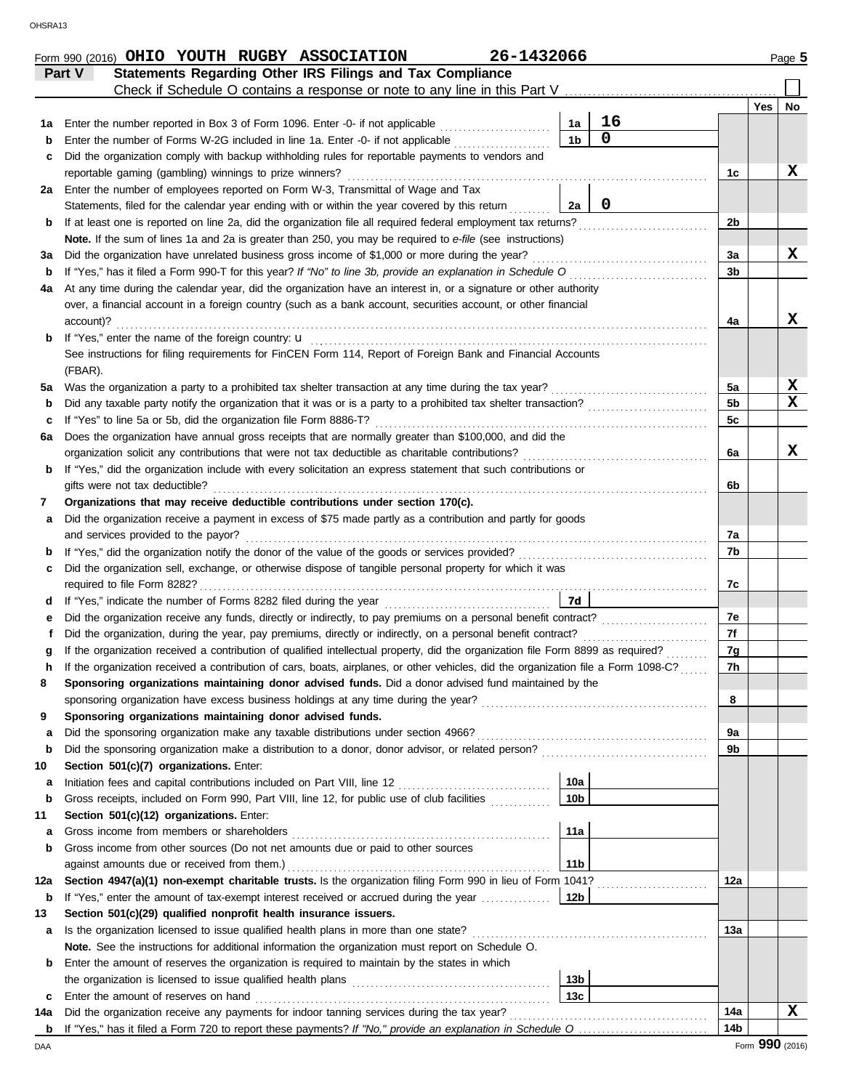|             | Statements Regarding Other IRS Filings and Tax Compliance<br>Part V<br>Check if Schedule O contains a response or note to any line in this Part V                                                                                                |                 |             |                |     |             |
|-------------|--------------------------------------------------------------------------------------------------------------------------------------------------------------------------------------------------------------------------------------------------|-----------------|-------------|----------------|-----|-------------|
|             |                                                                                                                                                                                                                                                  |                 |             |                | Yes | No.         |
| 1а          | Enter the number reported in Box 3 of Form 1096. Enter -0- if not applicable                                                                                                                                                                     | 1a              | 16          |                |     |             |
| $\mathbf b$ | Enter the number of Forms W-2G included in line 1a. Enter -0- if not applicable                                                                                                                                                                  | 1 <sub>b</sub>  | $\mathbf 0$ |                |     |             |
| c           | Did the organization comply with backup withholding rules for reportable payments to vendors and                                                                                                                                                 |                 |             |                |     |             |
|             | reportable gaming (gambling) winnings to prize winners?                                                                                                                                                                                          |                 |             | 1c             |     | x           |
| 2a          | Enter the number of employees reported on Form W-3, Transmittal of Wage and Tax                                                                                                                                                                  |                 |             |                |     |             |
|             | Statements, filed for the calendar year ending with or within the year covered by this return                                                                                                                                                    | 2a              | $\mathbf 0$ |                |     |             |
| b           | If at least one is reported on line 2a, did the organization file all required federal employment tax returns?                                                                                                                                   |                 |             | 2b             |     |             |
|             | Note. If the sum of lines 1a and 2a is greater than 250, you may be required to e-file (see instructions)                                                                                                                                        |                 |             |                |     |             |
| за          | Did the organization have unrelated business gross income of \$1,000 or more during the year?                                                                                                                                                    |                 |             | 3a             |     | x           |
| b           |                                                                                                                                                                                                                                                  |                 |             | 3 <sub>b</sub> |     |             |
| 4a          | At any time during the calendar year, did the organization have an interest in, or a signature or other authority                                                                                                                                |                 |             |                |     |             |
|             | over, a financial account in a foreign country (such as a bank account, securities account, or other financial                                                                                                                                   |                 |             |                |     |             |
|             | account)?                                                                                                                                                                                                                                        |                 |             | 4a             |     | x           |
| b           |                                                                                                                                                                                                                                                  |                 |             |                |     |             |
|             | See instructions for filing requirements for FinCEN Form 114, Report of Foreign Bank and Financial Accounts                                                                                                                                      |                 |             |                |     |             |
|             | (FBAR).                                                                                                                                                                                                                                          |                 |             |                |     |             |
| 5a          |                                                                                                                                                                                                                                                  |                 |             | 5a             |     | x           |
| $\mathbf b$ |                                                                                                                                                                                                                                                  |                 |             | 5 <sub>b</sub> |     | $\mathbf x$ |
| c           | If "Yes" to line 5a or 5b, did the organization file Form 8886-T?                                                                                                                                                                                |                 |             | 5c             |     |             |
| 6а          | Does the organization have annual gross receipts that are normally greater than \$100,000, and did the                                                                                                                                           |                 |             |                |     |             |
|             | organization solicit any contributions that were not tax deductible as charitable contributions?                                                                                                                                                 |                 |             | 6a             |     | x           |
| b           | If "Yes," did the organization include with every solicitation an express statement that such contributions or                                                                                                                                   |                 |             |                |     |             |
|             | gifts were not tax deductible?                                                                                                                                                                                                                   |                 |             | 6b             |     |             |
| 7           | Organizations that may receive deductible contributions under section 170(c).                                                                                                                                                                    |                 |             |                |     |             |
| а           | Did the organization receive a payment in excess of \$75 made partly as a contribution and partly for goods                                                                                                                                      |                 |             |                |     |             |
|             | and services provided to the payor?                                                                                                                                                                                                              |                 |             | 7a             |     |             |
| $\mathbf b$ |                                                                                                                                                                                                                                                  |                 |             | 7b             |     |             |
| c           | Did the organization sell, exchange, or otherwise dispose of tangible personal property for which it was                                                                                                                                         |                 |             |                |     |             |
|             |                                                                                                                                                                                                                                                  |                 |             | 7c             |     |             |
| d           |                                                                                                                                                                                                                                                  | <b>7d</b>       |             |                |     |             |
| е           |                                                                                                                                                                                                                                                  |                 |             | 7e<br>7f       |     |             |
| t           | Did the organization, during the year, pay premiums, directly or indirectly, on a personal benefit contract?<br>If the organization received a contribution of qualified intellectual property, did the organization file Form 8899 as required? |                 |             |                |     |             |
|             |                                                                                                                                                                                                                                                  |                 |             | 7g             |     |             |
|             | If the organization received a contribution of cars, boats, airplanes, or other vehicles, did the organization file a Form 1098-C?                                                                                                               |                 |             | 7h             |     |             |
|             | Sponsoring organizations maintaining donor advised funds. Did a donor advised fund maintained by the                                                                                                                                             |                 |             | 8              |     |             |
| 9           | sponsoring organization have excess business holdings at any time during the year? [[[[[[[[[[[[[[[[[[[[[[[[[[[<br>Sponsoring organizations maintaining donor advised funds.                                                                      |                 |             |                |     |             |
|             |                                                                                                                                                                                                                                                  |                 |             | 9a             |     |             |
| а<br>b      |                                                                                                                                                                                                                                                  |                 |             | 9b             |     |             |
| 10          | Section 501(c)(7) organizations. Enter:                                                                                                                                                                                                          |                 |             |                |     |             |
| а           | Initiation fees and capital contributions included on Part VIII, line 12 [11] [11] [11] [12] [11] [12] [11] [1                                                                                                                                   | 10a             |             |                |     |             |
| $\mathbf b$ | Gross receipts, included on Form 990, Part VIII, line 12, for public use of club facilities                                                                                                                                                      | 10 <sub>b</sub> |             |                |     |             |
| 11          | Section 501(c)(12) organizations. Enter:                                                                                                                                                                                                         |                 |             |                |     |             |
| а           |                                                                                                                                                                                                                                                  | 11a             |             |                |     |             |
| b           | Gross income from other sources (Do not net amounts due or paid to other sources                                                                                                                                                                 |                 |             |                |     |             |
|             |                                                                                                                                                                                                                                                  | 11 <sub>b</sub> |             |                |     |             |
| 12a         | Section 4947(a)(1) non-exempt charitable trusts. Is the organization filing Form 990 in lieu of Form 1041?                                                                                                                                       |                 |             | 12a            |     |             |
| b           | If "Yes," enter the amount of tax-exempt interest received or accrued during the year will be an interest of the sear with the search of the search of the search of the search of the search of the search of the search of t                   | 12 <sub>b</sub> |             |                |     |             |
| 13          | Section 501(c)(29) qualified nonprofit health insurance issuers.                                                                                                                                                                                 |                 |             |                |     |             |
| а           |                                                                                                                                                                                                                                                  |                 |             | 13а            |     |             |
|             | Note. See the instructions for additional information the organization must report on Schedule O.                                                                                                                                                |                 |             |                |     |             |
| b           | Enter the amount of reserves the organization is required to maintain by the states in which                                                                                                                                                     |                 |             |                |     |             |
|             |                                                                                                                                                                                                                                                  | 13 <sub>b</sub> |             |                |     |             |
| c           |                                                                                                                                                                                                                                                  | 13 <sub>c</sub> |             |                |     |             |
| 14a         |                                                                                                                                                                                                                                                  |                 |             | 14a            |     | X           |
|             |                                                                                                                                                                                                                                                  |                 |             | 14b            |     |             |
|             |                                                                                                                                                                                                                                                  |                 |             |                |     |             |

Form 990 (2016) Page **5 OHIO YOUTH RUGBY ASSOCIATION 26-1432066**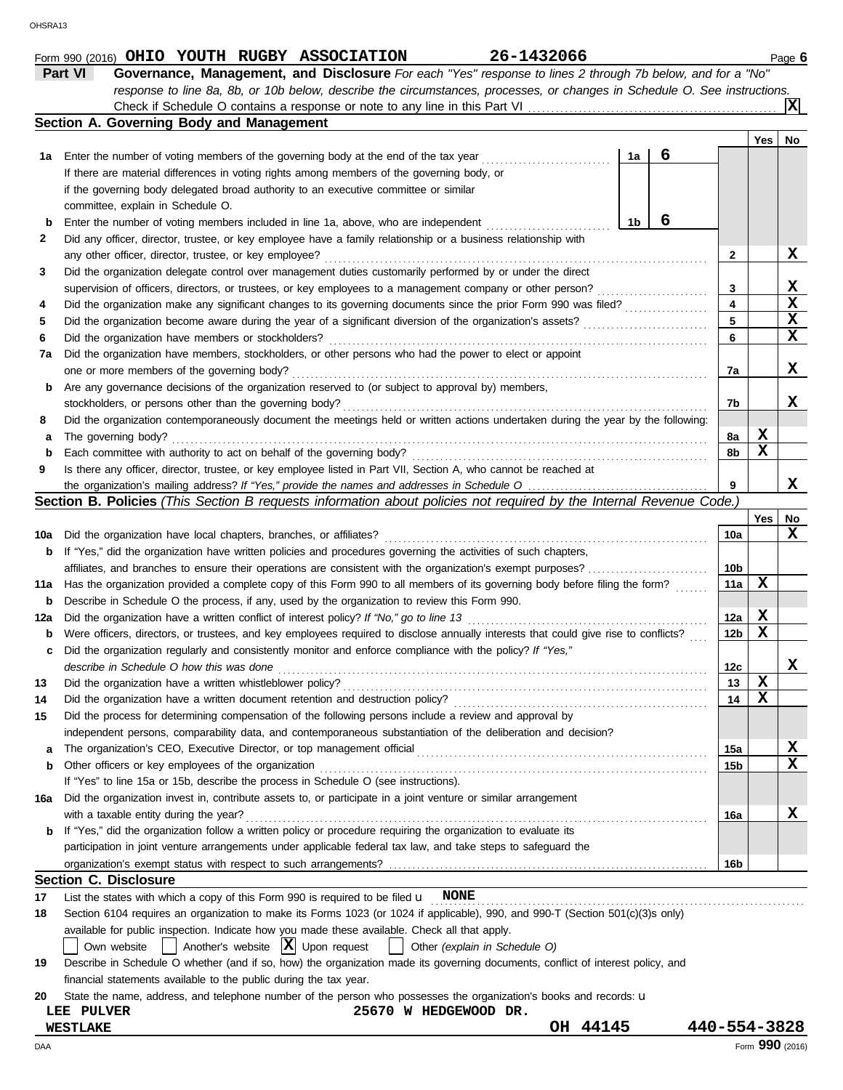|     | response to line 8a, 8b, or 10b below, describe the circumstances, processes, or changes in Schedule O. See instructions.           |   |                 |                 |                  |  |  |  |  |  |  |
|-----|-------------------------------------------------------------------------------------------------------------------------------------|---|-----------------|-----------------|------------------|--|--|--|--|--|--|
|     |                                                                                                                                     |   |                 |                 | ΙXΙ              |  |  |  |  |  |  |
|     | Section A. Governing Body and Management                                                                                            |   |                 |                 |                  |  |  |  |  |  |  |
|     |                                                                                                                                     |   |                 | Yes   No        |                  |  |  |  |  |  |  |
| 1a  | Enter the number of voting members of the governing body at the end of the tax year<br>1a                                           | 6 |                 |                 |                  |  |  |  |  |  |  |
|     | If there are material differences in voting rights among members of the governing body, or                                          |   |                 |                 |                  |  |  |  |  |  |  |
|     | if the governing body delegated broad authority to an executive committee or similar                                                |   |                 |                 |                  |  |  |  |  |  |  |
|     | committee, explain in Schedule O.                                                                                                   |   |                 |                 |                  |  |  |  |  |  |  |
| b   | Enter the number of voting members included in line 1a, above, who are independent<br>1b                                            | 6 |                 |                 |                  |  |  |  |  |  |  |
| 2   | Did any officer, director, trustee, or key employee have a family relationship or a business relationship with                      |   |                 |                 |                  |  |  |  |  |  |  |
|     | any other officer, director, trustee, or key employee?                                                                              |   | 2               |                 | X                |  |  |  |  |  |  |
| 3   | Did the organization delegate control over management duties customarily performed by or under the direct                           |   |                 |                 |                  |  |  |  |  |  |  |
|     | supervision of officers, directors, or trustees, or key employees to a management company or other person?                          |   | 3<br>4          |                 | X<br>$\mathbf x$ |  |  |  |  |  |  |
| 4   | Did the organization make any significant changes to its governing documents since the prior Form 990 was filed?                    |   |                 |                 |                  |  |  |  |  |  |  |
| 5   |                                                                                                                                     |   | 5               |                 | X<br>X           |  |  |  |  |  |  |
| 6   | Did the organization have members or stockholders?                                                                                  |   | 6               |                 |                  |  |  |  |  |  |  |
| 7a  | Did the organization have members, stockholders, or other persons who had the power to elect or appoint                             |   |                 |                 |                  |  |  |  |  |  |  |
|     | one or more members of the governing body?                                                                                          |   | 7a              |                 | X                |  |  |  |  |  |  |
| b   | Are any governance decisions of the organization reserved to (or subject to approval by) members,                                   |   |                 |                 | x                |  |  |  |  |  |  |
|     | stockholders, or persons other than the governing body?                                                                             |   | 7b              |                 |                  |  |  |  |  |  |  |
| 8   | Did the organization contemporaneously document the meetings held or written actions undertaken during the year by the following:   |   |                 | X               |                  |  |  |  |  |  |  |
| а   | The governing body?                                                                                                                 |   | 8a              | X               |                  |  |  |  |  |  |  |
| b   | Each committee with authority to act on behalf of the governing body?                                                               |   | 8b              |                 |                  |  |  |  |  |  |  |
| 9   | Is there any officer, director, trustee, or key employee listed in Part VII, Section A, who cannot be reached at                    |   | 9               |                 | x                |  |  |  |  |  |  |
|     | Section B. Policies (This Section B requests information about policies not required by the Internal Revenue Code.)                 |   |                 |                 |                  |  |  |  |  |  |  |
|     |                                                                                                                                     |   |                 | Yes             | No               |  |  |  |  |  |  |
| 10a | Did the organization have local chapters, branches, or affiliates?                                                                  |   | 10a             |                 | x                |  |  |  |  |  |  |
| b   | If "Yes," did the organization have written policies and procedures governing the activities of such chapters,                      |   |                 |                 |                  |  |  |  |  |  |  |
|     | affiliates, and branches to ensure their operations are consistent with the organization's exempt purposes?                         |   | 10b             |                 |                  |  |  |  |  |  |  |
| 11a | Has the organization provided a complete copy of this Form 990 to all members of its governing body before filing the form?         |   |                 |                 |                  |  |  |  |  |  |  |
| b   | Describe in Schedule O the process, if any, used by the organization to review this Form 990.                                       |   | 11a             | x               |                  |  |  |  |  |  |  |
| 12a | Did the organization have a written conflict of interest policy? If "No," go to line 13                                             |   | 12a             | X               |                  |  |  |  |  |  |  |
| b   | Were officers, directors, or trustees, and key employees required to disclose annually interests that could give rise to conflicts? |   | 12 <sub>b</sub> | X               |                  |  |  |  |  |  |  |
| c   | Did the organization regularly and consistently monitor and enforce compliance with the policy? If "Yes,"                           |   |                 |                 |                  |  |  |  |  |  |  |
|     | describe in Schedule O how this was done                                                                                            |   | 12c             |                 | х                |  |  |  |  |  |  |
| 13  |                                                                                                                                     |   | 13              | X               |                  |  |  |  |  |  |  |
| 14  | Did the organization have a written document retention and destruction policy?                                                      |   | 14              | X               |                  |  |  |  |  |  |  |
| 15  | Did the process for determining compensation of the following persons include a review and approval by                              |   |                 |                 |                  |  |  |  |  |  |  |
|     | independent persons, comparability data, and contemporaneous substantiation of the deliberation and decision?                       |   |                 |                 |                  |  |  |  |  |  |  |
| а   |                                                                                                                                     |   | 15a             |                 | X                |  |  |  |  |  |  |
| b   | Other officers or key employees of the organization                                                                                 |   | 15b             |                 | X                |  |  |  |  |  |  |
|     | If "Yes" to line 15a or 15b, describe the process in Schedule O (see instructions).                                                 |   |                 |                 |                  |  |  |  |  |  |  |
| 16a | Did the organization invest in, contribute assets to, or participate in a joint venture or similar arrangement                      |   |                 |                 |                  |  |  |  |  |  |  |
|     | with a taxable entity during the year?                                                                                              |   | 16a             |                 | X                |  |  |  |  |  |  |
| b   | If "Yes," did the organization follow a written policy or procedure requiring the organization to evaluate its                      |   |                 |                 |                  |  |  |  |  |  |  |
|     | participation in joint venture arrangements under applicable federal tax law, and take steps to safeguard the                       |   |                 |                 |                  |  |  |  |  |  |  |
|     |                                                                                                                                     |   | 16 <sub>b</sub> |                 |                  |  |  |  |  |  |  |
|     | <b>Section C. Disclosure</b>                                                                                                        |   |                 |                 |                  |  |  |  |  |  |  |
| 17  | List the states with which a copy of this Form 990 is required to be filed $\mathbf{u}$ NONE                                        |   |                 |                 |                  |  |  |  |  |  |  |
| 18  | Section 6104 requires an organization to make its Forms 1023 (or 1024 if applicable), 990, and 990-T (Section 501(c)(3)s only)      |   |                 |                 |                  |  |  |  |  |  |  |
|     | available for public inspection. Indicate how you made these available. Check all that apply.                                       |   |                 |                 |                  |  |  |  |  |  |  |
|     | $\vert$ Another's website $\vert X \vert$ Upon request<br>Other (explain in Schedule O)<br>Own website                              |   |                 |                 |                  |  |  |  |  |  |  |
| 19  | Describe in Schedule O whether (and if so, how) the organization made its governing documents, conflict of interest policy, and     |   |                 |                 |                  |  |  |  |  |  |  |
|     | financial statements available to the public during the tax year.                                                                   |   |                 |                 |                  |  |  |  |  |  |  |
| 20  | State the name, address, and telephone number of the person who possesses the organization's books and records: u                   |   |                 |                 |                  |  |  |  |  |  |  |
|     | LEE PULVER<br>25670 W HEDGEWOOD DR.                                                                                                 |   |                 |                 |                  |  |  |  |  |  |  |
|     | OH 44145<br><b>WESTLAKE</b>                                                                                                         |   |                 | 440-554-3828    |                  |  |  |  |  |  |  |
| DAA |                                                                                                                                     |   |                 | Form 990 (2016) |                  |  |  |  |  |  |  |

**Part VI Governance, Management, and Disclosure** *For each "Yes" response to lines 2 through 7b below, and for a "No"*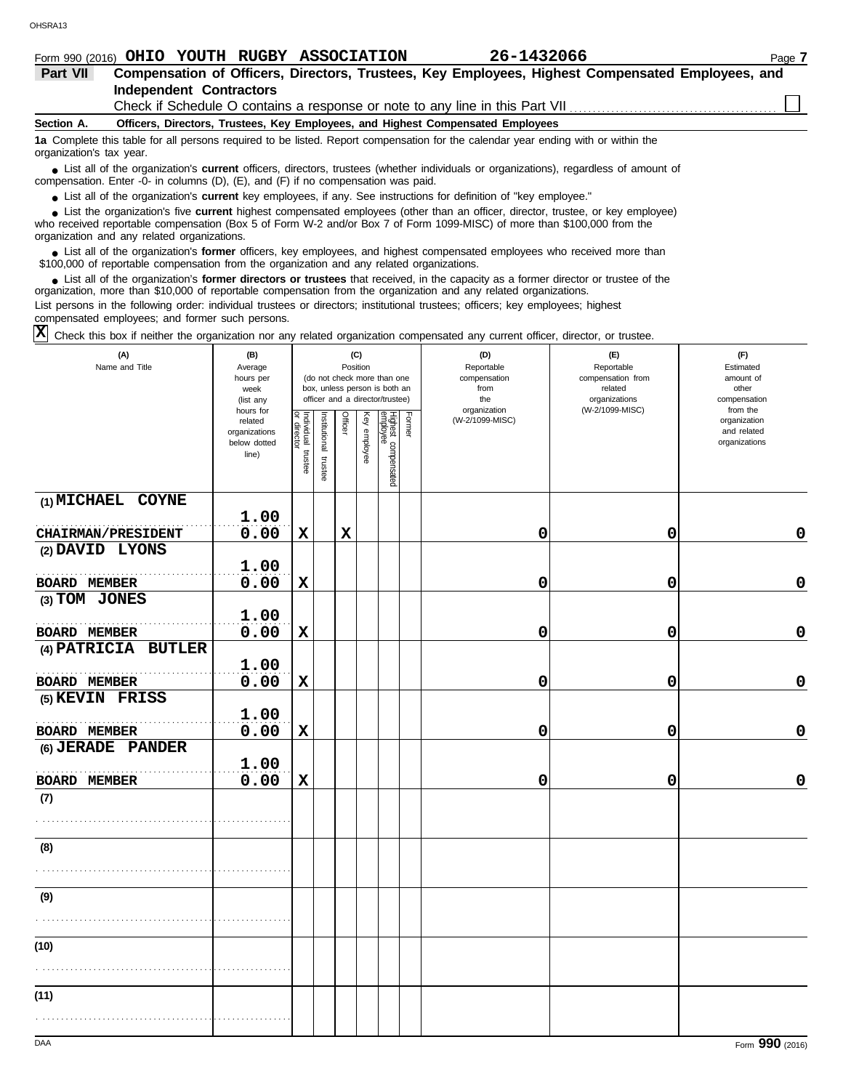|                         | Form 990 (2016) OHIO YOUTH RUGBY ASSOCIATION                                  |  |  |  |  | 26-1432066 |                                                                                                  |  | Page 7 |  |
|-------------------------|-------------------------------------------------------------------------------|--|--|--|--|------------|--------------------------------------------------------------------------------------------------|--|--------|--|
| <b>Part VII</b>         |                                                                               |  |  |  |  |            | Compensation of Officers, Directors, Trustees, Key Employees, Highest Compensated Employees, and |  |        |  |
| Independent Contractors |                                                                               |  |  |  |  |            |                                                                                                  |  |        |  |
|                         | Check if Schedule O contains a response or note to any line in this Part VII. |  |  |  |  |            |                                                                                                  |  |        |  |

**Section A. Officers, Directors, Trustees, Key Employees, and Highest Compensated Employees**

**1a** Complete this table for all persons required to be listed. Report compensation for the calendar year ending with or within the organization's tax year.

■ List all of the organization's **current** officers, directors, trustees (whether individuals or organizations), regardless of amount of compensation. Enter -0- in columns (D), (E), and (F) if no compensation was paid.

● List all of the organization's **current** key employees, if any. See instructions for definition of "key employee."

who received reportable compensation (Box 5 of Form W-2 and/or Box 7 of Form 1099-MISC) of more than \$100,000 from the ■ List the organization's five **current** highest compensated employees (other than an officer, director, trustee, or key employee)<br> **•** received reportable compensation (Box 5 of Form M/-2 and/or Box 7 of Form 1099-MISC)

organization and any related organizations.

■ List all of the organization's **former** officers, key employees, and highest compensated employees who received more than<br>00,000 of reportable compensation from the organization and any related organizations \$100,000 of reportable compensation from the organization and any related organizations.

■ List all of the organization's **former directors or trustees** that received, in the capacity as a former director or trustee of the<br>enization more than \$10,000 of reportable compensation from the organization and any re organization, more than \$10,000 of reportable compensation from the organization and any related organizations. List persons in the following order: individual trustees or directors; institutional trustees; officers; key employees; highest

compensated employees; and former such persons.

 $\overline{X}$  Check this box if neither the organization nor any related organization compensated any current officer, director, or trustee.

| (A)<br>Name and Title                                | (B)<br>Average<br>hours per<br>week<br>(list any               | (C)<br>Position<br>(do not check more than one<br>box, unless person is both an<br>officer and a director/trustee) |                       |             |              |                                 |        | (D)<br>Reportable<br>compensation<br>from<br>the<br>organization | (E)<br>Reportable<br>compensation from<br>related<br>organizations | (F)<br>Estimated<br>amount of<br>other<br>compensation   |  |  |
|------------------------------------------------------|----------------------------------------------------------------|--------------------------------------------------------------------------------------------------------------------|-----------------------|-------------|--------------|---------------------------------|--------|------------------------------------------------------------------|--------------------------------------------------------------------|----------------------------------------------------------|--|--|
|                                                      | hours for<br>related<br>organizations<br>below dotted<br>line) | Individual trustee<br>or director                                                                                  | Institutional trustee | Officer     | Key employee | Highest compensated<br>employee | Former | (W-2/1099-MISC)                                                  | (W-2/1099-MISC)                                                    | from the<br>organization<br>and related<br>organizations |  |  |
| (1) MICHAEL COYNE                                    | 1.00                                                           |                                                                                                                    |                       |             |              |                                 |        |                                                                  |                                                                    |                                                          |  |  |
| <b>CHAIRMAN/PRESIDENT</b>                            | 0.00                                                           | $\mathbf x$                                                                                                        |                       | $\mathbf x$ |              |                                 |        | 0                                                                | 0                                                                  | $\mathbf 0$                                              |  |  |
| (2) DAVID LYONS                                      |                                                                |                                                                                                                    |                       |             |              |                                 |        |                                                                  |                                                                    |                                                          |  |  |
|                                                      | 1.00                                                           |                                                                                                                    |                       |             |              |                                 |        |                                                                  |                                                                    |                                                          |  |  |
| <b>BOARD MEMBER</b>                                  | 0.00                                                           | $\mathbf x$                                                                                                        |                       |             |              |                                 |        | 0                                                                | 0                                                                  | $\mathbf 0$                                              |  |  |
| (3) TOM JONES                                        |                                                                |                                                                                                                    |                       |             |              |                                 |        |                                                                  |                                                                    |                                                          |  |  |
|                                                      | 1.00                                                           |                                                                                                                    |                       |             |              |                                 |        |                                                                  |                                                                    |                                                          |  |  |
| <b>BOARD MEMBER</b><br><b>BUTLER</b><br>(4) PATRICIA | 0.00                                                           | $\mathbf x$                                                                                                        |                       |             |              |                                 |        | 0                                                                | 0                                                                  | $\mathbf 0$                                              |  |  |
|                                                      | 1.00                                                           |                                                                                                                    |                       |             |              |                                 |        |                                                                  |                                                                    |                                                          |  |  |
| <b>BOARD MEMBER</b>                                  | 0.00                                                           | $\mathbf x$                                                                                                        |                       |             |              |                                 |        | 0                                                                | 0                                                                  | $\mathbf 0$                                              |  |  |
| (5) KEVIN FRISS                                      |                                                                |                                                                                                                    |                       |             |              |                                 |        |                                                                  |                                                                    |                                                          |  |  |
|                                                      | 1.00                                                           |                                                                                                                    |                       |             |              |                                 |        |                                                                  |                                                                    |                                                          |  |  |
| <b>BOARD MEMBER</b>                                  | 0.00                                                           | $\mathbf x$                                                                                                        |                       |             |              |                                 |        | 0                                                                | 0                                                                  | $\mathbf 0$                                              |  |  |
| (6) JERADE PANDER                                    |                                                                |                                                                                                                    |                       |             |              |                                 |        |                                                                  |                                                                    |                                                          |  |  |
|                                                      | 1.00                                                           |                                                                                                                    |                       |             |              |                                 |        |                                                                  |                                                                    |                                                          |  |  |
| <b>BOARD MEMBER</b>                                  | 0.00                                                           | $\mathbf x$                                                                                                        |                       |             |              |                                 |        | 0                                                                | 0                                                                  | $\mathbf 0$                                              |  |  |
| (7)                                                  |                                                                |                                                                                                                    |                       |             |              |                                 |        |                                                                  |                                                                    |                                                          |  |  |
|                                                      |                                                                |                                                                                                                    |                       |             |              |                                 |        |                                                                  |                                                                    |                                                          |  |  |
| (8)                                                  |                                                                |                                                                                                                    |                       |             |              |                                 |        |                                                                  |                                                                    |                                                          |  |  |
|                                                      |                                                                |                                                                                                                    |                       |             |              |                                 |        |                                                                  |                                                                    |                                                          |  |  |
| (9)                                                  |                                                                |                                                                                                                    |                       |             |              |                                 |        |                                                                  |                                                                    |                                                          |  |  |
|                                                      |                                                                |                                                                                                                    |                       |             |              |                                 |        |                                                                  |                                                                    |                                                          |  |  |
| (10)                                                 |                                                                |                                                                                                                    |                       |             |              |                                 |        |                                                                  |                                                                    |                                                          |  |  |
|                                                      |                                                                |                                                                                                                    |                       |             |              |                                 |        |                                                                  |                                                                    |                                                          |  |  |
| (11)                                                 |                                                                |                                                                                                                    |                       |             |              |                                 |        |                                                                  |                                                                    |                                                          |  |  |
|                                                      |                                                                |                                                                                                                    |                       |             |              |                                 |        |                                                                  |                                                                    |                                                          |  |  |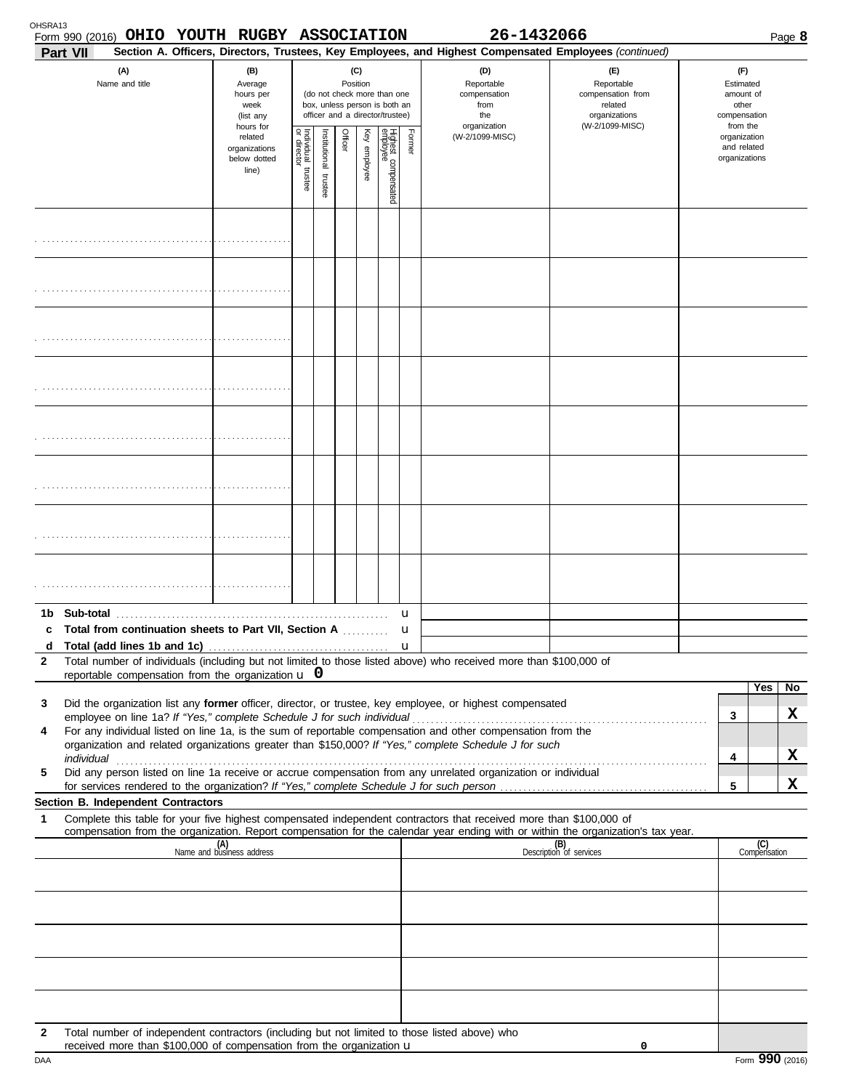| OHSRA13      | Form 990 (2016) OHIO YOUTH RUGBY ASSOCIATION<br>Part VII                                                                                                                                                                                               |                                                                |                                                                                                                    |                      |         |              |                                 |                                                  | 26-1432066<br>Section A. Officers, Directors, Trustees, Key Employees, and Highest Compensated Employees (continued) |                                                        |                                                          |                     | Page 8 |
|--------------|--------------------------------------------------------------------------------------------------------------------------------------------------------------------------------------------------------------------------------------------------------|----------------------------------------------------------------|--------------------------------------------------------------------------------------------------------------------|----------------------|---------|--------------|---------------------------------|--------------------------------------------------|----------------------------------------------------------------------------------------------------------------------|--------------------------------------------------------|----------------------------------------------------------|---------------------|--------|
|              | (A)<br>Name and title                                                                                                                                                                                                                                  | (B)<br>Average<br>hours per<br>week<br>(list any               | (C)<br>Position<br>(do not check more than one<br>box, unless person is both an<br>officer and a director/trustee) |                      |         |              |                                 | (D)<br>Reportable<br>compensation<br>from<br>the | (E)<br>Reportable<br>compensation from<br>related<br>organizations                                                   | (F)<br>Estimated<br>amount of<br>other<br>compensation |                                                          |                     |        |
|              |                                                                                                                                                                                                                                                        | hours for<br>related<br>organizations<br>below dotted<br>line) | Individual trustee<br>or director                                                                                  | nstitutional trustee | Officer | Key employee | Highest compensated<br>employee | Former                                           | organization<br>(W-2/1099-MISC)                                                                                      | (W-2/1099-MISC)                                        | from the<br>organization<br>and related<br>organizations |                     |        |
|              |                                                                                                                                                                                                                                                        |                                                                |                                                                                                                    |                      |         |              |                                 |                                                  |                                                                                                                      |                                                        |                                                          |                     |        |
|              |                                                                                                                                                                                                                                                        |                                                                |                                                                                                                    |                      |         |              |                                 |                                                  |                                                                                                                      |                                                        |                                                          |                     |        |
|              |                                                                                                                                                                                                                                                        |                                                                |                                                                                                                    |                      |         |              |                                 |                                                  |                                                                                                                      |                                                        |                                                          |                     |        |
|              |                                                                                                                                                                                                                                                        |                                                                |                                                                                                                    |                      |         |              |                                 |                                                  |                                                                                                                      |                                                        |                                                          |                     |        |
|              |                                                                                                                                                                                                                                                        |                                                                |                                                                                                                    |                      |         |              |                                 |                                                  |                                                                                                                      |                                                        |                                                          |                     |        |
|              |                                                                                                                                                                                                                                                        |                                                                |                                                                                                                    |                      |         |              |                                 |                                                  |                                                                                                                      |                                                        |                                                          |                     |        |
|              |                                                                                                                                                                                                                                                        |                                                                |                                                                                                                    |                      |         |              |                                 |                                                  |                                                                                                                      |                                                        |                                                          |                     |        |
|              |                                                                                                                                                                                                                                                        |                                                                |                                                                                                                    |                      |         |              |                                 |                                                  |                                                                                                                      |                                                        |                                                          |                     |        |
| 1b.          | Sub-total                                                                                                                                                                                                                                              |                                                                |                                                                                                                    |                      |         |              |                                 | u                                                |                                                                                                                      |                                                        |                                                          |                     |        |
| C<br>d       | <b>Total from continuation sheets to Part VII, Section A </b>                                                                                                                                                                                          |                                                                |                                                                                                                    |                      |         |              |                                 | u<br>$\mathbf u$                                 |                                                                                                                      |                                                        |                                                          |                     |        |
| $\mathbf{2}$ | Total number of individuals (including but not limited to those listed above) who received more than \$100,000 of                                                                                                                                      |                                                                |                                                                                                                    |                      |         |              |                                 |                                                  |                                                                                                                      |                                                        |                                                          |                     |        |
|              | reportable compensation from the organization $\bf{u}$ 0                                                                                                                                                                                               |                                                                |                                                                                                                    |                      |         |              |                                 |                                                  |                                                                                                                      |                                                        |                                                          | Yes                 | No.    |
| 3            | Did the organization list any former officer, director, or trustee, key employee, or highest compensated                                                                                                                                               |                                                                |                                                                                                                    |                      |         |              |                                 |                                                  |                                                                                                                      |                                                        | 3                                                        |                     | X      |
| 4            | For any individual listed on line 1a, is the sum of reportable compensation and other compensation from the<br>organization and related organizations greater than \$150,000? If "Yes," complete Schedule J for such                                   |                                                                |                                                                                                                    |                      |         |              |                                 |                                                  |                                                                                                                      |                                                        |                                                          |                     |        |
|              |                                                                                                                                                                                                                                                        |                                                                |                                                                                                                    |                      |         |              |                                 |                                                  |                                                                                                                      |                                                        | 4                                                        |                     | X      |
| 5            | Did any person listed on line 1a receive or accrue compensation from any unrelated organization or individual                                                                                                                                          |                                                                |                                                                                                                    |                      |         |              |                                 |                                                  |                                                                                                                      |                                                        | 5                                                        |                     | x      |
|              | Section B. Independent Contractors                                                                                                                                                                                                                     |                                                                |                                                                                                                    |                      |         |              |                                 |                                                  |                                                                                                                      |                                                        |                                                          |                     |        |
| 1            | Complete this table for your five highest compensated independent contractors that received more than \$100,000 of<br>compensation from the organization. Report compensation for the calendar year ending with or within the organization's tax year. |                                                                |                                                                                                                    |                      |         |              |                                 |                                                  |                                                                                                                      |                                                        |                                                          |                     |        |
|              |                                                                                                                                                                                                                                                        | (A)<br>Name and business address                               |                                                                                                                    |                      |         |              |                                 |                                                  |                                                                                                                      | (B)<br>Description of services                         |                                                          | (C)<br>Compensation |        |
|              |                                                                                                                                                                                                                                                        |                                                                |                                                                                                                    |                      |         |              |                                 |                                                  |                                                                                                                      |                                                        |                                                          |                     |        |
|              |                                                                                                                                                                                                                                                        |                                                                |                                                                                                                    |                      |         |              |                                 |                                                  |                                                                                                                      |                                                        |                                                          |                     |        |
|              |                                                                                                                                                                                                                                                        |                                                                |                                                                                                                    |                      |         |              |                                 |                                                  |                                                                                                                      |                                                        |                                                          |                     |        |
|              |                                                                                                                                                                                                                                                        |                                                                |                                                                                                                    |                      |         |              |                                 |                                                  |                                                                                                                      |                                                        |                                                          |                     |        |
| 2            | Total number of independent contractors (including but not limited to those listed above) who<br>received more than \$100,000 of compensation from the organization u                                                                                  |                                                                |                                                                                                                    |                      |         |              |                                 |                                                  |                                                                                                                      | 0                                                      |                                                          |                     |        |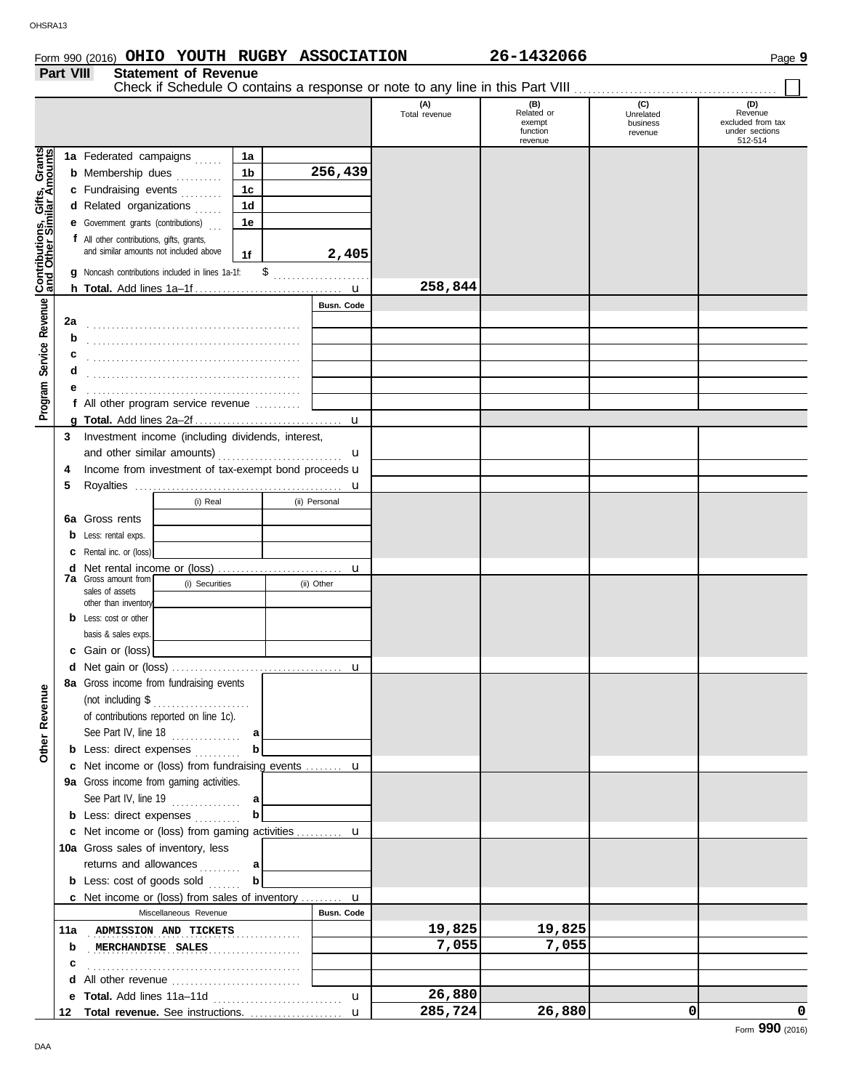# Form 990 (2016) Page **9 OHIO YOUTH RUGBY ASSOCIATION 26-1432066**

**Part VIII Statement of Revenue**

|                                                           |     | Check if Schedule O contains a response or note to any line in this Part VIII |                   |                      |                                                    |                                         |                                                                  |
|-----------------------------------------------------------|-----|-------------------------------------------------------------------------------|-------------------|----------------------|----------------------------------------------------|-----------------------------------------|------------------------------------------------------------------|
|                                                           |     |                                                                               |                   | (A)<br>Total revenue | (B)<br>Related or<br>exempt<br>function<br>revenue | (C)<br>Unrelated<br>business<br>revenue | (D)<br>Revenue<br>excluded from tax<br>under sections<br>512-514 |
|                                                           |     | 1a Federated campaigns<br>1a                                                  |                   |                      |                                                    |                                         |                                                                  |
| Contributions, Gifts, Grants<br>and Other Similar Amounts |     | <b>b</b> Membership dues<br>1b                                                | 256,439           |                      |                                                    |                                         |                                                                  |
|                                                           |     | .<br>c Fundraising events<br>1 <sub>c</sub>                                   |                   |                      |                                                    |                                         |                                                                  |
|                                                           |     | 1 <sub>d</sub>                                                                |                   |                      |                                                    |                                         |                                                                  |
|                                                           |     | d Related organizations                                                       |                   |                      |                                                    |                                         |                                                                  |
|                                                           |     | <b>e</b> Government grants (contributions)<br>1e                              |                   |                      |                                                    |                                         |                                                                  |
|                                                           |     | f All other contributions, gifts, grants,                                     |                   |                      |                                                    |                                         |                                                                  |
|                                                           |     | and similar amounts not included above<br>1f                                  | 2,405             |                      |                                                    |                                         |                                                                  |
|                                                           |     | \$<br>g Noncash contributions included in lines 1a-1f:                        |                   |                      |                                                    |                                         |                                                                  |
|                                                           |     |                                                                               |                   | 258,844              |                                                    |                                         |                                                                  |
|                                                           |     |                                                                               | Busn. Code        |                      |                                                    |                                         |                                                                  |
|                                                           | 2a  |                                                                               |                   |                      |                                                    |                                         |                                                                  |
|                                                           | b   |                                                                               |                   |                      |                                                    |                                         |                                                                  |
|                                                           | с   |                                                                               |                   |                      |                                                    |                                         |                                                                  |
|                                                           | d   |                                                                               |                   |                      |                                                    |                                         |                                                                  |
|                                                           |     |                                                                               |                   |                      |                                                    |                                         |                                                                  |
|                                                           |     | All other program service revenue                                             |                   |                      |                                                    |                                         |                                                                  |
| Program Service Revenue                                   |     |                                                                               | u                 |                      |                                                    |                                         |                                                                  |
|                                                           | 3   | Investment income (including dividends, interest,                             |                   |                      |                                                    |                                         |                                                                  |
|                                                           |     |                                                                               |                   |                      |                                                    |                                         |                                                                  |
|                                                           |     |                                                                               | u                 |                      |                                                    |                                         |                                                                  |
|                                                           | 4   | Income from investment of tax-exempt bond proceeds u                          |                   |                      |                                                    |                                         |                                                                  |
|                                                           | 5   |                                                                               |                   |                      |                                                    |                                         |                                                                  |
|                                                           |     | (i) Real                                                                      | (ii) Personal     |                      |                                                    |                                         |                                                                  |
|                                                           |     | <b>6a</b> Gross rents                                                         |                   |                      |                                                    |                                         |                                                                  |
|                                                           |     | <b>b</b> Less: rental exps.                                                   |                   |                      |                                                    |                                         |                                                                  |
|                                                           | с   | Rental inc. or (loss)                                                         |                   |                      |                                                    |                                         |                                                                  |
|                                                           | d   |                                                                               | u                 |                      |                                                    |                                         |                                                                  |
|                                                           |     | <b>7a</b> Gross amount from<br>(i) Securities                                 | (ii) Other        |                      |                                                    |                                         |                                                                  |
|                                                           |     | sales of assets<br>other than inventory                                       |                   |                      |                                                    |                                         |                                                                  |
|                                                           |     | <b>b</b> Less: cost or other                                                  |                   |                      |                                                    |                                         |                                                                  |
|                                                           |     |                                                                               |                   |                      |                                                    |                                         |                                                                  |
|                                                           |     | basis & sales exps.                                                           |                   |                      |                                                    |                                         |                                                                  |
|                                                           |     | c Gain or (loss)                                                              |                   |                      |                                                    |                                         |                                                                  |
|                                                           |     |                                                                               |                   |                      |                                                    |                                         |                                                                  |
| ₫                                                         |     | 8a Gross income from fundraising events                                       |                   |                      |                                                    |                                         |                                                                  |
| Revent                                                    |     | (not including \$<br>.                                                        |                   |                      |                                                    |                                         |                                                                  |
|                                                           |     | of contributions reported on line 1c).                                        |                   |                      |                                                    |                                         |                                                                  |
|                                                           |     | See Part IV, line 18 $\ldots$<br>a                                            |                   |                      |                                                    |                                         |                                                                  |
| Other                                                     |     | $\mathbf b$<br><b>b</b> Less: direct expenses                                 |                   |                      |                                                    |                                         |                                                                  |
|                                                           |     | c Net income or (loss) from fundraising events  u                             |                   |                      |                                                    |                                         |                                                                  |
|                                                           |     | 9a Gross income from gaming activities.                                       |                   |                      |                                                    |                                         |                                                                  |
|                                                           |     | See Part IV, line 19 $\ldots$<br> a                                           |                   |                      |                                                    |                                         |                                                                  |
|                                                           |     | $\mathbf b$<br><b>b</b> Less: direct expenses                                 |                   |                      |                                                    |                                         |                                                                  |
|                                                           |     | c Net income or (loss) from gaming activities  u                              |                   |                      |                                                    |                                         |                                                                  |
|                                                           |     | 10a Gross sales of inventory, less                                            |                   |                      |                                                    |                                         |                                                                  |
|                                                           |     |                                                                               |                   |                      |                                                    |                                         |                                                                  |
|                                                           |     | returns and allowances<br> a                                                  |                   |                      |                                                    |                                         |                                                                  |
|                                                           |     | b<br><b>b</b> Less: cost of goods sold                                        |                   |                      |                                                    |                                         |                                                                  |
|                                                           |     | <b>c</b> Net income or (loss) from sales of inventory <b>u</b>                |                   |                      |                                                    |                                         |                                                                  |
|                                                           |     | Miscellaneous Revenue                                                         | <b>Busn. Code</b> |                      |                                                    |                                         |                                                                  |
|                                                           | 11a | ADMISSION AND TICKETS                                                         |                   | 19,825               | 19,825                                             |                                         |                                                                  |
|                                                           | b   | MERCHANDISE SALES<br>.                                                        |                   | 7,055                | 7,055                                              |                                         |                                                                  |
|                                                           | c   |                                                                               |                   |                      |                                                    |                                         |                                                                  |
|                                                           | d   | All other revenue                                                             |                   |                      |                                                    |                                         |                                                                  |
|                                                           |     |                                                                               | u                 | 26,880               |                                                    |                                         |                                                                  |
|                                                           | 12  | Total revenue. See instructions.                                              | $\mathbf{u}$      | 285,724              | 26,880                                             | 0                                       | 0                                                                |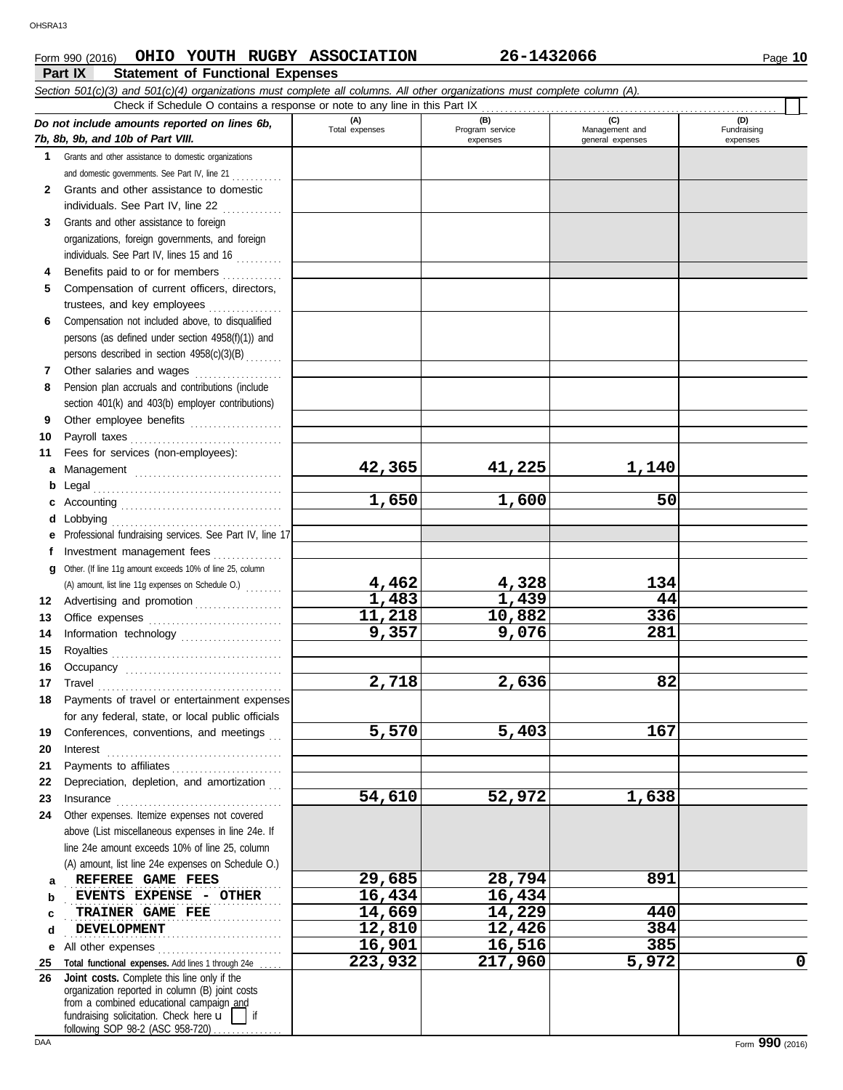# **Form 990 (2016) CHIO YOUTH RUGBY ASSOCIATION 26-1432066** Page 10

**Part IX Statement of Functional Expenses**

|          | Section 501(c)(3) and 501(c)(4) organizations must complete all columns. All other organizations must complete column (A).<br>Check if Schedule O contains a response or note to any line in this Part IX                                                                                                                                                                                                                                                                                                                          |                   |                             |                                    |                         |
|----------|------------------------------------------------------------------------------------------------------------------------------------------------------------------------------------------------------------------------------------------------------------------------------------------------------------------------------------------------------------------------------------------------------------------------------------------------------------------------------------------------------------------------------------|-------------------|-----------------------------|------------------------------------|-------------------------|
|          | Do not include amounts reported on lines 6b,                                                                                                                                                                                                                                                                                                                                                                                                                                                                                       | (A)               | (B)                         | (C)                                | (D)                     |
|          | 7b, 8b, 9b, and 10b of Part VIII.                                                                                                                                                                                                                                                                                                                                                                                                                                                                                                  | Total expenses    | Program service<br>expenses | Management and<br>general expenses | Fundraising<br>expenses |
|          | 1 Grants and other assistance to domestic organizations                                                                                                                                                                                                                                                                                                                                                                                                                                                                            |                   |                             |                                    |                         |
|          | and domestic governments. See Part IV, line 21                                                                                                                                                                                                                                                                                                                                                                                                                                                                                     |                   |                             |                                    |                         |
|          | 2 Grants and other assistance to domestic                                                                                                                                                                                                                                                                                                                                                                                                                                                                                          |                   |                             |                                    |                         |
|          | individuals. See Part IV, line 22                                                                                                                                                                                                                                                                                                                                                                                                                                                                                                  |                   |                             |                                    |                         |
| 3        | Grants and other assistance to foreign                                                                                                                                                                                                                                                                                                                                                                                                                                                                                             |                   |                             |                                    |                         |
|          | organizations, foreign governments, and foreign                                                                                                                                                                                                                                                                                                                                                                                                                                                                                    |                   |                             |                                    |                         |
|          | individuals. See Part IV, lines 15 and 16                                                                                                                                                                                                                                                                                                                                                                                                                                                                                          |                   |                             |                                    |                         |
| 4        | Benefits paid to or for members                                                                                                                                                                                                                                                                                                                                                                                                                                                                                                    |                   |                             |                                    |                         |
| 5        | Compensation of current officers, directors,                                                                                                                                                                                                                                                                                                                                                                                                                                                                                       |                   |                             |                                    |                         |
|          | trustees, and key employees                                                                                                                                                                                                                                                                                                                                                                                                                                                                                                        |                   |                             |                                    |                         |
| 6        | Compensation not included above, to disqualified                                                                                                                                                                                                                                                                                                                                                                                                                                                                                   |                   |                             |                                    |                         |
|          | persons (as defined under section 4958(f)(1)) and                                                                                                                                                                                                                                                                                                                                                                                                                                                                                  |                   |                             |                                    |                         |
|          | persons described in section 4958(c)(3)(B)                                                                                                                                                                                                                                                                                                                                                                                                                                                                                         |                   |                             |                                    |                         |
| 7        | Other salaries and wages                                                                                                                                                                                                                                                                                                                                                                                                                                                                                                           |                   |                             |                                    |                         |
| 8        | Pension plan accruals and contributions (include                                                                                                                                                                                                                                                                                                                                                                                                                                                                                   |                   |                             |                                    |                         |
| 9        | section 401(k) and 403(b) employer contributions)                                                                                                                                                                                                                                                                                                                                                                                                                                                                                  |                   |                             |                                    |                         |
| 10       | Other employee benefits                                                                                                                                                                                                                                                                                                                                                                                                                                                                                                            |                   |                             |                                    |                         |
| 11       | Fees for services (non-employees):                                                                                                                                                                                                                                                                                                                                                                                                                                                                                                 |                   |                             |                                    |                         |
| а        | Management                                                                                                                                                                                                                                                                                                                                                                                                                                                                                                                         | 42,365            | 41,225                      | 1,140                              |                         |
| b        |                                                                                                                                                                                                                                                                                                                                                                                                                                                                                                                                    |                   |                             |                                    |                         |
|          |                                                                                                                                                                                                                                                                                                                                                                                                                                                                                                                                    | 1,650             | 1,600                       | 50                                 |                         |
| d        |                                                                                                                                                                                                                                                                                                                                                                                                                                                                                                                                    |                   |                             |                                    |                         |
| е        | Professional fundraising services. See Part IV, line 17                                                                                                                                                                                                                                                                                                                                                                                                                                                                            |                   |                             |                                    |                         |
| Ť.       | Investment management fees                                                                                                                                                                                                                                                                                                                                                                                                                                                                                                         |                   |                             |                                    |                         |
| g        | Other. (If line 11g amount exceeds 10% of line 25, column                                                                                                                                                                                                                                                                                                                                                                                                                                                                          |                   |                             |                                    |                         |
|          | (A) amount, list line 11g expenses on Schedule O.)                                                                                                                                                                                                                                                                                                                                                                                                                                                                                 | 4,462             | 4,328                       | 134                                |                         |
| 12       | Advertising and promotion                                                                                                                                                                                                                                                                                                                                                                                                                                                                                                          | 1,483             | 1,439                       | 44                                 |                         |
| 13       |                                                                                                                                                                                                                                                                                                                                                                                                                                                                                                                                    | 11,218            | 10,882                      | 336                                |                         |
| 14       | Information technology                                                                                                                                                                                                                                                                                                                                                                                                                                                                                                             | 9,357             | 9,076                       | 281                                |                         |
| 15       |                                                                                                                                                                                                                                                                                                                                                                                                                                                                                                                                    |                   |                             |                                    |                         |
| 16       |                                                                                                                                                                                                                                                                                                                                                                                                                                                                                                                                    | 2,718             | 2,636                       | 82                                 |                         |
| 17       | $\begin{minipage}[c]{0.9\linewidth} \textbf{ Travel} \end{minipage}[ \begin{minipage}[c]{0.9\linewidth} \textbf{True} \end{minipage}[ \begin{minipage}[c]{0.9\linewidth} \textbf{True} \end{minipage}[ \begin{minipage}[c]{0.9\linewidth} \textbf{True} \end{minipage}[ \begin{minipage}[c]{0.9\linewidth} \textbf{True} \end{minipage}[ \begin{minipage}[c]{0.9\linewidth} \textbf{True} \end{minipage}[ \begin{minipage}[c]{0.9\linewidth} \textbf{True} \end{minipage}[ \begin{minipage}[c]{0.9\linewidth} \textbf{True} \end{$ |                   |                             |                                    |                         |
| 18       | Payments of travel or entertainment expenses<br>for any federal, state, or local public officials                                                                                                                                                                                                                                                                                                                                                                                                                                  |                   |                             |                                    |                         |
| 19       | Conferences, conventions, and meetings                                                                                                                                                                                                                                                                                                                                                                                                                                                                                             | 5,570             | 5,403                       | 167                                |                         |
| 20       | Interest                                                                                                                                                                                                                                                                                                                                                                                                                                                                                                                           |                   |                             |                                    |                         |
| 21       | Payments to affiliates                                                                                                                                                                                                                                                                                                                                                                                                                                                                                                             |                   |                             |                                    |                         |
| 22       | Depreciation, depletion, and amortization                                                                                                                                                                                                                                                                                                                                                                                                                                                                                          |                   |                             |                                    |                         |
| 23       | $In surface  \  \, \ldots \  \, \ldots \  \, \ldots \  \, \ldots \  \, \ldots \  \, \ldots \  \, \ldots \  \, \ldots \  \, \ldots \  \, \ldots \  \, \ldots \  \, \ldots \  \, \ldots \  \, \ldots \  \, \ldots \  \, \ldots \  \, \ldots \  \, \ldots \  \, \ldots \  \, \ldots \  \, \ldots \  \, \ldots \  \, \ldots \  \, \ldots \  \, \ldots \  \, \ldots \  \, \ldots \  \, \ldots \  \, \ldots \  \, \ldots \  \, \ldots$                                                                                                   | 54,610            | 52,972                      | 1,638                              |                         |
| 24       | Other expenses. Itemize expenses not covered                                                                                                                                                                                                                                                                                                                                                                                                                                                                                       |                   |                             |                                    |                         |
|          | above (List miscellaneous expenses in line 24e. If                                                                                                                                                                                                                                                                                                                                                                                                                                                                                 |                   |                             |                                    |                         |
|          | line 24e amount exceeds 10% of line 25, column                                                                                                                                                                                                                                                                                                                                                                                                                                                                                     |                   |                             |                                    |                         |
|          | (A) amount, list line 24e expenses on Schedule O.)                                                                                                                                                                                                                                                                                                                                                                                                                                                                                 |                   |                             |                                    |                         |
| а        | REFEREE GAME FEES                                                                                                                                                                                                                                                                                                                                                                                                                                                                                                                  | 29,685            | 28,794                      | 891                                |                         |
| b        | EVENTS EXPENSE - OTHER                                                                                                                                                                                                                                                                                                                                                                                                                                                                                                             | 16,434            | 16,434                      |                                    |                         |
| c        | TRAINER GAME FEE                                                                                                                                                                                                                                                                                                                                                                                                                                                                                                                   | 14,669            | 14,229                      | 440                                |                         |
| d        | <b>DEVELOPMENT</b>                                                                                                                                                                                                                                                                                                                                                                                                                                                                                                                 | 12,810            | 12,426                      | 384                                |                         |
| е        | All other expenses                                                                                                                                                                                                                                                                                                                                                                                                                                                                                                                 | 16,901<br>223,932 | 16,516                      | 385                                |                         |
| 25<br>26 | Total functional expenses. Add lines 1 through 24e<br>Joint costs. Complete this line only if the                                                                                                                                                                                                                                                                                                                                                                                                                                  |                   | 217,960                     | 5,972                              | 0                       |
|          | organization reported in column (B) joint costs<br>from a combined educational campaign and                                                                                                                                                                                                                                                                                                                                                                                                                                        |                   |                             |                                    |                         |
|          | fundraising solicitation. Check here $\mathbf{u}$                                                                                                                                                                                                                                                                                                                                                                                                                                                                                  |                   |                             |                                    |                         |
|          | following SOP 98-2 (ASC 958-720)                                                                                                                                                                                                                                                                                                                                                                                                                                                                                                   |                   |                             |                                    |                         |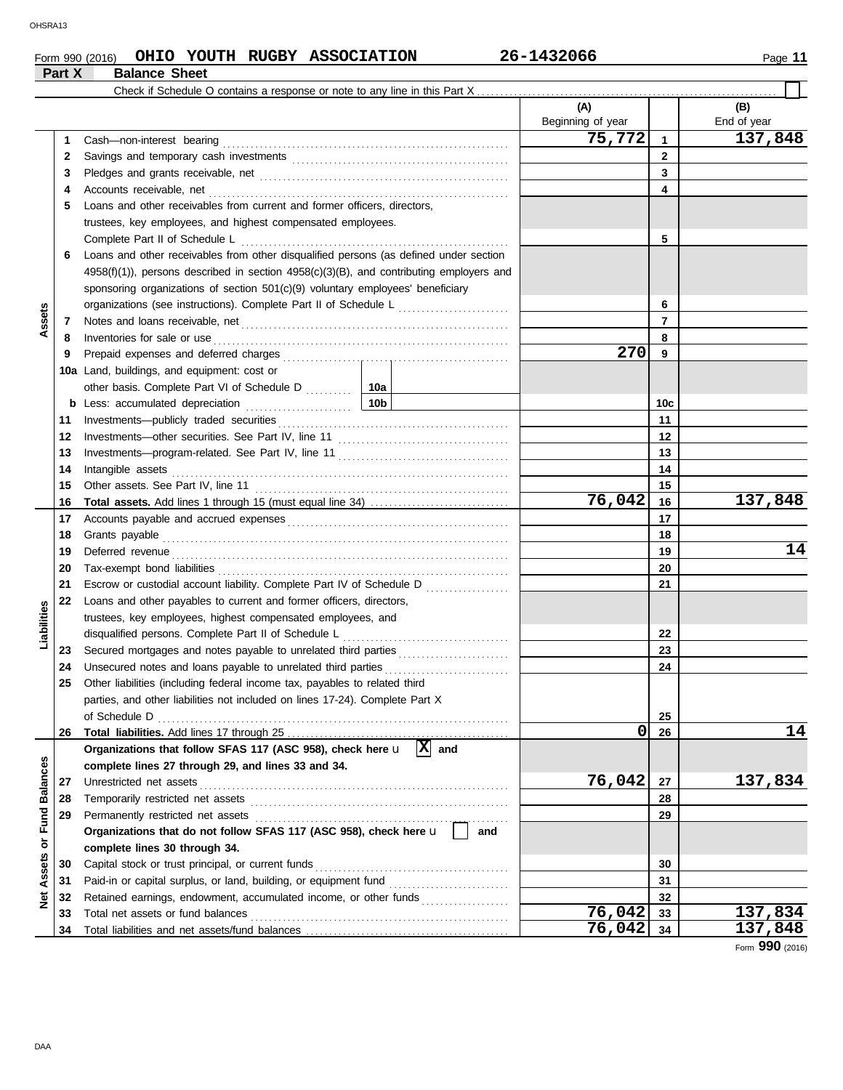# **Form 990 (2016) CHIO YOUTH RUGBY ASSOCIATION** 26-1432066 2011 2010 2010 2021 2030 2041 **Part X Balance Sheet**<br>**Part X Balance Sheet**

| (A)<br>(B)<br>Beginning of year<br>End of year<br>75,772<br>137,848<br>$\mathbf{1}$<br>Cash-non-interest bearing<br>1<br>$\mathbf{2}$<br>2<br>3<br>3<br>Accounts receivable, net<br>4<br>4<br>Loans and other receivables from current and former officers, directors,<br>5<br>trustees, key employees, and highest compensated employees.<br>5<br>Complete Part II of Schedule L<br>Loans and other receivables from other disqualified persons (as defined under section<br>6<br>$4958(f)(1)$ , persons described in section $4958(c)(3)(B)$ , and contributing employers and<br>sponsoring organizations of section 501(c)(9) voluntary employees' beneficiary<br>6<br>Assets<br>$\overline{7}$<br>7<br>8<br>Inventories for sale or use<br>8<br>270<br>9<br>Prepaid expenses and deferred charges<br>9<br>10a Land, buildings, and equipment: cost or<br>other basis. Complete Part VI of Schedule D  10a<br>10b<br>10 <sub>c</sub><br><b>b</b> Less: accumulated depreciation<br>11<br>11<br>12<br>12<br>13<br>13<br>14<br>14<br>15<br>Other assets. See Part IV, line 11<br>15<br>76,042<br>137,848<br>16<br>16<br>17<br>17<br>18<br>18<br>Grants payable <i>communication</i> and all the contract of the contract of the contract of the contract of the contract of the contract of the contract of the contract of the contract of the contract of the contract of the con<br>14<br>19<br>19<br>20<br>Tax-exempt bond liabilities<br>20<br>Escrow or custodial account liability. Complete Part IV of Schedule D<br>21<br>21<br>22<br>Loans and other payables to current and former officers, directors,<br>Liabilities<br>trustees, key employees, highest compensated employees, and<br>disqualified persons. Complete Part II of Schedule L<br>22<br>Secured mortgages and notes payable to unrelated third parties<br>23<br>23<br>Unsecured notes and loans payable to unrelated third parties<br>24<br>24<br>Other liabilities (including federal income tax, payables to related third<br>25<br>parties, and other liabilities not included on lines 17-24). Complete Part X<br>25<br>of Schedule D<br>0<br>14<br>26<br>26<br>$\mathbf{x}$<br>and<br>Organizations that follow SFAS 117 (ASC 958), check here u<br>or Fund Balances<br>complete lines 27 through 29, and lines 33 and 34.<br>76,042<br>137,834<br>27<br>Unrestricted net assets<br>27<br>Temporarily restricted net assets<br>28<br>28<br>Permanently restricted net assets<br>29<br>29<br>Organizations that do not follow SFAS 117 (ASC 958), check here u<br>and<br>complete lines 30 through 34.<br>Assets<br>Capital stock or trust principal, or current funds<br>30<br>30<br>31<br>31<br>ğ<br>Retained earnings, endowment, accumulated income, or other funds<br>32<br>32<br>137,834<br>76,042<br>Total net assets or fund balances<br>33<br>33<br>76,042<br>34<br>34 |  | Check if Schedule O contains a response or note to any line in this Part X. |  |  |         |
|----------------------------------------------------------------------------------------------------------------------------------------------------------------------------------------------------------------------------------------------------------------------------------------------------------------------------------------------------------------------------------------------------------------------------------------------------------------------------------------------------------------------------------------------------------------------------------------------------------------------------------------------------------------------------------------------------------------------------------------------------------------------------------------------------------------------------------------------------------------------------------------------------------------------------------------------------------------------------------------------------------------------------------------------------------------------------------------------------------------------------------------------------------------------------------------------------------------------------------------------------------------------------------------------------------------------------------------------------------------------------------------------------------------------------------------------------------------------------------------------------------------------------------------------------------------------------------------------------------------------------------------------------------------------------------------------------------------------------------------------------------------------------------------------------------------------------------------------------------------------------------------------------------------------------------------------------------------------------------------------------------------------------------------------------------------------------------------------------------------------------------------------------------------------------------------------------------------------------------------------------------------------------------------------------------------------------------------------------------------------------------------------------------------------------------------------------------------------------------------------------------------------------------------------------------------------------------------------------------------------------------------------------------------------------------------------------------------------------------------------------------------------------------------------------------------------------------------------------------------|--|-----------------------------------------------------------------------------|--|--|---------|
|                                                                                                                                                                                                                                                                                                                                                                                                                                                                                                                                                                                                                                                                                                                                                                                                                                                                                                                                                                                                                                                                                                                                                                                                                                                                                                                                                                                                                                                                                                                                                                                                                                                                                                                                                                                                                                                                                                                                                                                                                                                                                                                                                                                                                                                                                                                                                                                                                                                                                                                                                                                                                                                                                                                                                                                                                                                                |  |                                                                             |  |  |         |
|                                                                                                                                                                                                                                                                                                                                                                                                                                                                                                                                                                                                                                                                                                                                                                                                                                                                                                                                                                                                                                                                                                                                                                                                                                                                                                                                                                                                                                                                                                                                                                                                                                                                                                                                                                                                                                                                                                                                                                                                                                                                                                                                                                                                                                                                                                                                                                                                                                                                                                                                                                                                                                                                                                                                                                                                                                                                |  |                                                                             |  |  |         |
|                                                                                                                                                                                                                                                                                                                                                                                                                                                                                                                                                                                                                                                                                                                                                                                                                                                                                                                                                                                                                                                                                                                                                                                                                                                                                                                                                                                                                                                                                                                                                                                                                                                                                                                                                                                                                                                                                                                                                                                                                                                                                                                                                                                                                                                                                                                                                                                                                                                                                                                                                                                                                                                                                                                                                                                                                                                                |  |                                                                             |  |  |         |
|                                                                                                                                                                                                                                                                                                                                                                                                                                                                                                                                                                                                                                                                                                                                                                                                                                                                                                                                                                                                                                                                                                                                                                                                                                                                                                                                                                                                                                                                                                                                                                                                                                                                                                                                                                                                                                                                                                                                                                                                                                                                                                                                                                                                                                                                                                                                                                                                                                                                                                                                                                                                                                                                                                                                                                                                                                                                |  |                                                                             |  |  |         |
|                                                                                                                                                                                                                                                                                                                                                                                                                                                                                                                                                                                                                                                                                                                                                                                                                                                                                                                                                                                                                                                                                                                                                                                                                                                                                                                                                                                                                                                                                                                                                                                                                                                                                                                                                                                                                                                                                                                                                                                                                                                                                                                                                                                                                                                                                                                                                                                                                                                                                                                                                                                                                                                                                                                                                                                                                                                                |  |                                                                             |  |  |         |
|                                                                                                                                                                                                                                                                                                                                                                                                                                                                                                                                                                                                                                                                                                                                                                                                                                                                                                                                                                                                                                                                                                                                                                                                                                                                                                                                                                                                                                                                                                                                                                                                                                                                                                                                                                                                                                                                                                                                                                                                                                                                                                                                                                                                                                                                                                                                                                                                                                                                                                                                                                                                                                                                                                                                                                                                                                                                |  |                                                                             |  |  |         |
|                                                                                                                                                                                                                                                                                                                                                                                                                                                                                                                                                                                                                                                                                                                                                                                                                                                                                                                                                                                                                                                                                                                                                                                                                                                                                                                                                                                                                                                                                                                                                                                                                                                                                                                                                                                                                                                                                                                                                                                                                                                                                                                                                                                                                                                                                                                                                                                                                                                                                                                                                                                                                                                                                                                                                                                                                                                                |  |                                                                             |  |  |         |
|                                                                                                                                                                                                                                                                                                                                                                                                                                                                                                                                                                                                                                                                                                                                                                                                                                                                                                                                                                                                                                                                                                                                                                                                                                                                                                                                                                                                                                                                                                                                                                                                                                                                                                                                                                                                                                                                                                                                                                                                                                                                                                                                                                                                                                                                                                                                                                                                                                                                                                                                                                                                                                                                                                                                                                                                                                                                |  |                                                                             |  |  |         |
|                                                                                                                                                                                                                                                                                                                                                                                                                                                                                                                                                                                                                                                                                                                                                                                                                                                                                                                                                                                                                                                                                                                                                                                                                                                                                                                                                                                                                                                                                                                                                                                                                                                                                                                                                                                                                                                                                                                                                                                                                                                                                                                                                                                                                                                                                                                                                                                                                                                                                                                                                                                                                                                                                                                                                                                                                                                                |  |                                                                             |  |  |         |
|                                                                                                                                                                                                                                                                                                                                                                                                                                                                                                                                                                                                                                                                                                                                                                                                                                                                                                                                                                                                                                                                                                                                                                                                                                                                                                                                                                                                                                                                                                                                                                                                                                                                                                                                                                                                                                                                                                                                                                                                                                                                                                                                                                                                                                                                                                                                                                                                                                                                                                                                                                                                                                                                                                                                                                                                                                                                |  |                                                                             |  |  |         |
|                                                                                                                                                                                                                                                                                                                                                                                                                                                                                                                                                                                                                                                                                                                                                                                                                                                                                                                                                                                                                                                                                                                                                                                                                                                                                                                                                                                                                                                                                                                                                                                                                                                                                                                                                                                                                                                                                                                                                                                                                                                                                                                                                                                                                                                                                                                                                                                                                                                                                                                                                                                                                                                                                                                                                                                                                                                                |  |                                                                             |  |  |         |
|                                                                                                                                                                                                                                                                                                                                                                                                                                                                                                                                                                                                                                                                                                                                                                                                                                                                                                                                                                                                                                                                                                                                                                                                                                                                                                                                                                                                                                                                                                                                                                                                                                                                                                                                                                                                                                                                                                                                                                                                                                                                                                                                                                                                                                                                                                                                                                                                                                                                                                                                                                                                                                                                                                                                                                                                                                                                |  |                                                                             |  |  |         |
|                                                                                                                                                                                                                                                                                                                                                                                                                                                                                                                                                                                                                                                                                                                                                                                                                                                                                                                                                                                                                                                                                                                                                                                                                                                                                                                                                                                                                                                                                                                                                                                                                                                                                                                                                                                                                                                                                                                                                                                                                                                                                                                                                                                                                                                                                                                                                                                                                                                                                                                                                                                                                                                                                                                                                                                                                                                                |  |                                                                             |  |  |         |
|                                                                                                                                                                                                                                                                                                                                                                                                                                                                                                                                                                                                                                                                                                                                                                                                                                                                                                                                                                                                                                                                                                                                                                                                                                                                                                                                                                                                                                                                                                                                                                                                                                                                                                                                                                                                                                                                                                                                                                                                                                                                                                                                                                                                                                                                                                                                                                                                                                                                                                                                                                                                                                                                                                                                                                                                                                                                |  |                                                                             |  |  |         |
|                                                                                                                                                                                                                                                                                                                                                                                                                                                                                                                                                                                                                                                                                                                                                                                                                                                                                                                                                                                                                                                                                                                                                                                                                                                                                                                                                                                                                                                                                                                                                                                                                                                                                                                                                                                                                                                                                                                                                                                                                                                                                                                                                                                                                                                                                                                                                                                                                                                                                                                                                                                                                                                                                                                                                                                                                                                                |  |                                                                             |  |  |         |
|                                                                                                                                                                                                                                                                                                                                                                                                                                                                                                                                                                                                                                                                                                                                                                                                                                                                                                                                                                                                                                                                                                                                                                                                                                                                                                                                                                                                                                                                                                                                                                                                                                                                                                                                                                                                                                                                                                                                                                                                                                                                                                                                                                                                                                                                                                                                                                                                                                                                                                                                                                                                                                                                                                                                                                                                                                                                |  |                                                                             |  |  |         |
|                                                                                                                                                                                                                                                                                                                                                                                                                                                                                                                                                                                                                                                                                                                                                                                                                                                                                                                                                                                                                                                                                                                                                                                                                                                                                                                                                                                                                                                                                                                                                                                                                                                                                                                                                                                                                                                                                                                                                                                                                                                                                                                                                                                                                                                                                                                                                                                                                                                                                                                                                                                                                                                                                                                                                                                                                                                                |  |                                                                             |  |  |         |
|                                                                                                                                                                                                                                                                                                                                                                                                                                                                                                                                                                                                                                                                                                                                                                                                                                                                                                                                                                                                                                                                                                                                                                                                                                                                                                                                                                                                                                                                                                                                                                                                                                                                                                                                                                                                                                                                                                                                                                                                                                                                                                                                                                                                                                                                                                                                                                                                                                                                                                                                                                                                                                                                                                                                                                                                                                                                |  |                                                                             |  |  |         |
|                                                                                                                                                                                                                                                                                                                                                                                                                                                                                                                                                                                                                                                                                                                                                                                                                                                                                                                                                                                                                                                                                                                                                                                                                                                                                                                                                                                                                                                                                                                                                                                                                                                                                                                                                                                                                                                                                                                                                                                                                                                                                                                                                                                                                                                                                                                                                                                                                                                                                                                                                                                                                                                                                                                                                                                                                                                                |  |                                                                             |  |  |         |
|                                                                                                                                                                                                                                                                                                                                                                                                                                                                                                                                                                                                                                                                                                                                                                                                                                                                                                                                                                                                                                                                                                                                                                                                                                                                                                                                                                                                                                                                                                                                                                                                                                                                                                                                                                                                                                                                                                                                                                                                                                                                                                                                                                                                                                                                                                                                                                                                                                                                                                                                                                                                                                                                                                                                                                                                                                                                |  |                                                                             |  |  |         |
|                                                                                                                                                                                                                                                                                                                                                                                                                                                                                                                                                                                                                                                                                                                                                                                                                                                                                                                                                                                                                                                                                                                                                                                                                                                                                                                                                                                                                                                                                                                                                                                                                                                                                                                                                                                                                                                                                                                                                                                                                                                                                                                                                                                                                                                                                                                                                                                                                                                                                                                                                                                                                                                                                                                                                                                                                                                                |  |                                                                             |  |  |         |
|                                                                                                                                                                                                                                                                                                                                                                                                                                                                                                                                                                                                                                                                                                                                                                                                                                                                                                                                                                                                                                                                                                                                                                                                                                                                                                                                                                                                                                                                                                                                                                                                                                                                                                                                                                                                                                                                                                                                                                                                                                                                                                                                                                                                                                                                                                                                                                                                                                                                                                                                                                                                                                                                                                                                                                                                                                                                |  |                                                                             |  |  |         |
|                                                                                                                                                                                                                                                                                                                                                                                                                                                                                                                                                                                                                                                                                                                                                                                                                                                                                                                                                                                                                                                                                                                                                                                                                                                                                                                                                                                                                                                                                                                                                                                                                                                                                                                                                                                                                                                                                                                                                                                                                                                                                                                                                                                                                                                                                                                                                                                                                                                                                                                                                                                                                                                                                                                                                                                                                                                                |  |                                                                             |  |  |         |
|                                                                                                                                                                                                                                                                                                                                                                                                                                                                                                                                                                                                                                                                                                                                                                                                                                                                                                                                                                                                                                                                                                                                                                                                                                                                                                                                                                                                                                                                                                                                                                                                                                                                                                                                                                                                                                                                                                                                                                                                                                                                                                                                                                                                                                                                                                                                                                                                                                                                                                                                                                                                                                                                                                                                                                                                                                                                |  |                                                                             |  |  |         |
|                                                                                                                                                                                                                                                                                                                                                                                                                                                                                                                                                                                                                                                                                                                                                                                                                                                                                                                                                                                                                                                                                                                                                                                                                                                                                                                                                                                                                                                                                                                                                                                                                                                                                                                                                                                                                                                                                                                                                                                                                                                                                                                                                                                                                                                                                                                                                                                                                                                                                                                                                                                                                                                                                                                                                                                                                                                                |  |                                                                             |  |  |         |
|                                                                                                                                                                                                                                                                                                                                                                                                                                                                                                                                                                                                                                                                                                                                                                                                                                                                                                                                                                                                                                                                                                                                                                                                                                                                                                                                                                                                                                                                                                                                                                                                                                                                                                                                                                                                                                                                                                                                                                                                                                                                                                                                                                                                                                                                                                                                                                                                                                                                                                                                                                                                                                                                                                                                                                                                                                                                |  |                                                                             |  |  |         |
|                                                                                                                                                                                                                                                                                                                                                                                                                                                                                                                                                                                                                                                                                                                                                                                                                                                                                                                                                                                                                                                                                                                                                                                                                                                                                                                                                                                                                                                                                                                                                                                                                                                                                                                                                                                                                                                                                                                                                                                                                                                                                                                                                                                                                                                                                                                                                                                                                                                                                                                                                                                                                                                                                                                                                                                                                                                                |  |                                                                             |  |  |         |
|                                                                                                                                                                                                                                                                                                                                                                                                                                                                                                                                                                                                                                                                                                                                                                                                                                                                                                                                                                                                                                                                                                                                                                                                                                                                                                                                                                                                                                                                                                                                                                                                                                                                                                                                                                                                                                                                                                                                                                                                                                                                                                                                                                                                                                                                                                                                                                                                                                                                                                                                                                                                                                                                                                                                                                                                                                                                |  |                                                                             |  |  |         |
|                                                                                                                                                                                                                                                                                                                                                                                                                                                                                                                                                                                                                                                                                                                                                                                                                                                                                                                                                                                                                                                                                                                                                                                                                                                                                                                                                                                                                                                                                                                                                                                                                                                                                                                                                                                                                                                                                                                                                                                                                                                                                                                                                                                                                                                                                                                                                                                                                                                                                                                                                                                                                                                                                                                                                                                                                                                                |  |                                                                             |  |  |         |
|                                                                                                                                                                                                                                                                                                                                                                                                                                                                                                                                                                                                                                                                                                                                                                                                                                                                                                                                                                                                                                                                                                                                                                                                                                                                                                                                                                                                                                                                                                                                                                                                                                                                                                                                                                                                                                                                                                                                                                                                                                                                                                                                                                                                                                                                                                                                                                                                                                                                                                                                                                                                                                                                                                                                                                                                                                                                |  |                                                                             |  |  |         |
|                                                                                                                                                                                                                                                                                                                                                                                                                                                                                                                                                                                                                                                                                                                                                                                                                                                                                                                                                                                                                                                                                                                                                                                                                                                                                                                                                                                                                                                                                                                                                                                                                                                                                                                                                                                                                                                                                                                                                                                                                                                                                                                                                                                                                                                                                                                                                                                                                                                                                                                                                                                                                                                                                                                                                                                                                                                                |  |                                                                             |  |  |         |
|                                                                                                                                                                                                                                                                                                                                                                                                                                                                                                                                                                                                                                                                                                                                                                                                                                                                                                                                                                                                                                                                                                                                                                                                                                                                                                                                                                                                                                                                                                                                                                                                                                                                                                                                                                                                                                                                                                                                                                                                                                                                                                                                                                                                                                                                                                                                                                                                                                                                                                                                                                                                                                                                                                                                                                                                                                                                |  |                                                                             |  |  |         |
|                                                                                                                                                                                                                                                                                                                                                                                                                                                                                                                                                                                                                                                                                                                                                                                                                                                                                                                                                                                                                                                                                                                                                                                                                                                                                                                                                                                                                                                                                                                                                                                                                                                                                                                                                                                                                                                                                                                                                                                                                                                                                                                                                                                                                                                                                                                                                                                                                                                                                                                                                                                                                                                                                                                                                                                                                                                                |  |                                                                             |  |  |         |
|                                                                                                                                                                                                                                                                                                                                                                                                                                                                                                                                                                                                                                                                                                                                                                                                                                                                                                                                                                                                                                                                                                                                                                                                                                                                                                                                                                                                                                                                                                                                                                                                                                                                                                                                                                                                                                                                                                                                                                                                                                                                                                                                                                                                                                                                                                                                                                                                                                                                                                                                                                                                                                                                                                                                                                                                                                                                |  |                                                                             |  |  |         |
|                                                                                                                                                                                                                                                                                                                                                                                                                                                                                                                                                                                                                                                                                                                                                                                                                                                                                                                                                                                                                                                                                                                                                                                                                                                                                                                                                                                                                                                                                                                                                                                                                                                                                                                                                                                                                                                                                                                                                                                                                                                                                                                                                                                                                                                                                                                                                                                                                                                                                                                                                                                                                                                                                                                                                                                                                                                                |  |                                                                             |  |  |         |
|                                                                                                                                                                                                                                                                                                                                                                                                                                                                                                                                                                                                                                                                                                                                                                                                                                                                                                                                                                                                                                                                                                                                                                                                                                                                                                                                                                                                                                                                                                                                                                                                                                                                                                                                                                                                                                                                                                                                                                                                                                                                                                                                                                                                                                                                                                                                                                                                                                                                                                                                                                                                                                                                                                                                                                                                                                                                |  |                                                                             |  |  |         |
|                                                                                                                                                                                                                                                                                                                                                                                                                                                                                                                                                                                                                                                                                                                                                                                                                                                                                                                                                                                                                                                                                                                                                                                                                                                                                                                                                                                                                                                                                                                                                                                                                                                                                                                                                                                                                                                                                                                                                                                                                                                                                                                                                                                                                                                                                                                                                                                                                                                                                                                                                                                                                                                                                                                                                                                                                                                                |  |                                                                             |  |  |         |
|                                                                                                                                                                                                                                                                                                                                                                                                                                                                                                                                                                                                                                                                                                                                                                                                                                                                                                                                                                                                                                                                                                                                                                                                                                                                                                                                                                                                                                                                                                                                                                                                                                                                                                                                                                                                                                                                                                                                                                                                                                                                                                                                                                                                                                                                                                                                                                                                                                                                                                                                                                                                                                                                                                                                                                                                                                                                |  |                                                                             |  |  |         |
|                                                                                                                                                                                                                                                                                                                                                                                                                                                                                                                                                                                                                                                                                                                                                                                                                                                                                                                                                                                                                                                                                                                                                                                                                                                                                                                                                                                                                                                                                                                                                                                                                                                                                                                                                                                                                                                                                                                                                                                                                                                                                                                                                                                                                                                                                                                                                                                                                                                                                                                                                                                                                                                                                                                                                                                                                                                                |  |                                                                             |  |  |         |
|                                                                                                                                                                                                                                                                                                                                                                                                                                                                                                                                                                                                                                                                                                                                                                                                                                                                                                                                                                                                                                                                                                                                                                                                                                                                                                                                                                                                                                                                                                                                                                                                                                                                                                                                                                                                                                                                                                                                                                                                                                                                                                                                                                                                                                                                                                                                                                                                                                                                                                                                                                                                                                                                                                                                                                                                                                                                |  |                                                                             |  |  |         |
|                                                                                                                                                                                                                                                                                                                                                                                                                                                                                                                                                                                                                                                                                                                                                                                                                                                                                                                                                                                                                                                                                                                                                                                                                                                                                                                                                                                                                                                                                                                                                                                                                                                                                                                                                                                                                                                                                                                                                                                                                                                                                                                                                                                                                                                                                                                                                                                                                                                                                                                                                                                                                                                                                                                                                                                                                                                                |  |                                                                             |  |  |         |
|                                                                                                                                                                                                                                                                                                                                                                                                                                                                                                                                                                                                                                                                                                                                                                                                                                                                                                                                                                                                                                                                                                                                                                                                                                                                                                                                                                                                                                                                                                                                                                                                                                                                                                                                                                                                                                                                                                                                                                                                                                                                                                                                                                                                                                                                                                                                                                                                                                                                                                                                                                                                                                                                                                                                                                                                                                                                |  |                                                                             |  |  |         |
|                                                                                                                                                                                                                                                                                                                                                                                                                                                                                                                                                                                                                                                                                                                                                                                                                                                                                                                                                                                                                                                                                                                                                                                                                                                                                                                                                                                                                                                                                                                                                                                                                                                                                                                                                                                                                                                                                                                                                                                                                                                                                                                                                                                                                                                                                                                                                                                                                                                                                                                                                                                                                                                                                                                                                                                                                                                                |  |                                                                             |  |  |         |
|                                                                                                                                                                                                                                                                                                                                                                                                                                                                                                                                                                                                                                                                                                                                                                                                                                                                                                                                                                                                                                                                                                                                                                                                                                                                                                                                                                                                                                                                                                                                                                                                                                                                                                                                                                                                                                                                                                                                                                                                                                                                                                                                                                                                                                                                                                                                                                                                                                                                                                                                                                                                                                                                                                                                                                                                                                                                |  |                                                                             |  |  |         |
|                                                                                                                                                                                                                                                                                                                                                                                                                                                                                                                                                                                                                                                                                                                                                                                                                                                                                                                                                                                                                                                                                                                                                                                                                                                                                                                                                                                                                                                                                                                                                                                                                                                                                                                                                                                                                                                                                                                                                                                                                                                                                                                                                                                                                                                                                                                                                                                                                                                                                                                                                                                                                                                                                                                                                                                                                                                                |  |                                                                             |  |  |         |
|                                                                                                                                                                                                                                                                                                                                                                                                                                                                                                                                                                                                                                                                                                                                                                                                                                                                                                                                                                                                                                                                                                                                                                                                                                                                                                                                                                                                                                                                                                                                                                                                                                                                                                                                                                                                                                                                                                                                                                                                                                                                                                                                                                                                                                                                                                                                                                                                                                                                                                                                                                                                                                                                                                                                                                                                                                                                |  |                                                                             |  |  |         |
|                                                                                                                                                                                                                                                                                                                                                                                                                                                                                                                                                                                                                                                                                                                                                                                                                                                                                                                                                                                                                                                                                                                                                                                                                                                                                                                                                                                                                                                                                                                                                                                                                                                                                                                                                                                                                                                                                                                                                                                                                                                                                                                                                                                                                                                                                                                                                                                                                                                                                                                                                                                                                                                                                                                                                                                                                                                                |  |                                                                             |  |  |         |
|                                                                                                                                                                                                                                                                                                                                                                                                                                                                                                                                                                                                                                                                                                                                                                                                                                                                                                                                                                                                                                                                                                                                                                                                                                                                                                                                                                                                                                                                                                                                                                                                                                                                                                                                                                                                                                                                                                                                                                                                                                                                                                                                                                                                                                                                                                                                                                                                                                                                                                                                                                                                                                                                                                                                                                                                                                                                |  |                                                                             |  |  |         |
|                                                                                                                                                                                                                                                                                                                                                                                                                                                                                                                                                                                                                                                                                                                                                                                                                                                                                                                                                                                                                                                                                                                                                                                                                                                                                                                                                                                                                                                                                                                                                                                                                                                                                                                                                                                                                                                                                                                                                                                                                                                                                                                                                                                                                                                                                                                                                                                                                                                                                                                                                                                                                                                                                                                                                                                                                                                                |  |                                                                             |  |  | 137,848 |

Form **990** (2016)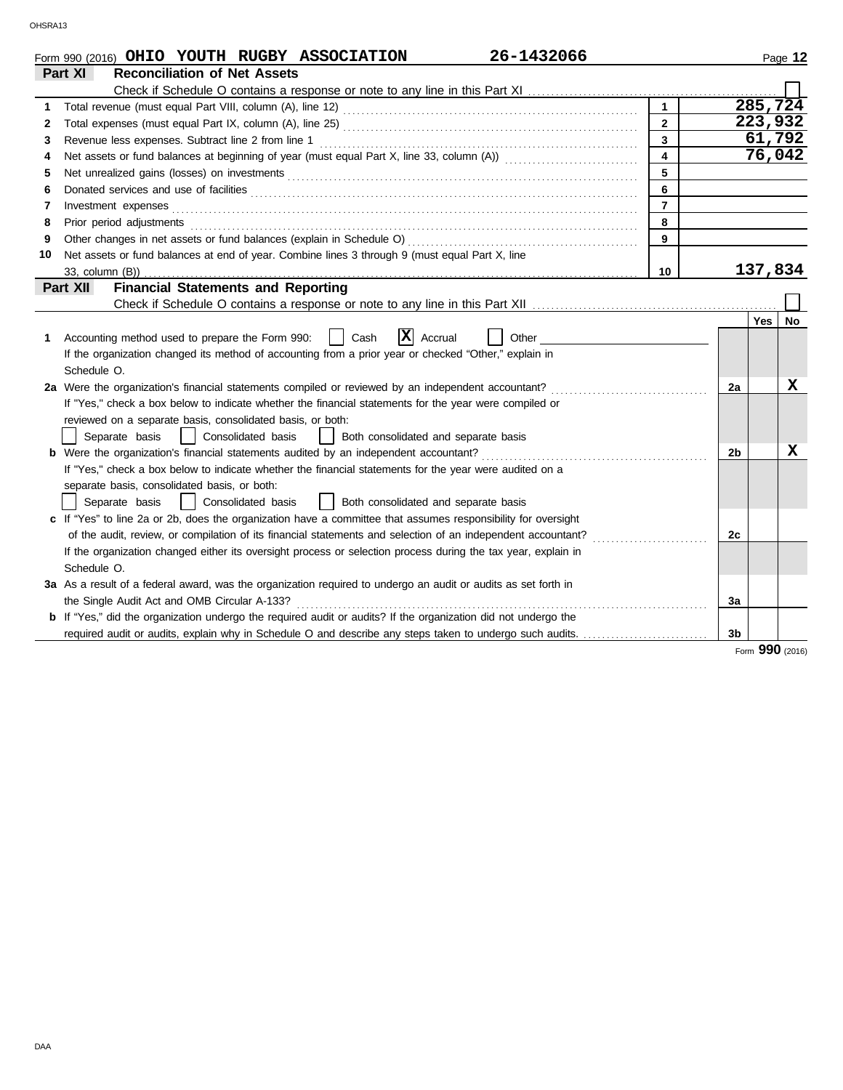|    | 26-1432066<br>Form 990 (2016) OHIO YOUTH RUGBY ASSOCIATION                                                                                                                                                                     |                         |                |       | Page 12 |
|----|--------------------------------------------------------------------------------------------------------------------------------------------------------------------------------------------------------------------------------|-------------------------|----------------|-------|---------|
|    | Part XI<br><b>Reconciliation of Net Assets</b>                                                                                                                                                                                 |                         |                |       |         |
|    |                                                                                                                                                                                                                                |                         |                |       |         |
| 1  |                                                                                                                                                                                                                                | $\mathbf{1}$            |                |       | 285,724 |
| 2  |                                                                                                                                                                                                                                | $\overline{2}$          |                |       | 223,932 |
| 3  | Revenue less expenses. Subtract line 2 from line 1                                                                                                                                                                             | 3                       |                |       | 61,792  |
| 4  |                                                                                                                                                                                                                                | $\overline{\mathbf{4}}$ |                |       | 76,042  |
| 5  |                                                                                                                                                                                                                                | 5                       |                |       |         |
| 6  | Donated services and use of facilities <b>constructs</b> and the construction of the service of facilities <b>constructs</b>                                                                                                   | 6                       |                |       |         |
| 7  |                                                                                                                                                                                                                                | $\overline{7}$          |                |       |         |
| 8  | Prior period adjustments [11, 12] and the contract of the contract of the contract of the contract of the contract of the contract of the contract of the contract of the contract of the contract of the contract of the cont | 8                       |                |       |         |
| 9  |                                                                                                                                                                                                                                | 9                       |                |       |         |
| 10 | Net assets or fund balances at end of year. Combine lines 3 through 9 (must equal Part X, line                                                                                                                                 |                         |                |       |         |
|    |                                                                                                                                                                                                                                | 10                      |                |       | 137,834 |
|    | <b>Financial Statements and Reporting</b><br>Part XII                                                                                                                                                                          |                         |                |       |         |
|    |                                                                                                                                                                                                                                |                         |                |       |         |
|    |                                                                                                                                                                                                                                |                         |                | Yes I | No.     |
| 1. | $ \mathbf{X} $ Accrual<br>Accounting method used to prepare the Form 990:<br>Cash<br>Other                                                                                                                                     |                         |                |       |         |
|    | If the organization changed its method of accounting from a prior year or checked "Other," explain in                                                                                                                          |                         |                |       |         |
|    | Schedule O.                                                                                                                                                                                                                    |                         |                |       |         |
|    | 2a Were the organization's financial statements compiled or reviewed by an independent accountant?                                                                                                                             |                         | 2a             |       | X       |
|    | If "Yes," check a box below to indicate whether the financial statements for the year were compiled or                                                                                                                         |                         |                |       |         |
|    | reviewed on a separate basis, consolidated basis, or both:                                                                                                                                                                     |                         |                |       |         |
|    | Separate basis<br>Consolidated basis<br>Both consolidated and separate basis<br>$\perp$                                                                                                                                        |                         |                |       |         |
|    | <b>b</b> Were the organization's financial statements audited by an independent accountant?                                                                                                                                    |                         | 2b             |       | x       |
|    | If "Yes," check a box below to indicate whether the financial statements for the year were audited on a                                                                                                                        |                         |                |       |         |
|    | separate basis, consolidated basis, or both:                                                                                                                                                                                   |                         |                |       |         |
|    | Consolidated basis<br>Both consolidated and separate basis<br>Separate basis                                                                                                                                                   |                         |                |       |         |
|    | c If "Yes" to line 2a or 2b, does the organization have a committee that assumes responsibility for oversight                                                                                                                  |                         |                |       |         |
|    |                                                                                                                                                                                                                                |                         | 2c             |       |         |
|    | If the organization changed either its oversight process or selection process during the tax year, explain in                                                                                                                  |                         |                |       |         |
|    | Schedule O.                                                                                                                                                                                                                    |                         |                |       |         |
|    | 3a As a result of a federal award, was the organization required to undergo an audit or audits as set forth in                                                                                                                 |                         |                |       |         |
|    | the Single Audit Act and OMB Circular A-133?                                                                                                                                                                                   |                         | 3a             |       |         |
|    | <b>b</b> If "Yes," did the organization undergo the required audit or audits? If the organization did not undergo the                                                                                                          |                         |                |       |         |
|    | required audit or audits, explain why in Schedule O and describe any steps taken to undergo such audits.                                                                                                                       |                         | 3 <sub>b</sub> |       |         |

Form **990** (2016)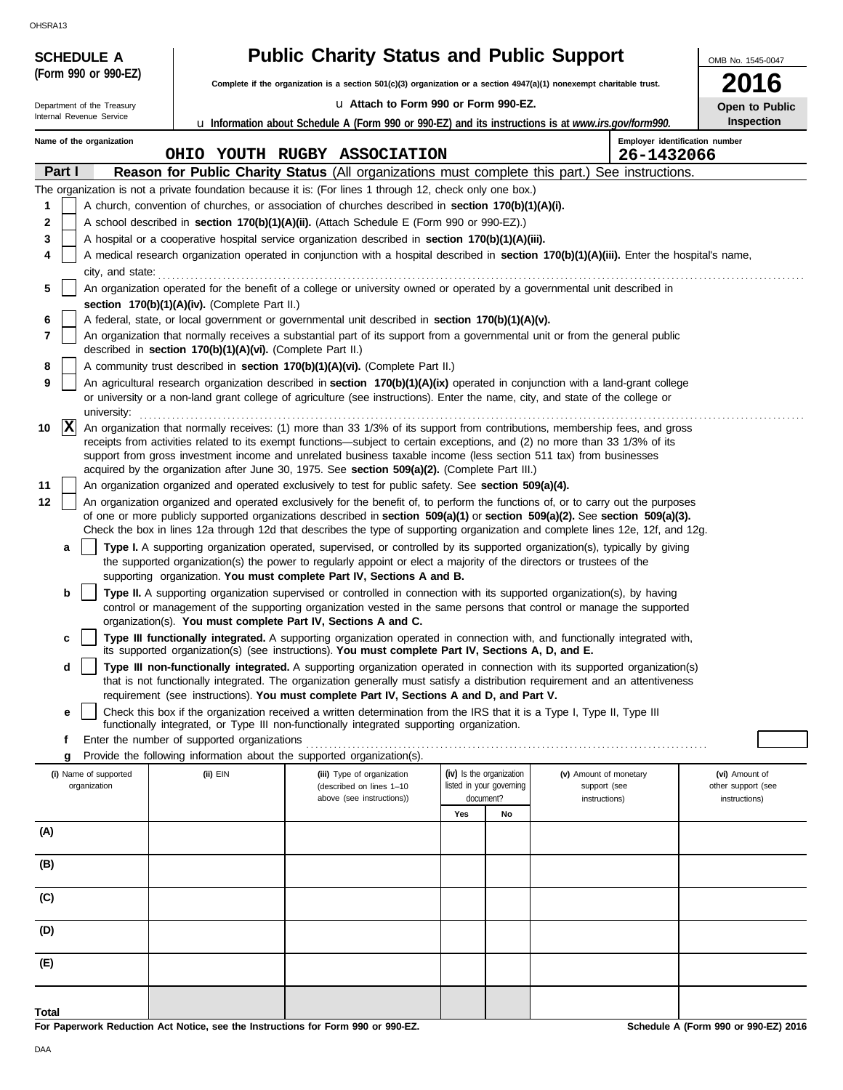OHSRA13

| <b>SCHEDULE A</b>          |                                                            | <b>Public Charity Status and Public Support</b>                                                                                                                                                                                                                 |                          |                          |                               | OMB No. 1545-0047                   |
|----------------------------|------------------------------------------------------------|-----------------------------------------------------------------------------------------------------------------------------------------------------------------------------------------------------------------------------------------------------------------|--------------------------|--------------------------|-------------------------------|-------------------------------------|
| (Form 990 or 990-EZ)       |                                                            | Complete if the organization is a section 501(c)(3) organization or a section 4947(a)(1) nonexempt charitable trust.                                                                                                                                            |                          |                          |                               | 16                                  |
| Department of the Treasury |                                                            | La Attach to Form 990 or Form 990-EZ.                                                                                                                                                                                                                           |                          |                          |                               | Open to Public                      |
| Internal Revenue Service   |                                                            | <b>u</b> Information about Schedule A (Form 990 or 990-EZ) and its instructions is at www.irs.gov/form990.                                                                                                                                                      |                          |                          |                               | Inspection                          |
| Name of the organization   |                                                            | OHIO YOUTH RUGBY ASSOCIATION                                                                                                                                                                                                                                    |                          |                          |                               | Employer identification number      |
| Part I                     |                                                            | Reason for Public Charity Status (All organizations must complete this part.) See instructions.                                                                                                                                                                 |                          |                          | 26-1432066                    |                                     |
|                            |                                                            | The organization is not a private foundation because it is: (For lines 1 through 12, check only one box.)                                                                                                                                                       |                          |                          |                               |                                     |
| 1                          |                                                            | A church, convention of churches, or association of churches described in section 170(b)(1)(A)(i).                                                                                                                                                              |                          |                          |                               |                                     |
| 2                          |                                                            | A school described in section 170(b)(1)(A)(ii). (Attach Schedule E (Form 990 or 990-EZ).)                                                                                                                                                                       |                          |                          |                               |                                     |
| 3                          |                                                            | A hospital or a cooperative hospital service organization described in section 170(b)(1)(A)(iii).                                                                                                                                                               |                          |                          |                               |                                     |
| 4                          |                                                            | A medical research organization operated in conjunction with a hospital described in section 170(b)(1)(A)(iii). Enter the hospital's name,                                                                                                                      |                          |                          |                               |                                     |
| city, and state:<br>5      |                                                            | An organization operated for the benefit of a college or university owned or operated by a governmental unit described in                                                                                                                                       |                          |                          |                               |                                     |
|                            | section 170(b)(1)(A)(iv). (Complete Part II.)              |                                                                                                                                                                                                                                                                 |                          |                          |                               |                                     |
| 6<br>7                     |                                                            | A federal, state, or local government or governmental unit described in section 170(b)(1)(A)(v).<br>An organization that normally receives a substantial part of its support from a governmental unit or from the general public                                |                          |                          |                               |                                     |
|                            | described in section 170(b)(1)(A)(vi). (Complete Part II.) |                                                                                                                                                                                                                                                                 |                          |                          |                               |                                     |
| 8                          |                                                            | A community trust described in section 170(b)(1)(A)(vi). (Complete Part II.)                                                                                                                                                                                    |                          |                          |                               |                                     |
| 9<br>university:           |                                                            | An agricultural research organization described in section 170(b)(1)(A)(ix) operated in conjunction with a land-grant college<br>or university or a non-land grant college of agriculture (see instructions). Enter the name, city, and state of the college or |                          |                          |                               |                                     |
| $ {\bf x} $<br>10          |                                                            | An organization that normally receives: (1) more than 33 1/3% of its support from contributions, membership fees, and gross                                                                                                                                     |                          |                          |                               |                                     |
|                            |                                                            | receipts from activities related to its exempt functions—subject to certain exceptions, and (2) no more than 33 1/3% of its                                                                                                                                     |                          |                          |                               |                                     |
|                            |                                                            | support from gross investment income and unrelated business taxable income (less section 511 tax) from businesses<br>acquired by the organization after June 30, 1975. See section 509(a)(2). (Complete Part III.)                                              |                          |                          |                               |                                     |
| 11                         |                                                            | An organization organized and operated exclusively to test for public safety. See section 509(a)(4).                                                                                                                                                            |                          |                          |                               |                                     |
| 12                         |                                                            | An organization organized and operated exclusively for the benefit of, to perform the functions of, or to carry out the purposes                                                                                                                                |                          |                          |                               |                                     |
|                            |                                                            | of one or more publicly supported organizations described in section 509(a)(1) or section 509(a)(2). See section 509(a)(3).<br>Check the box in lines 12a through 12d that describes the type of supporting organization and complete lines 12e, 12f, and 12g.  |                          |                          |                               |                                     |
| a                          |                                                            | Type I. A supporting organization operated, supervised, or controlled by its supported organization(s), typically by giving                                                                                                                                     |                          |                          |                               |                                     |
|                            |                                                            | the supported organization(s) the power to regularly appoint or elect a majority of the directors or trustees of the                                                                                                                                            |                          |                          |                               |                                     |
| b                          |                                                            | supporting organization. You must complete Part IV, Sections A and B.<br>Type II. A supporting organization supervised or controlled in connection with its supported organization(s), by having                                                                |                          |                          |                               |                                     |
|                            |                                                            | control or management of the supporting organization vested in the same persons that control or manage the supported                                                                                                                                            |                          |                          |                               |                                     |
|                            |                                                            | organization(s). You must complete Part IV, Sections A and C.                                                                                                                                                                                                   |                          |                          |                               |                                     |
| c                          |                                                            | Type III functionally integrated. A supporting organization operated in connection with, and functionally integrated with,<br>its supported organization(s) (see instructions). You must complete Part IV, Sections A, D, and E.                                |                          |                          |                               |                                     |
| d                          |                                                            | Type III non-functionally integrated. A supporting organization operated in connection with its supported organization(s)<br>that is not functionally integrated. The organization generally must satisfy a distribution requirement and an attentiveness       |                          |                          |                               |                                     |
|                            |                                                            | requirement (see instructions). You must complete Part IV, Sections A and D, and Part V.                                                                                                                                                                        |                          |                          |                               |                                     |
| е                          |                                                            | Check this box if the organization received a written determination from the IRS that it is a Type I, Type II, Type III                                                                                                                                         |                          |                          |                               |                                     |
| f                          | Enter the number of supported organizations                | functionally integrated, or Type III non-functionally integrated supporting organization.                                                                                                                                                                       |                          |                          |                               |                                     |
| g                          |                                                            | Provide the following information about the supported organization(s).                                                                                                                                                                                          |                          |                          |                               |                                     |
| (i) Name of supported      | (ii) EIN                                                   | (iii) Type of organization                                                                                                                                                                                                                                      | (iv) Is the organization |                          | (v) Amount of monetary        | (vi) Amount of                      |
| organization               |                                                            | (described on lines 1-10<br>above (see instructions))                                                                                                                                                                                                           | document?                | listed in your governing | support (see<br>instructions) | other support (see<br>instructions) |
|                            |                                                            |                                                                                                                                                                                                                                                                 | Yes                      | No                       |                               |                                     |
| (A)                        |                                                            |                                                                                                                                                                                                                                                                 |                          |                          |                               |                                     |
| (B)                        |                                                            |                                                                                                                                                                                                                                                                 |                          |                          |                               |                                     |
| (C)                        |                                                            |                                                                                                                                                                                                                                                                 |                          |                          |                               |                                     |
| (D)                        |                                                            |                                                                                                                                                                                                                                                                 |                          |                          |                               |                                     |
| (E)                        |                                                            |                                                                                                                                                                                                                                                                 |                          |                          |                               |                                     |
|                            |                                                            |                                                                                                                                                                                                                                                                 |                          |                          |                               |                                     |
| Total                      |                                                            |                                                                                                                                                                                                                                                                 |                          |                          |                               |                                     |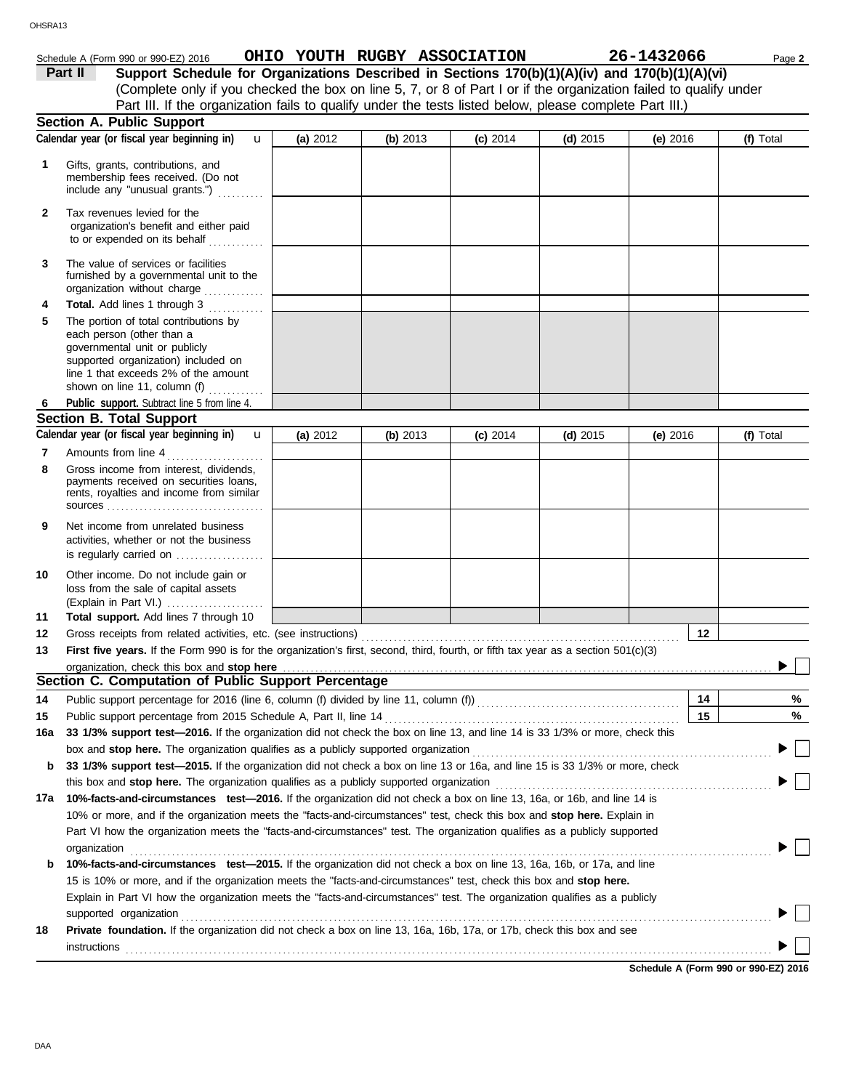# Schedule A (Form 990 or 990-EZ) 2016 **OHIO YOUTH RUGBY ASSOCIATION 26-1432066** Page 2

| Part II | Support Schedule for Organizations Described in Sections 170(b)(1)(A)(iv) and 170(b)(1)(A)(vi)                    |
|---------|-------------------------------------------------------------------------------------------------------------------|
|         | (Complete only if you checked the box on line 5, 7, or 8 of Part I or if the organization failed to qualify under |
|         | Part III. If the organization fails to qualify under the tests listed below, please complete Part III.)           |

|              | <b>Section A. Public Support</b>                                                                                                                                                                                                                            |          |            |            |            |            |           |
|--------------|-------------------------------------------------------------------------------------------------------------------------------------------------------------------------------------------------------------------------------------------------------------|----------|------------|------------|------------|------------|-----------|
|              | Calendar year (or fiscal year beginning in)<br>$\mathbf{u}$                                                                                                                                                                                                 | (a) 2012 | (b) 2013   | $(c)$ 2014 | (d) $2015$ | $(e)$ 2016 | (f) Total |
| 1            | Gifts, grants, contributions, and<br>membership fees received. (Do not<br>include any "unusual grants.")                                                                                                                                                    |          |            |            |            |            |           |
| $\mathbf{2}$ | Tax revenues levied for the<br>organization's benefit and either paid<br>to or expended on its behalf                                                                                                                                                       |          |            |            |            |            |           |
| 3            | The value of services or facilities<br>furnished by a governmental unit to the<br>organization without charge                                                                                                                                               |          |            |            |            |            |           |
| 4<br>5       | Total. Add lines 1 through 3<br>The portion of total contributions by<br>each person (other than a<br>governmental unit or publicly<br>supported organization) included on<br>line 1 that exceeds 2% of the amount<br>shown on line 11, column (f) $\ldots$ |          |            |            |            |            |           |
| 6            | Public support. Subtract line 5 from line 4.                                                                                                                                                                                                                |          |            |            |            |            |           |
|              | <b>Section B. Total Support</b>                                                                                                                                                                                                                             |          |            |            |            |            |           |
|              | Calendar year (or fiscal year beginning in)<br>$\mathbf{u}$                                                                                                                                                                                                 | (a) 2012 | (b) $2013$ | $(c)$ 2014 | (d) $2015$ | (e) $2016$ | (f) Total |
| 7            | Amounts from line 4                                                                                                                                                                                                                                         |          |            |            |            |            |           |
| 8            | Gross income from interest, dividends,<br>payments received on securities loans,<br>rents, royalties and income from similar                                                                                                                                |          |            |            |            |            |           |
| 9            | Net income from unrelated business<br>activities, whether or not the business<br>is regularly carried on                                                                                                                                                    |          |            |            |            |            |           |
| 10           | Other income. Do not include gain or<br>loss from the sale of capital assets                                                                                                                                                                                |          |            |            |            |            |           |
| 11           | Total support. Add lines 7 through 10                                                                                                                                                                                                                       |          |            |            |            |            |           |
| 12           |                                                                                                                                                                                                                                                             |          |            |            |            | 12         |           |
| 13           | First five years. If the Form 990 is for the organization's first, second, third, fourth, or fifth tax year as a section 501(c)(3)                                                                                                                          |          |            |            |            |            |           |
|              | organization, check this box and stop here                                                                                                                                                                                                                  |          |            |            |            |            |           |
|              | Section C. Computation of Public Support Percentage                                                                                                                                                                                                         |          |            |            |            |            |           |
| 14           |                                                                                                                                                                                                                                                             |          |            |            |            | 14         | %         |
| 15           |                                                                                                                                                                                                                                                             |          |            |            |            | 15         | %         |
| 16a          | 33 1/3% support test-2016. If the organization did not check the box on line 13, and line 14 is 33 1/3% or more, check this                                                                                                                                 |          |            |            |            |            |           |
|              | box and stop here. The organization qualifies as a publicly supported organization                                                                                                                                                                          |          |            |            |            |            |           |
| b            | 33 1/3% support test-2015. If the organization did not check a box on line 13 or 16a, and line 15 is 33 1/3% or more, check                                                                                                                                 |          |            |            |            |            |           |
|              | this box and stop here. The organization qualifies as a publicly supported organization                                                                                                                                                                     |          |            |            |            |            |           |
| 17a          | 10%-facts-and-circumstances test-2016. If the organization did not check a box on line 13, 16a, or 16b, and line 14 is                                                                                                                                      |          |            |            |            |            |           |
|              | 10% or more, and if the organization meets the "facts-and-circumstances" test, check this box and stop here. Explain in                                                                                                                                     |          |            |            |            |            |           |
|              | Part VI how the organization meets the "facts-and-circumstances" test. The organization qualifies as a publicly supported<br>organization                                                                                                                   |          |            |            |            |            |           |
| b            | 10%-facts-and-circumstances test-2015. If the organization did not check a box on line 13, 16a, 16b, or 17a, and line                                                                                                                                       |          |            |            |            |            |           |
|              | 15 is 10% or more, and if the organization meets the "facts-and-circumstances" test, check this box and stop here.                                                                                                                                          |          |            |            |            |            |           |
|              | Explain in Part VI how the organization meets the "facts-and-circumstances" test. The organization qualifies as a publicly                                                                                                                                  |          |            |            |            |            |           |
|              | supported organization                                                                                                                                                                                                                                      |          |            |            |            |            |           |
| 18           | Private foundation. If the organization did not check a box on line 13, 16a, 16b, 17a, or 17b, check this box and see                                                                                                                                       |          |            |            |            |            |           |
|              | instructions                                                                                                                                                                                                                                                |          |            |            |            |            |           |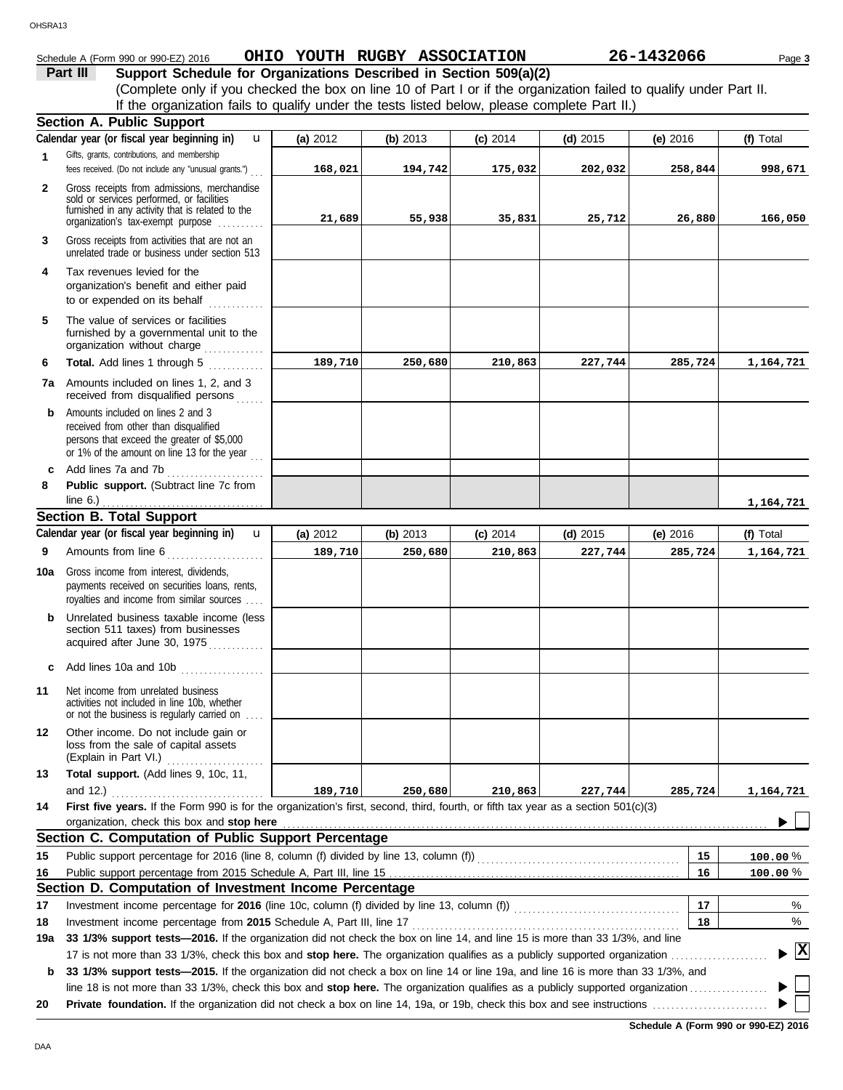### OHSRA13

# Schedule A (Form 990 or 990-EZ) 2016 **OHIO YOUTH RUGBY ASSOCIATION 26-1432066** Page 3

**Part III Support Schedule for Organizations Described in Section 509(a)(2)** (Complete only if you checked the box on line 10 of Part I or if the organization failed to qualify under Part II. If the organization fails to qualify under the tests listed below, please complete Part II.)

|              | <b>Section A. Public Support</b>                                                                                                                                        |            |          |            |            |            |                                    |
|--------------|-------------------------------------------------------------------------------------------------------------------------------------------------------------------------|------------|----------|------------|------------|------------|------------------------------------|
|              | Calendar year (or fiscal year beginning in)<br>u                                                                                                                        | (a) $2012$ | (b) 2013 | $(c)$ 2014 | (d) $2015$ | $(e)$ 2016 | (f) Total                          |
| 1            | Gifts, grants, contributions, and membership<br>fees received. (Do not include any "unusual grants.")                                                                   | 168,021    | 194,742  | 175,032    | 202,032    | 258,844    | 998,671                            |
| $\mathbf{2}$ | Gross receipts from admissions, merchandise                                                                                                                             |            |          |            |            |            |                                    |
|              | sold or services performed, or facilities                                                                                                                               |            |          |            |            |            |                                    |
|              | furnished in any activity that is related to the<br>organization's tax-exempt purpose                                                                                   | 21,689     | 55,938   | 35,831     | 25,712     | 26,880     | 166,050                            |
| 3            | Gross receipts from activities that are not an<br>unrelated trade or business under section 513                                                                         |            |          |            |            |            |                                    |
| 4            | Tax revenues levied for the<br>organization's benefit and either paid<br>to or expended on its behalf                                                                   |            |          |            |            |            |                                    |
| 5            | The value of services or facilities<br>furnished by a governmental unit to the<br>organization without charge                                                           |            |          |            |            |            |                                    |
| 6            | Total. Add lines 1 through 5                                                                                                                                            | 189,710    | 250,680  | 210,863    | 227,744    | 285,724    | 1,164,721                          |
| 7a           | Amounts included on lines 1, 2, and 3<br>received from disqualified persons                                                                                             |            |          |            |            |            |                                    |
| b            | Amounts included on lines 2 and 3<br>received from other than disqualified<br>persons that exceed the greater of \$5,000<br>or 1% of the amount on line 13 for the year |            |          |            |            |            |                                    |
| C            | Add lines 7a and 7b                                                                                                                                                     |            |          |            |            |            |                                    |
| 8            | Public support. (Subtract line 7c from                                                                                                                                  |            |          |            |            |            |                                    |
|              |                                                                                                                                                                         |            |          |            |            |            | 1,164,721                          |
|              | <b>Section B. Total Support</b>                                                                                                                                         |            |          |            |            |            |                                    |
|              | Calendar year (or fiscal year beginning in)<br>$\mathbf{u}$                                                                                                             | (a) 2012   | (b) 2013 | $(c)$ 2014 | $(d)$ 2015 | (e) 2016   | (f) Total                          |
| 9            | Amounts from line 6                                                                                                                                                     | 189,710    | 250,680  | 210,863    | 227,744    | 285,724    | 1,164,721                          |
| 10a          | Gross income from interest, dividends,<br>payments received on securities loans, rents,<br>royalties and income from similar sources                                    |            |          |            |            |            |                                    |
| b            | Unrelated business taxable income (less<br>section 511 taxes) from businesses<br>acquired after June 30, 1975                                                           |            |          |            |            |            |                                    |
|              | c Add lines 10a and 10b $\ldots$                                                                                                                                        |            |          |            |            |            |                                    |
| 11           | Net income from unrelated business<br>activities not included in line 10b, whether<br>or not the business is regularly carried on                                       |            |          |            |            |            |                                    |
| 12           | Other income. Do not include gain or<br>loss from the sale of capital assets<br>(Explain in Part VI.)                                                                   |            |          |            |            |            |                                    |
| 13           | Total support. (Add lines 9, 10c, 11,                                                                                                                                   |            |          |            |            |            |                                    |
|              | and $12.$ )                                                                                                                                                             | 189,710    | 250,680  | 210,863    | 227,744    | 285,724    | 1,164,721                          |
| 14           | First five years. If the Form 990 is for the organization's first, second, third, fourth, or fifth tax year as a section 501(c)(3)                                      |            |          |            |            |            |                                    |
|              | organization, check this box and stop here                                                                                                                              |            |          |            |            |            |                                    |
|              | Section C. Computation of Public Support Percentage                                                                                                                     |            |          |            |            |            |                                    |
| 15           | Public support percentage for 2016 (line 8, column (f) divided by line 13, column (f) [[[[[[[[[[[[[[[[[[[[[[[                                                           |            |          |            |            | 15         | $100.00\%$                         |
| 16           |                                                                                                                                                                         |            |          |            |            | 16         | 100.00%                            |
|              | Section D. Computation of Investment Income Percentage                                                                                                                  |            |          |            |            |            |                                    |
| 17           |                                                                                                                                                                         |            |          |            |            | 17         | %                                  |
| 18           | Investment income percentage from 2015 Schedule A, Part III, line 17                                                                                                    |            |          |            |            | 18         | %                                  |
| 19a          | 33 1/3% support tests-2016. If the organization did not check the box on line 14, and line 15 is more than 33 1/3%, and line                                            |            |          |            |            |            |                                    |
|              | 17 is not more than 33 1/3%, check this box and stop here. The organization qualifies as a publicly supported organization                                              |            |          |            |            |            | $\blacktriangleright$ $\mathbf{X}$ |
| b            | 33 1/3% support tests—2015. If the organization did not check a box on line 14 or line 19a, and line 16 is more than 33 1/3%, and                                       |            |          |            |            |            |                                    |
|              |                                                                                                                                                                         |            |          |            |            |            |                                    |
| 20           |                                                                                                                                                                         |            |          |            |            |            |                                    |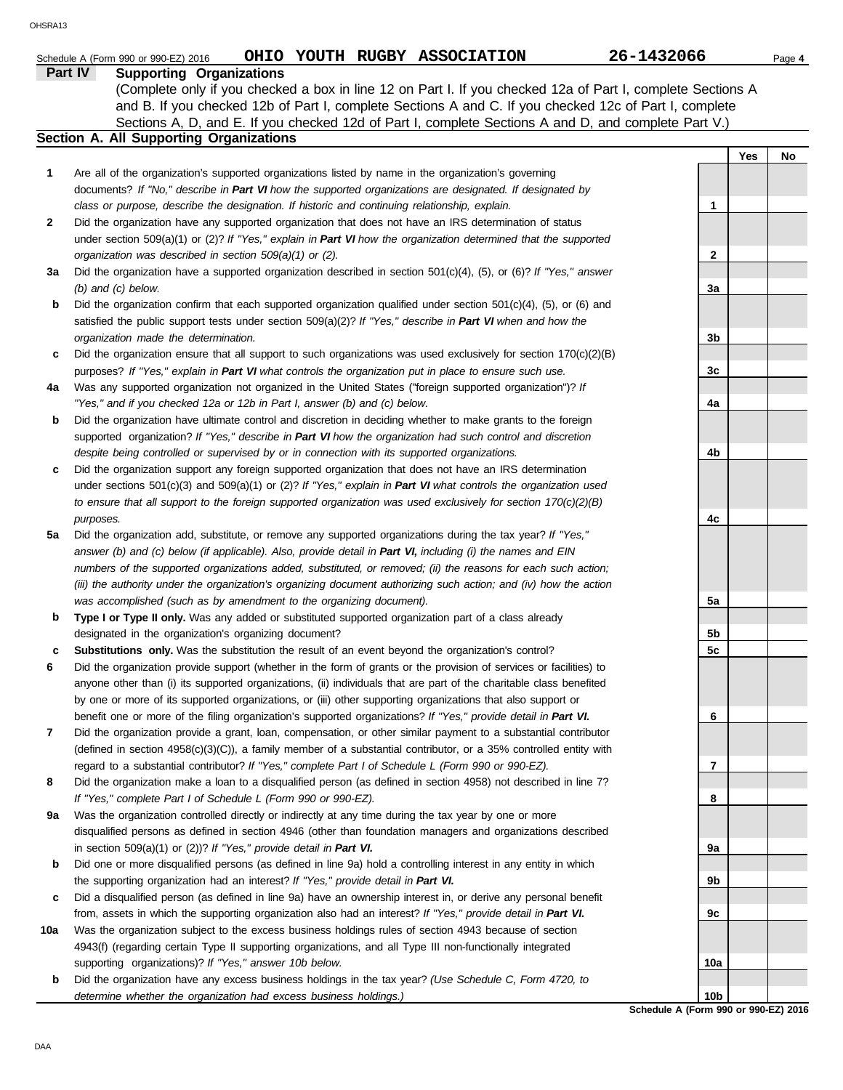|     | OHIO YOUTH RUGBY ASSOCIATION<br>Schedule A (Form 990 or 990-EZ) 2016                                                                                                                                                           | 26-1432066      |     | Page 4 |
|-----|--------------------------------------------------------------------------------------------------------------------------------------------------------------------------------------------------------------------------------|-----------------|-----|--------|
|     | Part IV<br><b>Supporting Organizations</b>                                                                                                                                                                                     |                 |     |        |
|     | (Complete only if you checked a box in line 12 on Part I. If you checked 12a of Part I, complete Sections A                                                                                                                    |                 |     |        |
|     | and B. If you checked 12b of Part I, complete Sections A and C. If you checked 12c of Part I, complete                                                                                                                         |                 |     |        |
|     | Sections A, D, and E. If you checked 12d of Part I, complete Sections A and D, and complete Part V.)                                                                                                                           |                 |     |        |
|     | Section A. All Supporting Organizations                                                                                                                                                                                        |                 |     |        |
|     |                                                                                                                                                                                                                                |                 | Yes | No     |
| 1   | Are all of the organization's supported organizations listed by name in the organization's governing                                                                                                                           |                 |     |        |
|     | documents? If "No," describe in Part VI how the supported organizations are designated. If designated by<br>class or purpose, describe the designation. If historic and continuing relationship, explain.                      | 1               |     |        |
| 2   | Did the organization have any supported organization that does not have an IRS determination of status                                                                                                                         |                 |     |        |
|     | under section 509(a)(1) or (2)? If "Yes," explain in Part VI how the organization determined that the supported                                                                                                                |                 |     |        |
|     | organization was described in section 509(a)(1) or (2).                                                                                                                                                                        | 2               |     |        |
| За  | Did the organization have a supported organization described in section $501(c)(4)$ , (5), or (6)? If "Yes," answer                                                                                                            |                 |     |        |
|     | $(b)$ and $(c)$ below.                                                                                                                                                                                                         | За              |     |        |
| b   | Did the organization confirm that each supported organization qualified under section 501(c)(4), (5), or (6) and                                                                                                               |                 |     |        |
|     | satisfied the public support tests under section 509(a)(2)? If "Yes," describe in Part VI when and how the                                                                                                                     |                 |     |        |
|     | organization made the determination.                                                                                                                                                                                           | 3b              |     |        |
| c   | Did the organization ensure that all support to such organizations was used exclusively for section $170(c)(2)(B)$                                                                                                             |                 |     |        |
|     | purposes? If "Yes," explain in Part VI what controls the organization put in place to ensure such use.                                                                                                                         | 3c              |     |        |
| 4a  | Was any supported organization not organized in the United States ("foreign supported organization")? If                                                                                                                       |                 |     |        |
|     | "Yes," and if you checked 12a or 12b in Part I, answer (b) and (c) below.                                                                                                                                                      | 4a              |     |        |
| b   | Did the organization have ultimate control and discretion in deciding whether to make grants to the foreign                                                                                                                    |                 |     |        |
|     | supported organization? If "Yes," describe in Part VI how the organization had such control and discretion                                                                                                                     |                 |     |        |
| c   | despite being controlled or supervised by or in connection with its supported organizations.                                                                                                                                   | 4b              |     |        |
|     | Did the organization support any foreign supported organization that does not have an IRS determination<br>under sections $501(c)(3)$ and $509(a)(1)$ or (2)? If "Yes," explain in Part VI what controls the organization used |                 |     |        |
|     | to ensure that all support to the foreign supported organization was used exclusively for section $170(c)(2)(B)$                                                                                                               |                 |     |        |
|     | purposes.                                                                                                                                                                                                                      | 4c              |     |        |
| 5a  | Did the organization add, substitute, or remove any supported organizations during the tax year? If "Yes,"                                                                                                                     |                 |     |        |
|     | answer (b) and (c) below (if applicable). Also, provide detail in Part VI, including (i) the names and EIN                                                                                                                     |                 |     |        |
|     | numbers of the supported organizations added, substituted, or removed; (ii) the reasons for each such action;                                                                                                                  |                 |     |        |
|     | (iii) the authority under the organization's organizing document authorizing such action; and (iv) how the action                                                                                                              |                 |     |        |
|     | was accomplished (such as by amendment to the organizing document).                                                                                                                                                            | 5a              |     |        |
| b   | Type I or Type II only. Was any added or substituted supported organization part of a class already                                                                                                                            |                 |     |        |
|     | designated in the organization's organizing document?                                                                                                                                                                          | 5b              |     |        |
| c   | Substitutions only. Was the substitution the result of an event beyond the organization's control?                                                                                                                             | 5c              |     |        |
| 6   | Did the organization provide support (whether in the form of grants or the provision of services or facilities) to                                                                                                             |                 |     |        |
|     | anyone other than (i) its supported organizations, (ii) individuals that are part of the charitable class benefited                                                                                                            |                 |     |        |
|     | by one or more of its supported organizations, or (iii) other supporting organizations that also support or<br>benefit one or more of the filing organization's supported organizations? If "Yes," provide detail in Part VI.  | 6               |     |        |
| 7   | Did the organization provide a grant, loan, compensation, or other similar payment to a substantial contributor                                                                                                                |                 |     |        |
|     | (defined in section $4958(c)(3)(C)$ ), a family member of a substantial contributor, or a 35% controlled entity with                                                                                                           |                 |     |        |
|     | regard to a substantial contributor? If "Yes," complete Part I of Schedule L (Form 990 or 990-EZ).                                                                                                                             | 7               |     |        |
| 8   | Did the organization make a loan to a disqualified person (as defined in section 4958) not described in line 7?                                                                                                                |                 |     |        |
|     | If "Yes," complete Part I of Schedule L (Form 990 or 990-EZ).                                                                                                                                                                  | 8               |     |        |
| 9a  | Was the organization controlled directly or indirectly at any time during the tax year by one or more                                                                                                                          |                 |     |        |
|     | disqualified persons as defined in section 4946 (other than foundation managers and organizations described                                                                                                                    |                 |     |        |
|     | in section 509(a)(1) or (2))? If "Yes," provide detail in Part VI.                                                                                                                                                             | 9а              |     |        |
| b   | Did one or more disqualified persons (as defined in line 9a) hold a controlling interest in any entity in which                                                                                                                |                 |     |        |
|     | the supporting organization had an interest? If "Yes," provide detail in Part VI.                                                                                                                                              | 9b              |     |        |
| c   | Did a disqualified person (as defined in line 9a) have an ownership interest in, or derive any personal benefit                                                                                                                |                 |     |        |
|     | from, assets in which the supporting organization also had an interest? If "Yes," provide detail in Part VI.                                                                                                                   | 9с              |     |        |
| 10a | Was the organization subject to the excess business holdings rules of section 4943 because of section                                                                                                                          |                 |     |        |
|     | 4943(f) (regarding certain Type II supporting organizations, and all Type III non-functionally integrated<br>supporting organizations)? If "Yes," answer 10b below.                                                            | 10a             |     |        |
| b   | Did the organization have any excess business holdings in the tax year? (Use Schedule C, Form 4720, to                                                                                                                         |                 |     |        |
|     | determine whether the organization had excess business holdings.)                                                                                                                                                              | 10 <sub>b</sub> |     |        |

**Schedule A (Form 990 or 990-EZ) 2016 10b**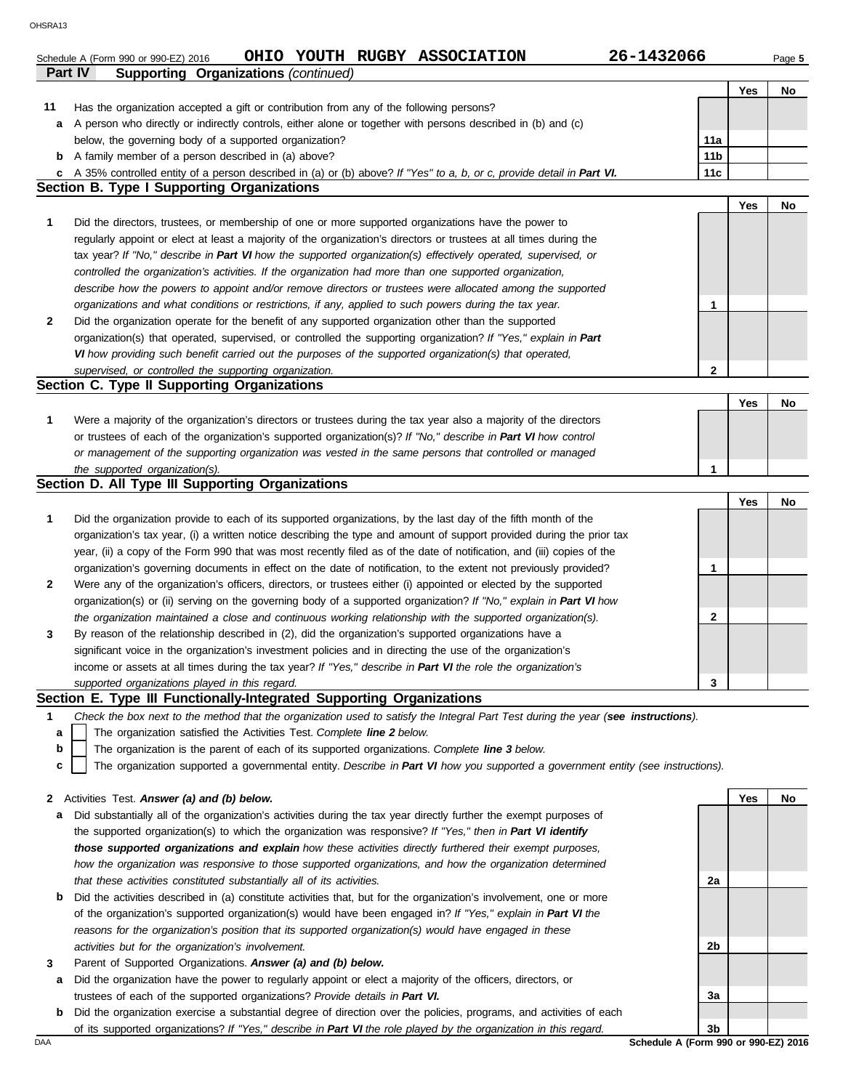|                | OHIO YOUTH RUGBY ASSOCIATION<br>Schedule A (Form 990 or 990-EZ) 2016                                                              | 26-1432066                           |     | Page 5 |
|----------------|-----------------------------------------------------------------------------------------------------------------------------------|--------------------------------------|-----|--------|
| <b>Part IV</b> | <b>Supporting Organizations (continued)</b>                                                                                       |                                      |     |        |
|                |                                                                                                                                   |                                      | Yes | No     |
| 11             | Has the organization accepted a gift or contribution from any of the following persons?                                           |                                      |     |        |
| а              | A person who directly or indirectly controls, either alone or together with persons described in (b) and (c)                      |                                      |     |        |
|                | below, the governing body of a supported organization?                                                                            | 11a                                  |     |        |
| b              | A family member of a person described in (a) above?                                                                               | 11 <sub>b</sub>                      |     |        |
| c              | A 35% controlled entity of a person described in (a) or (b) above? If "Yes" to a, b, or c, provide detail in Part VI.             | 11c                                  |     |        |
|                | <b>Section B. Type I Supporting Organizations</b>                                                                                 |                                      |     |        |
|                |                                                                                                                                   |                                      | Yes | No     |
|                |                                                                                                                                   |                                      |     |        |
| 1              | Did the directors, trustees, or membership of one or more supported organizations have the power to                               |                                      |     |        |
|                | regularly appoint or elect at least a majority of the organization's directors or trustees at all times during the                |                                      |     |        |
|                | tax year? If "No," describe in Part VI how the supported organization(s) effectively operated, supervised, or                     |                                      |     |        |
|                | controlled the organization's activities. If the organization had more than one supported organization,                           |                                      |     |        |
|                | describe how the powers to appoint and/or remove directors or trustees were allocated among the supported                         |                                      |     |        |
|                | organizations and what conditions or restrictions, if any, applied to such powers during the tax year.                            | 1                                    |     |        |
| $\mathbf{2}$   | Did the organization operate for the benefit of any supported organization other than the supported                               |                                      |     |        |
|                | organization(s) that operated, supervised, or controlled the supporting organization? If "Yes," explain in Part                   |                                      |     |        |
|                | VI how providing such benefit carried out the purposes of the supported organization(s) that operated,                            |                                      |     |        |
|                | supervised, or controlled the supporting organization.                                                                            | $\mathbf{2}$                         |     |        |
|                | Section C. Type II Supporting Organizations                                                                                       |                                      |     |        |
|                |                                                                                                                                   |                                      | Yes | No     |
| 1              | Were a majority of the organization's directors or trustees during the tax year also a majority of the directors                  |                                      |     |        |
|                | or trustees of each of the organization's supported organization(s)? If "No," describe in Part VI how control                     |                                      |     |        |
|                | or management of the supporting organization was vested in the same persons that controlled or managed                            |                                      |     |        |
|                | the supported organization(s).                                                                                                    | 1                                    |     |        |
|                | Section D. All Type III Supporting Organizations                                                                                  |                                      |     |        |
|                |                                                                                                                                   |                                      | Yes | No     |
| 1              | Did the organization provide to each of its supported organizations, by the last day of the fifth month of the                    |                                      |     |        |
|                |                                                                                                                                   |                                      |     |        |
|                | organization's tax year, (i) a written notice describing the type and amount of support provided during the prior tax             |                                      |     |        |
|                | year, (ii) a copy of the Form 990 that was most recently filed as of the date of notification, and (iii) copies of the            |                                      |     |        |
|                | organization's governing documents in effect on the date of notification, to the extent not previously provided?                  | 1                                    |     |        |
| $\mathbf{2}$   | Were any of the organization's officers, directors, or trustees either (i) appointed or elected by the supported                  |                                      |     |        |
|                | organization(s) or (ii) serving on the governing body of a supported organization? If "No," explain in Part VI how                |                                      |     |        |
|                | the organization maintained a close and continuous working relationship with the supported organization(s).                       | $\mathbf{2}$                         |     |        |
| 3              | By reason of the relationship described in (2), did the organization's supported organizations have a                             |                                      |     |        |
|                | significant voice in the organization's investment policies and in directing the use of the organization's                        |                                      |     |        |
|                | income or assets at all times during the tax year? If "Yes," describe in Part VI the role the organization's                      |                                      |     |        |
|                | supported organizations played in this regard.                                                                                    | 3                                    |     |        |
|                | Section E. Type III Functionally-Integrated Supporting Organizations                                                              |                                      |     |        |
| 1              | Check the box next to the method that the organization used to satisfy the Integral Part Test during the year (see instructions). |                                      |     |        |
| а              | The organization satisfied the Activities Test. Complete line 2 below.                                                            |                                      |     |        |
| b              | The organization is the parent of each of its supported organizations. Complete line 3 below.                                     |                                      |     |        |
| с              | The organization supported a governmental entity. Describe in Part VI how you supported a government entity (see instructions).   |                                      |     |        |
|                |                                                                                                                                   |                                      |     |        |
| 2              | Activities Test. Answer (a) and (b) below.                                                                                        |                                      | Yes | No     |
| а              | Did substantially all of the organization's activities during the tax year directly further the exempt purposes of                |                                      |     |        |
|                | the supported organization(s) to which the organization was responsive? If "Yes," then in Part VI identify                        |                                      |     |        |
|                |                                                                                                                                   |                                      |     |        |
|                | those supported organizations and explain how these activities directly furthered their exempt purposes,                          |                                      |     |        |
|                | how the organization was responsive to those supported organizations, and how the organization determined                         |                                      |     |        |
|                | that these activities constituted substantially all of its activities.                                                            | 2a                                   |     |        |
| b              | Did the activities described in (a) constitute activities that, but for the organization's involvement, one or more               |                                      |     |        |
|                | of the organization's supported organization(s) would have been engaged in? If "Yes," explain in Part VI the                      |                                      |     |        |
|                | reasons for the organization's position that its supported organization(s) would have engaged in these                            |                                      |     |        |
|                | activities but for the organization's involvement.                                                                                | 2b                                   |     |        |
| 3              | Parent of Supported Organizations. Answer (a) and (b) below.                                                                      |                                      |     |        |
| а              | Did the organization have the power to regularly appoint or elect a majority of the officers, directors, or                       |                                      |     |        |
|                | trustees of each of the supported organizations? Provide details in Part VI.                                                      | За                                   |     |        |
| b              | Did the organization exercise a substantial degree of direction over the policies, programs, and activities of each               |                                      |     |        |
|                | of its supported organizations? If "Yes," describe in Part VI the role played by the organization in this regard.                 | 3b                                   |     |        |
| DAA            |                                                                                                                                   | Schedule A (Form 990 or 990-EZ) 2016 |     |        |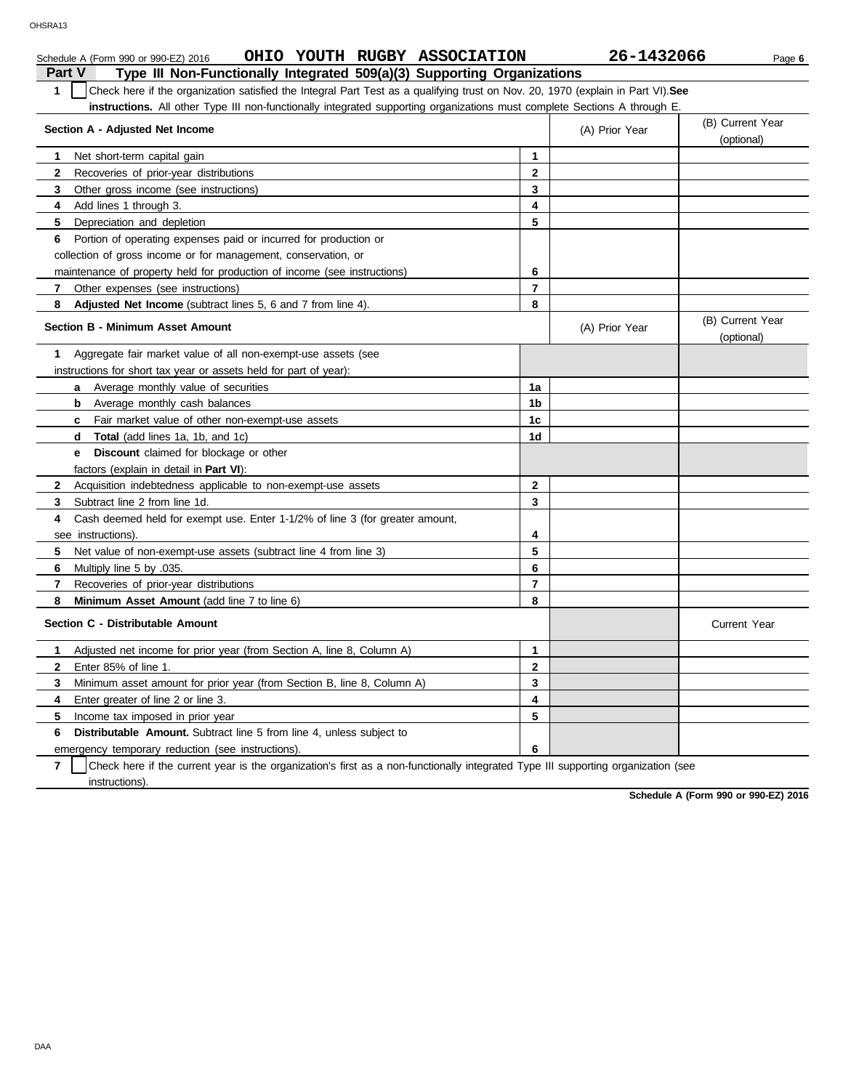|                                                                                                                                                  | OHIO YOUTH RUGBY ASSOCIATION<br>Schedule A (Form 990 or 990-EZ) 2016         |                | 26-1432066     | Page 6                         |  |  |  |  |  |  |
|--------------------------------------------------------------------------------------------------------------------------------------------------|------------------------------------------------------------------------------|----------------|----------------|--------------------------------|--|--|--|--|--|--|
| Part V                                                                                                                                           | Type III Non-Functionally Integrated 509(a)(3) Supporting Organizations      |                |                |                                |  |  |  |  |  |  |
| Check here if the organization satisfied the Integral Part Test as a qualifying trust on Nov. 20, 1970 (explain in Part VI). See<br>$\mathbf{1}$ |                                                                              |                |                |                                |  |  |  |  |  |  |
| instructions. All other Type III non-functionally integrated supporting organizations must complete Sections A through E.                        |                                                                              |                |                |                                |  |  |  |  |  |  |
| (B) Current Year<br>Section A - Adjusted Net Income<br>(A) Prior Year                                                                            |                                                                              |                |                |                                |  |  |  |  |  |  |
|                                                                                                                                                  |                                                                              |                |                | (optional)                     |  |  |  |  |  |  |
| 1                                                                                                                                                | Net short-term capital gain                                                  | $\mathbf{1}$   |                |                                |  |  |  |  |  |  |
| $\mathbf{2}$                                                                                                                                     | Recoveries of prior-year distributions                                       | $\mathbf{2}$   |                |                                |  |  |  |  |  |  |
| 3                                                                                                                                                | Other gross income (see instructions)                                        | 3              |                |                                |  |  |  |  |  |  |
| 4                                                                                                                                                | Add lines 1 through 3.                                                       | 4              |                |                                |  |  |  |  |  |  |
| 5                                                                                                                                                | Depreciation and depletion                                                   | 5              |                |                                |  |  |  |  |  |  |
| 6                                                                                                                                                | Portion of operating expenses paid or incurred for production or             |                |                |                                |  |  |  |  |  |  |
|                                                                                                                                                  | collection of gross income or for management, conservation, or               |                |                |                                |  |  |  |  |  |  |
|                                                                                                                                                  | maintenance of property held for production of income (see instructions)     | 6              |                |                                |  |  |  |  |  |  |
| 7                                                                                                                                                | Other expenses (see instructions)                                            | $\overline{7}$ |                |                                |  |  |  |  |  |  |
| 8                                                                                                                                                | Adjusted Net Income (subtract lines 5, 6 and 7 from line 4).                 | 8              |                |                                |  |  |  |  |  |  |
|                                                                                                                                                  | <b>Section B - Minimum Asset Amount</b>                                      |                | (A) Prior Year | (B) Current Year<br>(optional) |  |  |  |  |  |  |
| 1                                                                                                                                                | Aggregate fair market value of all non-exempt-use assets (see                |                |                |                                |  |  |  |  |  |  |
|                                                                                                                                                  | instructions for short tax year or assets held for part of year):            |                |                |                                |  |  |  |  |  |  |
|                                                                                                                                                  | Average monthly value of securities<br>a                                     | 1a             |                |                                |  |  |  |  |  |  |
|                                                                                                                                                  | Average monthly cash balances<br>b                                           | 1b             |                |                                |  |  |  |  |  |  |
|                                                                                                                                                  | <b>c</b> Fair market value of other non-exempt-use assets                    | 1 <sub>c</sub> |                |                                |  |  |  |  |  |  |
|                                                                                                                                                  | <b>Total</b> (add lines 1a, 1b, and 1c)<br>d                                 | 1d             |                |                                |  |  |  |  |  |  |
|                                                                                                                                                  | <b>Discount</b> claimed for blockage or other<br>е                           |                |                |                                |  |  |  |  |  |  |
|                                                                                                                                                  | factors (explain in detail in <b>Part VI)</b> :                              |                |                |                                |  |  |  |  |  |  |
| $\mathbf{2}$                                                                                                                                     | Acquisition indebtedness applicable to non-exempt-use assets                 | $\mathbf{2}$   |                |                                |  |  |  |  |  |  |
| 3                                                                                                                                                | Subtract line 2 from line 1d.                                                | 3              |                |                                |  |  |  |  |  |  |
| 4                                                                                                                                                | Cash deemed held for exempt use. Enter 1-1/2% of line 3 (for greater amount, |                |                |                                |  |  |  |  |  |  |
|                                                                                                                                                  | see instructions).                                                           | 4              |                |                                |  |  |  |  |  |  |
| 5                                                                                                                                                | Net value of non-exempt-use assets (subtract line 4 from line 3)             | 5              |                |                                |  |  |  |  |  |  |
| 6                                                                                                                                                | Multiply line 5 by .035.                                                     | 6              |                |                                |  |  |  |  |  |  |
| $\overline{7}$                                                                                                                                   | Recoveries of prior-year distributions                                       | $\overline{7}$ |                |                                |  |  |  |  |  |  |
| 8                                                                                                                                                | <b>Minimum Asset Amount (add line 7 to line 6)</b>                           | 8              |                |                                |  |  |  |  |  |  |
|                                                                                                                                                  | Section C - Distributable Amount                                             |                |                | <b>Current Year</b>            |  |  |  |  |  |  |
| 1                                                                                                                                                | Adjusted net income for prior year (from Section A, line 8, Column A)        | $\mathbf{1}$   |                |                                |  |  |  |  |  |  |
| $\mathbf{2}$                                                                                                                                     | Enter 85% of line 1.                                                         | $\mathbf 2$    |                |                                |  |  |  |  |  |  |
| 3                                                                                                                                                | Minimum asset amount for prior year (from Section B, line 8, Column A)       | 3              |                |                                |  |  |  |  |  |  |
| 4                                                                                                                                                | Enter greater of line 2 or line 3.                                           | 4              |                |                                |  |  |  |  |  |  |
| 5                                                                                                                                                | Income tax imposed in prior year                                             | 5              |                |                                |  |  |  |  |  |  |
| 6                                                                                                                                                | <b>Distributable Amount.</b> Subtract line 5 from line 4, unless subject to  |                |                |                                |  |  |  |  |  |  |
|                                                                                                                                                  | emergency temporary reduction (see instructions).                            | 6              |                |                                |  |  |  |  |  |  |

**7** instructions). Check here if the current year is the organization's first as a non-functionally integrated Type III supporting organization (see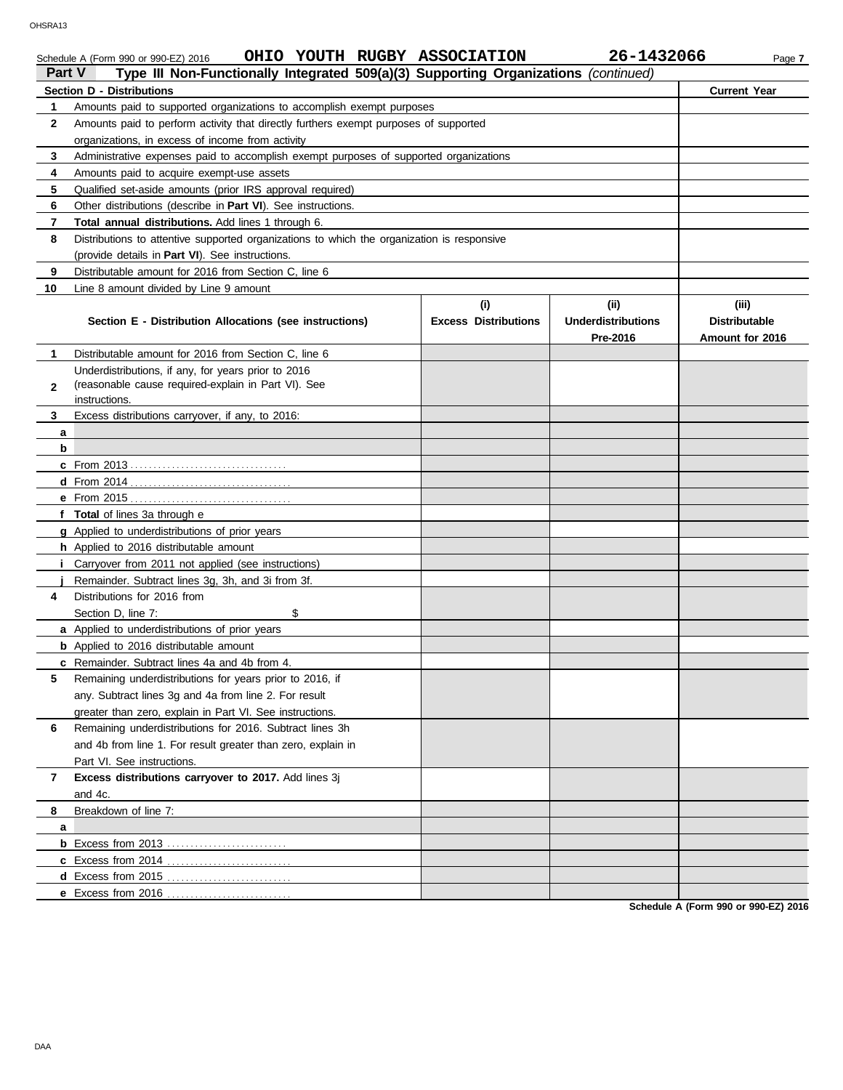#### Schedule A (Form 990 or 990-EZ) 2016 **OHIO YOUTH RUGBY ASSOCIATION** 26-1432066 Page 7 **Part V Type III Non-Functionally Integrated 509(a)(3) Supporting Organizations** *(continued)* **Section D - Distributions Current Year 1 2 3 4 5 6 7 8 9 10** Amounts paid to supported organizations to accomplish exempt purposes Amounts paid to perform activity that directly furthers exempt purposes of supported organizations, in excess of income from activity Administrative expenses paid to accomplish exempt purposes of supported organizations Amounts paid to acquire exempt-use assets Qualified set-aside amounts (prior IRS approval required) Other distributions (describe in **Part VI**). See instructions. **Total annual distributions.** Add lines 1 through 6. Distributions to attentive supported organizations to which the organization is responsive (provide details in **Part VI**). See instructions. Distributable amount for 2016 from Section C, line 6 Line 8 amount divided by Line 9 amount **Section E - Distribution Allocations (see instructions) Excess Distributions (i) (ii) Underdistributions Pre-2016 (iii) Distributable Amount for 2016 3 2 1 a b c** From 2013 . . . . . . . . . . . . . . . . . . . . . . . . . . . . . . . . . . **d** Distributable amount for 2016 from Section C, line 6 Underdistributions, if any, for years prior to 2016 (reasonable cause required-explain in Part VI). See Excess distributions carryover, if any, to 2016: From 2014 . . . . . . . . . . . . . . . . . . . . . . . . . . . . . . . . . . . instructions. OHSRA13

|   | f Total of lines 3a through e                                |  |                                      |
|---|--------------------------------------------------------------|--|--------------------------------------|
|   | g Applied to underdistributions of prior years               |  |                                      |
|   | h Applied to 2016 distributable amount                       |  |                                      |
|   | Carryover from 2011 not applied (see instructions)           |  |                                      |
|   | Remainder. Subtract lines 3g, 3h, and 3i from 3f.            |  |                                      |
| 4 | Distributions for 2016 from                                  |  |                                      |
|   | Section D, line 7:<br>\$                                     |  |                                      |
|   | a Applied to underdistributions of prior years               |  |                                      |
|   | <b>b</b> Applied to 2016 distributable amount                |  |                                      |
|   | c Remainder. Subtract lines 4a and 4b from 4.                |  |                                      |
| 5 | Remaining underdistributions for years prior to 2016, if     |  |                                      |
|   | any. Subtract lines 3g and 4a from line 2. For result        |  |                                      |
|   | greater than zero, explain in Part VI. See instructions.     |  |                                      |
| 6 | Remaining underdistributions for 2016. Subtract lines 3h     |  |                                      |
|   | and 4b from line 1. For result greater than zero, explain in |  |                                      |
|   | Part VI. See instructions.                                   |  |                                      |
| 7 | Excess distributions carryover to 2017. Add lines 3j         |  |                                      |
|   | and 4c.                                                      |  |                                      |
| 8 | Breakdown of line 7:                                         |  |                                      |
| a |                                                              |  |                                      |
|   | <b>b</b> Excess from 2013                                    |  |                                      |
|   |                                                              |  |                                      |
|   |                                                              |  |                                      |
|   |                                                              |  |                                      |
|   |                                                              |  | Schedule A (Form 990 or 990-F7) 2016 |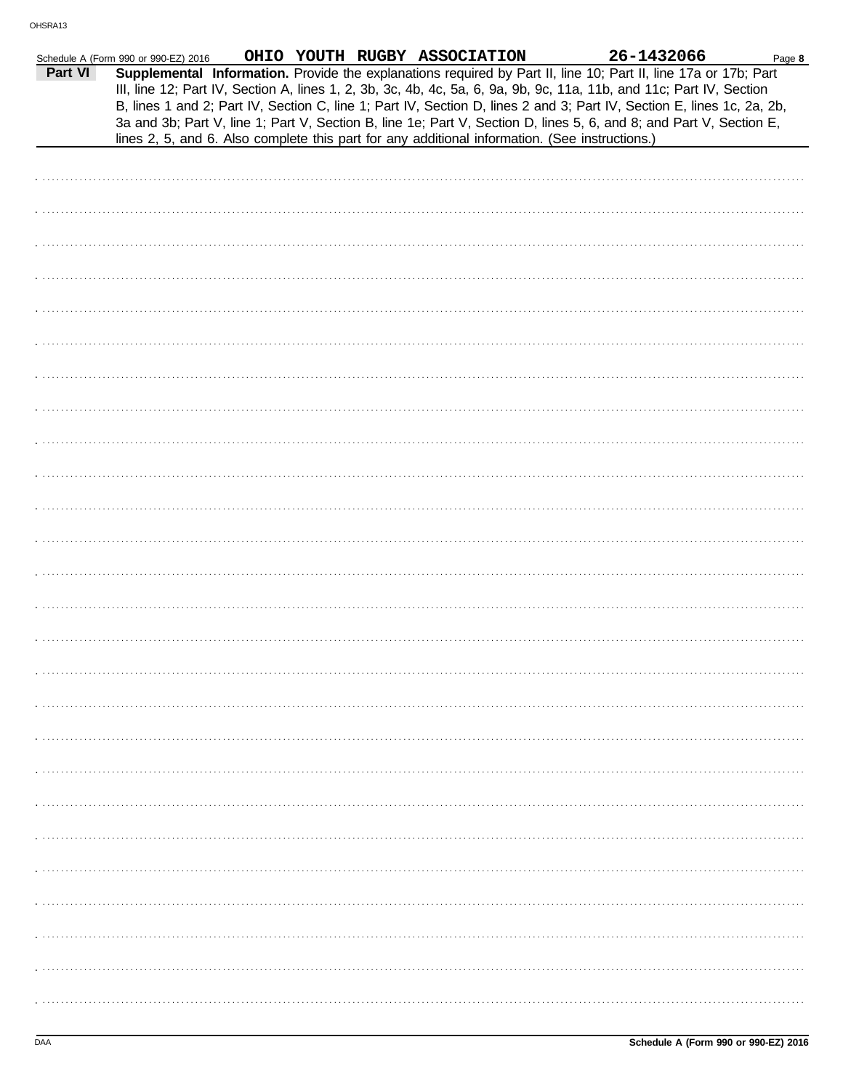|         | Schedule A (Form 990 or 990-EZ) 2016                                                           |  | OHIO YOUTH RUGBY ASSOCIATION | 26-1432066                                                                                                                                                                                                                                    | Page 8 |
|---------|------------------------------------------------------------------------------------------------|--|------------------------------|-----------------------------------------------------------------------------------------------------------------------------------------------------------------------------------------------------------------------------------------------|--------|
| Part VI |                                                                                                |  |                              | Supplemental Information. Provide the explanations required by Part II, line 10; Part II, line 17a or 17b; Part<br>III, line 12; Part IV, Section A, lines 1, 2, 3b, 3c, 4b, 4c, 5a, 6, 9a, 9b, 9c, 11a, 11b, and 11c; Part IV, Section       |        |
|         | lines 2, 5, and 6. Also complete this part for any additional information. (See instructions.) |  |                              | B, lines 1 and 2; Part IV, Section C, line 1; Part IV, Section D, lines 2 and 3; Part IV, Section E, lines 1c, 2a, 2b,<br>3a and 3b; Part V, line 1; Part V, Section B, line 1e; Part V, Section D, lines 5, 6, and 8; and Part V, Section E, |        |
|         |                                                                                                |  |                              |                                                                                                                                                                                                                                               |        |
|         |                                                                                                |  |                              |                                                                                                                                                                                                                                               |        |
|         |                                                                                                |  |                              |                                                                                                                                                                                                                                               |        |
|         |                                                                                                |  |                              |                                                                                                                                                                                                                                               |        |
|         |                                                                                                |  |                              |                                                                                                                                                                                                                                               |        |
|         |                                                                                                |  |                              |                                                                                                                                                                                                                                               |        |
|         |                                                                                                |  |                              |                                                                                                                                                                                                                                               |        |
|         |                                                                                                |  |                              |                                                                                                                                                                                                                                               |        |
|         |                                                                                                |  |                              |                                                                                                                                                                                                                                               |        |
|         |                                                                                                |  |                              |                                                                                                                                                                                                                                               |        |
|         |                                                                                                |  |                              |                                                                                                                                                                                                                                               |        |
|         |                                                                                                |  |                              |                                                                                                                                                                                                                                               |        |
|         |                                                                                                |  |                              |                                                                                                                                                                                                                                               |        |
|         |                                                                                                |  |                              |                                                                                                                                                                                                                                               |        |
|         |                                                                                                |  |                              |                                                                                                                                                                                                                                               |        |
|         |                                                                                                |  |                              |                                                                                                                                                                                                                                               |        |
|         |                                                                                                |  |                              |                                                                                                                                                                                                                                               |        |
|         |                                                                                                |  |                              |                                                                                                                                                                                                                                               |        |
|         |                                                                                                |  |                              |                                                                                                                                                                                                                                               |        |
|         |                                                                                                |  |                              |                                                                                                                                                                                                                                               |        |
|         |                                                                                                |  |                              |                                                                                                                                                                                                                                               |        |
|         |                                                                                                |  |                              |                                                                                                                                                                                                                                               |        |
|         |                                                                                                |  |                              |                                                                                                                                                                                                                                               |        |
|         |                                                                                                |  |                              |                                                                                                                                                                                                                                               |        |
|         |                                                                                                |  |                              |                                                                                                                                                                                                                                               |        |
|         |                                                                                                |  |                              |                                                                                                                                                                                                                                               |        |
|         |                                                                                                |  |                              |                                                                                                                                                                                                                                               |        |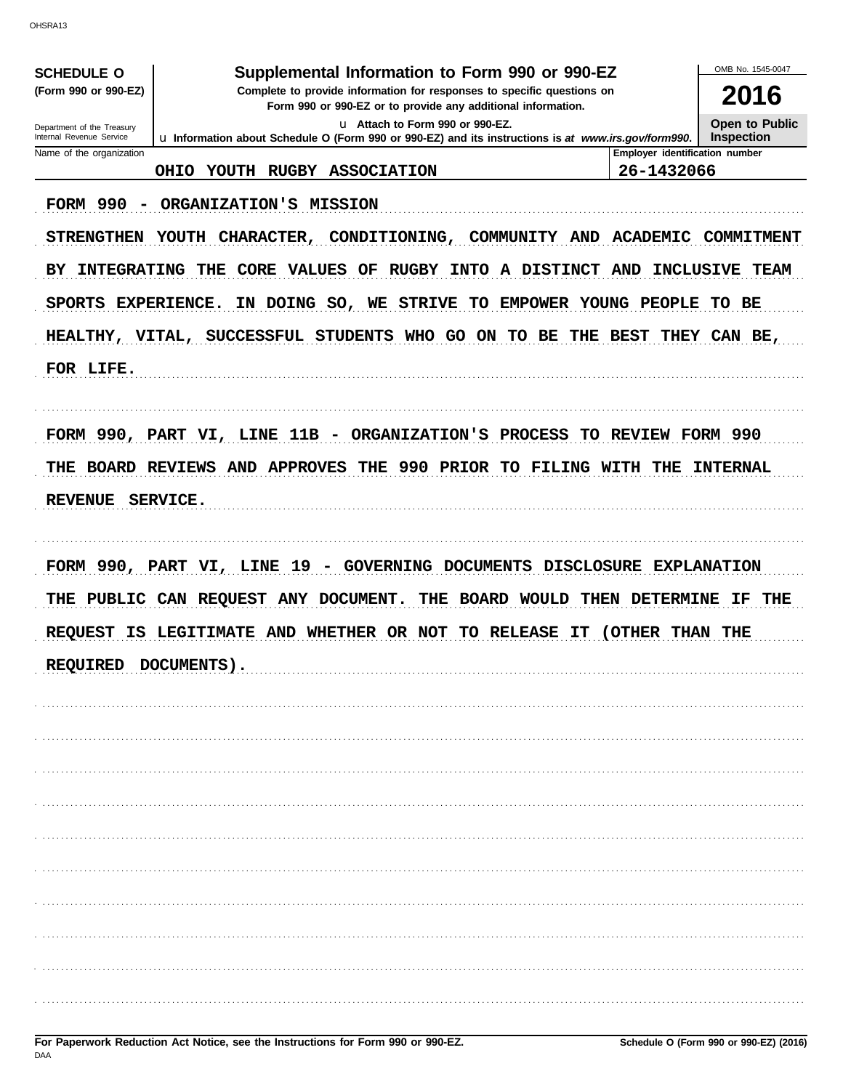OHSRA13

| Supplemental Information to Form 990 or 990-EZ<br><b>SCHEDULE O</b>                                                                                            |                                                                                                      |                                |                   |  |  |
|----------------------------------------------------------------------------------------------------------------------------------------------------------------|------------------------------------------------------------------------------------------------------|--------------------------------|-------------------|--|--|
| (Form 990 or 990-EZ)<br>Complete to provide information for responses to specific questions on<br>Form 990 or 990-EZ or to provide any additional information. |                                                                                                      |                                |                   |  |  |
| Department of the Treasury<br>Internal Revenue Service                                                                                                         |                                                                                                      | Open to Public                 |                   |  |  |
| Name of the organization                                                                                                                                       | Lu Information about Schedule O (Form 990 or 990-EZ) and its instructions is at www.irs.gov/form990. | Employer identification number | <b>Inspection</b> |  |  |
|                                                                                                                                                                | YOUTH RUGBY ASSOCIATION<br><b>OHIO</b>                                                               | 26-1432066                     |                   |  |  |
| FORM 990<br>$\overline{\phantom{a}}$                                                                                                                           | ORGANIZATION'S MISSION                                                                               |                                |                   |  |  |
| <b>STRENGTHEN</b>                                                                                                                                              | YOUTH CHARACTER,<br>CONDITIONING,<br><b>COMMUNITY AND</b>                                            | <b>ACADEMIC</b>                | <b>COMMITMENT</b> |  |  |
| <b>INTEGRATING</b><br>BY.                                                                                                                                      | THE CORE VALUES<br><b>RUGBY</b><br>INTO A DISTINCT<br>OF                                             | AND                            | INCLUSIVE TEAM    |  |  |
| SPORTS EXPERIENCE.                                                                                                                                             | IN DOING SO, WE STRIVE<br>TO EMPOWER YOUNG PEOPLE                                                    |                                | TO BE             |  |  |
|                                                                                                                                                                | HEALTHY, VITAL, SUCCESSFUL STUDENTS WHO GO ON TO BE THE                                              | <b>BEST</b>                    | THEY CAN BE,      |  |  |
| FOR LIFE.                                                                                                                                                      |                                                                                                      |                                |                   |  |  |
|                                                                                                                                                                |                                                                                                      |                                |                   |  |  |
|                                                                                                                                                                | FORM 990, PART VI, LINE 11B - ORGANIZATION'S PROCESS                                                 | TO REVIEW FORM 990             |                   |  |  |
| THE                                                                                                                                                            | THE 990 PRIOR TO FILING WITH THE<br><b>BOARD REVIEWS AND APPROVES</b>                                |                                | <b>INTERNAL</b>   |  |  |
| <b>REVENUE</b>                                                                                                                                                 | SERVICE.                                                                                             |                                |                   |  |  |
|                                                                                                                                                                |                                                                                                      |                                |                   |  |  |
|                                                                                                                                                                | FORM 990, PART VI, LINE $19$ -<br>GOVERNING DOCUMENTS DISCLOSURE EXPLANATION                         |                                |                   |  |  |
|                                                                                                                                                                | THE PUBLIC CAN REQUEST ANY DOCUMENT.<br><b>BOARD WOULD</b><br>THE<br>THEN                            | <b>DETERMINE</b>               | IF.<br>THE        |  |  |
| <b>REQUEST</b><br>IS                                                                                                                                           | WHETHER OR NOT<br><b>LEGITIMATE AND</b><br>TO .<br><b>RELEASE</b><br>IТ                              | ( OTHER<br>THAN                | THE               |  |  |
| <b>REQUIRED</b>                                                                                                                                                | DOCUMENTS).                                                                                          |                                |                   |  |  |
|                                                                                                                                                                |                                                                                                      |                                |                   |  |  |
|                                                                                                                                                                |                                                                                                      |                                |                   |  |  |
|                                                                                                                                                                |                                                                                                      |                                |                   |  |  |
|                                                                                                                                                                |                                                                                                      |                                |                   |  |  |
|                                                                                                                                                                |                                                                                                      |                                |                   |  |  |
|                                                                                                                                                                |                                                                                                      |                                |                   |  |  |
|                                                                                                                                                                |                                                                                                      |                                |                   |  |  |
|                                                                                                                                                                |                                                                                                      |                                |                   |  |  |
|                                                                                                                                                                |                                                                                                      |                                |                   |  |  |
|                                                                                                                                                                |                                                                                                      |                                |                   |  |  |
|                                                                                                                                                                |                                                                                                      |                                |                   |  |  |
|                                                                                                                                                                |                                                                                                      |                                |                   |  |  |